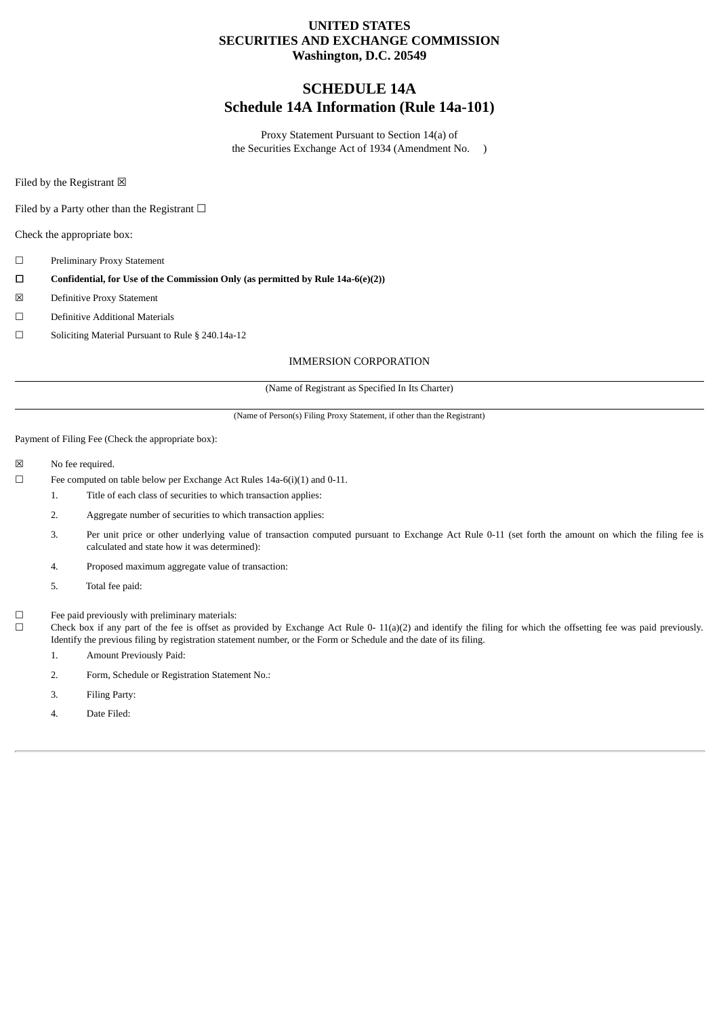#### **UNITED STATES SECURITIES AND EXCHANGE COMMISSION Washington, D.C. 20549**

### **SCHEDULE 14A Schedule 14A Information (Rule 14a-101)**

Proxy Statement Pursuant to Section 14(a) of the Securities Exchange Act of 1934 (Amendment No. )

Filed by the Registrant  $\boxtimes$ 

Filed by a Party other than the Registrant  $□$ 

Check the appropriate box:

- ☐ Preliminary Proxy Statement
- ☐ **Confidential, for Use of the Commission Only (as permitted by Rule 14a-6(e)(2))**
- ☒ Definitive Proxy Statement
- ☐ Definitive Additional Materials
- ☐ Soliciting Material Pursuant to Rule § 240.14a-12

#### IMMERSION CORPORATION

(Name of Registrant as Specified In Its Charter)

(Name of Person(s) Filing Proxy Statement, if other than the Registrant)

Payment of Filing Fee (Check the appropriate box):

- ☒ No fee required.
- ☐ Fee computed on table below per Exchange Act Rules 14a-6(i)(1) and 0-11.
	- 1. Title of each class of securities to which transaction applies:
		- 2. Aggregate number of securities to which transaction applies:
		- 3. Per unit price or other underlying value of transaction computed pursuant to Exchange Act Rule 0-11 (set forth the amount on which the filing fee is calculated and state how it was determined):
	- 4. Proposed maximum aggregate value of transaction:
	- 5. Total fee paid:
- $□$  Fee paid previously with preliminary materials:  $□$  Check box if any part of the fee is offset as  $□$

Check box if any part of the fee is offset as provided by Exchange Act Rule 0- 11(a)(2) and identify the filing for which the offsetting fee was paid previously. Identify the previous filing by registration statement number, or the Form or Schedule and the date of its filing.

- 1. Amount Previously Paid:
- 2. Form, Schedule or Registration Statement No.:
- 3. Filing Party:
- 4. Date Filed: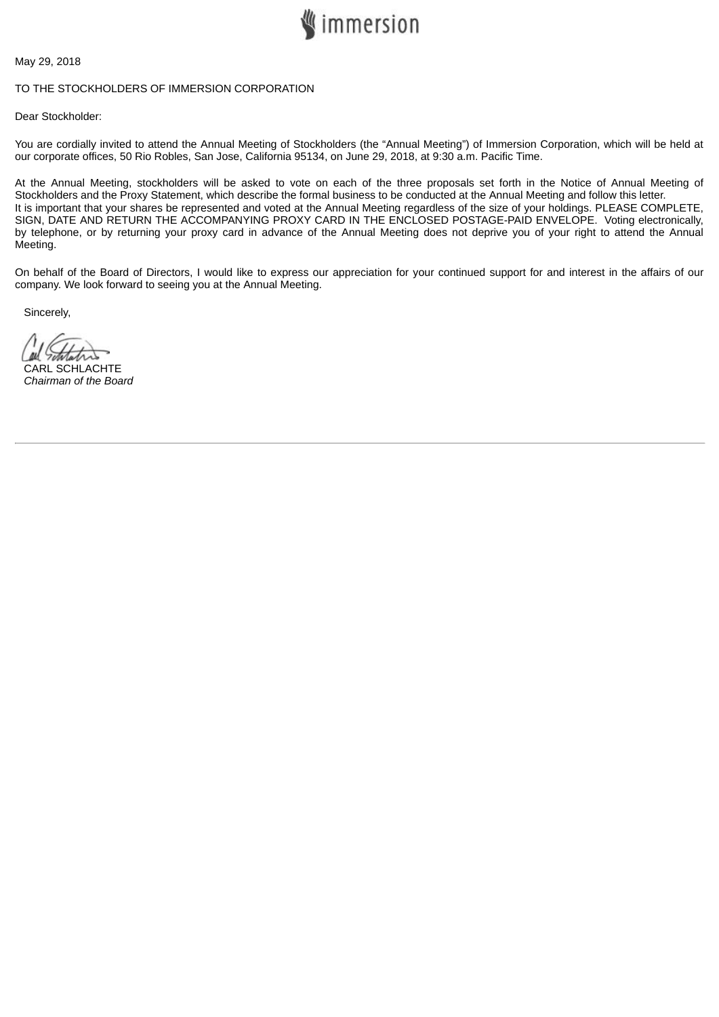

May 29, 2018

#### TO THE STOCKHOLDERS OF IMMERSION CORPORATION

Dear Stockholder:

You are cordially invited to attend the Annual Meeting of Stockholders (the "Annual Meeting") of Immersion Corporation, which will be held at our corporate offices, 50 Rio Robles, San Jose, California 95134, on June 29, 2018, at 9:30 a.m. Pacific Time.

At the Annual Meeting, stockholders will be asked to vote on each of the three proposals set forth in the Notice of Annual Meeting of Stockholders and the Proxy Statement, which describe the formal business to be conducted at the Annual Meeting and follow this letter. It is important that your shares be represented and voted at the Annual Meeting regardless of the size of your holdings. PLEASE COMPLETE, SIGN, DATE AND RETURN THE ACCOMPANYING PROXY CARD IN THE ENCLOSED POSTAGE-PAID ENVELOPE. Voting electronically, by telephone, or by returning your proxy card in advance of the Annual Meeting does not deprive you of your right to attend the Annual Meeting.

On behalf of the Board of Directors, I would like to express our appreciation for your continued support for and interest in the affairs of our company. We look forward to seeing you at the Annual Meeting.

Sincerely,

CARL SCHLACHTE *Chairman of the Board*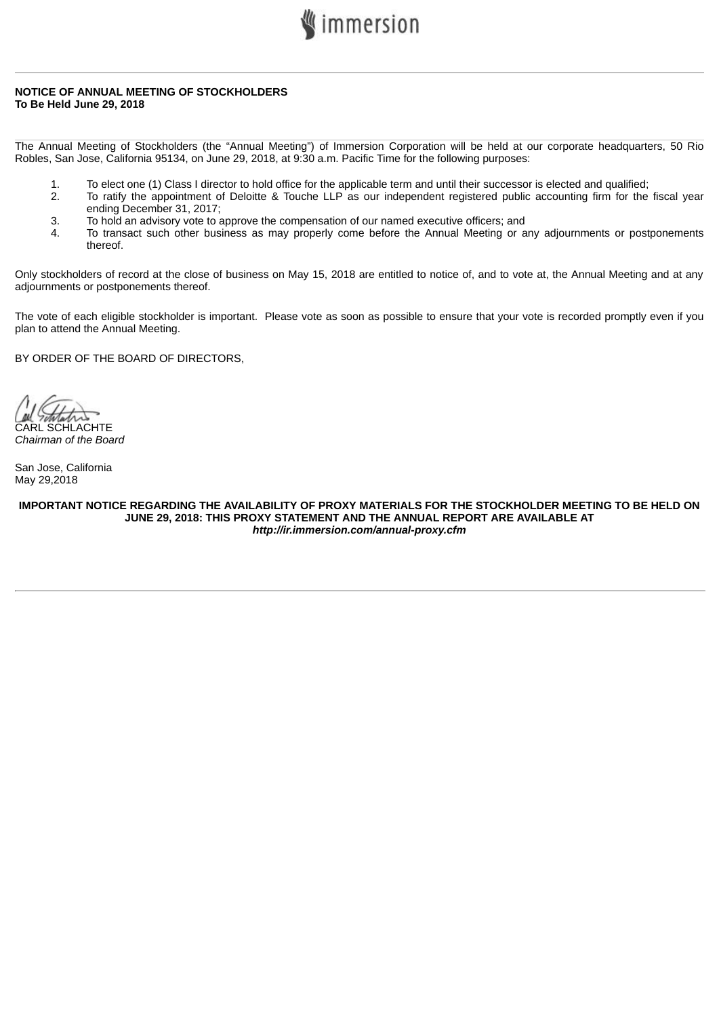

#### **NOTICE OF ANNUAL MEETING OF STOCKHOLDERS To Be Held June 29, 2018**

The Annual Meeting of Stockholders (the "Annual Meeting") of Immersion Corporation will be held at our corporate headquarters, 50 Rio Robles, San Jose, California 95134, on June 29, 2018, at 9:30 a.m. Pacific Time for the following purposes:

- 1. To elect one (1) Class I director to hold office for the applicable term and until their successor is elected and qualified;
- 2. To ratify the appointment of Deloitte & Touche LLP as our independent registered public accounting firm for the fiscal year ending December 31, 2017;
- 3. To hold an advisory vote to approve the compensation of our named executive officers; and
- 4. To transact such other business as may properly come before the Annual Meeting or any adjournments or postponements thereof.

Only stockholders of record at the close of business on May 15, 2018 are entitled to notice of, and to vote at, the Annual Meeting and at any adjournments or postponements thereof.

The vote of each eligible stockholder is important. Please vote as soon as possible to ensure that your vote is recorded promptly even if you plan to attend the Annual Meeting.

BY ORDER OF THE BOARD OF DIRECTORS,

CARL SCHLACHTE *Chairman of the Board*

San Jose, California May 29,2018

**IMPORTANT NOTICE REGARDING THE AVAILABILITY OF PROXY MATERIALS FOR THE STOCKHOLDER MEETING TO BE HELD ON JUNE 29, 2018: THIS PROXY STATEMENT AND THE ANNUAL REPORT ARE AVAILABLE AT** *http://ir.immersion.com/annual-proxy.cfm*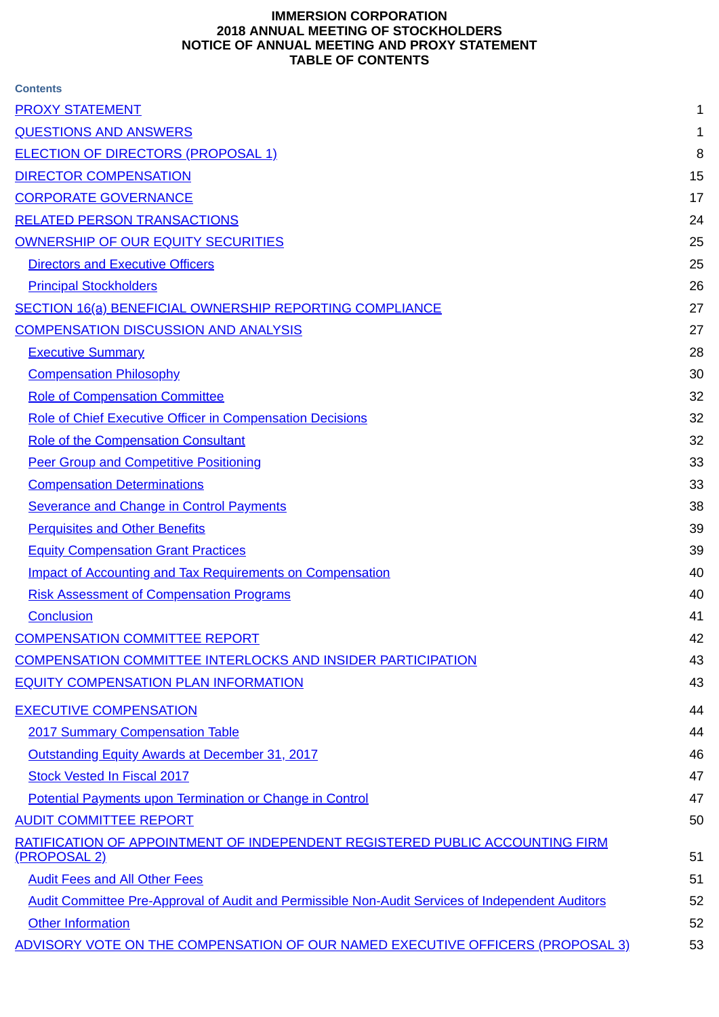#### **IMMERSION CORPORATION 2018 ANNUAL MEETING OF STOCKHOLDERS NOTICE OF ANNUAL MEETING AND PROXY STATEMENT TABLE OF CONTENTS**

| <b>Contents</b>                                                                                     |    |
|-----------------------------------------------------------------------------------------------------|----|
| <b>PROXY STATEMENT</b>                                                                              | 1  |
| <b>QUESTIONS AND ANSWERS</b>                                                                        | 1  |
| <b>ELECTION OF DIRECTORS (PROPOSAL 1)</b>                                                           | 8  |
| <b>DIRECTOR COMPENSATION</b>                                                                        | 15 |
| <b>CORPORATE GOVERNANCE</b>                                                                         | 17 |
| <b>RELATED PERSON TRANSACTIONS</b>                                                                  | 24 |
| OWNERSHIP OF OUR EQUITY SECURITIES                                                                  | 25 |
| <b>Directors and Executive Officers</b>                                                             | 25 |
| <b>Principal Stockholders</b>                                                                       | 26 |
| <b>SECTION 16(a) BENEFICIAL OWNERSHIP REPORTING COMPLIANCE</b>                                      | 27 |
| <b>COMPENSATION DISCUSSION AND ANALYSIS</b>                                                         | 27 |
| <b>Executive Summary</b>                                                                            | 28 |
| <b>Compensation Philosophy</b>                                                                      | 30 |
| <b>Role of Compensation Committee</b>                                                               | 32 |
| <b>Role of Chief Executive Officer in Compensation Decisions</b>                                    | 32 |
| Role of the Compensation Consultant                                                                 | 32 |
| <b>Peer Group and Competitive Positioning</b>                                                       | 33 |
| <b>Compensation Determinations</b>                                                                  | 33 |
| <b>Severance and Change in Control Payments</b>                                                     | 38 |
| <b>Perquisites and Other Benefits</b>                                                               | 39 |
| <b>Equity Compensation Grant Practices</b>                                                          | 39 |
| <b>Impact of Accounting and Tax Requirements on Compensation</b>                                    | 40 |
| <b>Risk Assessment of Compensation Programs</b>                                                     | 40 |
| <b>Conclusion</b>                                                                                   | 41 |
| <b>COMPENSATION COMMITTEE REPORT</b>                                                                | 42 |
| <b>COMPENSATION COMMITTEE INTERLOCKS AND INSIDER PARTICIPATION</b>                                  | 43 |
| <b>EQUITY COMPENSATION PLAN INFORMATION</b>                                                         | 43 |
| <b>EXECUTIVE COMPENSATION</b>                                                                       | 44 |
| <b>2017 Summary Compensation Table</b>                                                              | 44 |
| Outstanding Equity Awards at December 31, 2017                                                      | 46 |
| <b>Stock Vested In Fiscal 2017</b>                                                                  | 47 |
| <b>Potential Payments upon Termination or Change in Control</b>                                     | 47 |
| <b>AUDIT COMMITTEE REPORT</b>                                                                       | 50 |
| RATIFICATION OF APPOINTMENT OF INDEPENDENT REGISTERED PUBLIC ACCOUNTING FIRM<br><u>(PROPOSAL 2)</u> | 51 |
| <b>Audit Fees and All Other Fees</b>                                                                | 51 |
| Audit Committee Pre-Approval of Audit and Permissible Non-Audit Services of Independent Auditors    | 52 |
| <b>Other Information</b>                                                                            | 52 |
| ADVISORY VOTE ON THE COMPENSATION OF OUR NAMED EXECUTIVE OFFICERS (PROPOSAL 3)                      | 53 |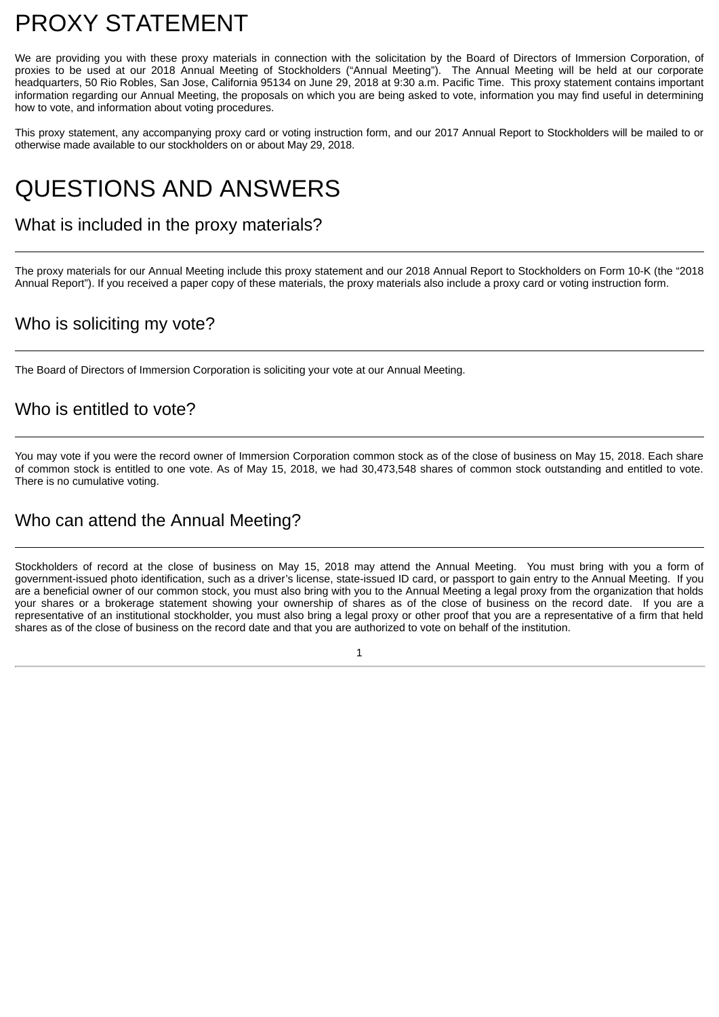## <span id="page-5-0"></span>PROXY STATEMENT

We are providing you with these proxy materials in connection with the solicitation by the Board of Directors of Immersion Corporation, of proxies to be used at our 2018 Annual Meeting of Stockholders ("Annual Meeting"). The Annual Meeting will be held at our corporate headquarters, 50 Rio Robles, San Jose, California 95134 on June 29, 2018 at 9:30 a.m. Pacific Time. This proxy statement contains important information regarding our Annual Meeting, the proposals on which you are being asked to vote, information you may find useful in determining how to vote, and information about voting procedures.

This proxy statement, any accompanying proxy card or voting instruction form, and our 2017 Annual Report to Stockholders will be mailed to or otherwise made available to our stockholders on or about May 29, 2018.

## <span id="page-5-1"></span>QUESTIONS AND ANSWERS

## What is included in the proxy materials?

The proxy materials for our Annual Meeting include this proxy statement and our 2018 Annual Report to Stockholders on Form 10-K (the "2018 Annual Report"). If you received a paper copy of these materials, the proxy materials also include a proxy card or voting instruction form.

## Who is soliciting my vote?

The Board of Directors of Immersion Corporation is soliciting your vote at our Annual Meeting.

### Who is entitled to vote?

You may vote if you were the record owner of Immersion Corporation common stock as of the close of business on May 15, 2018. Each share of common stock is entitled to one vote. As of May 15, 2018, we had 30,473,548 shares of common stock outstanding and entitled to vote. There is no cumulative voting.

## Who can attend the Annual Meeting?

Stockholders of record at the close of business on May 15, 2018 may attend the Annual Meeting. You must bring with you a form of government-issued photo identification, such as a driver's license, state-issued ID card, or passport to gain entry to the Annual Meeting. If you are a beneficial owner of our common stock, you must also bring with you to the Annual Meeting a legal proxy from the organization that holds your shares or a brokerage statement showing your ownership of shares as of the close of business on the record date. If you are a representative of an institutional stockholder, you must also bring a legal proxy or other proof that you are a representative of a firm that held shares as of the close of business on the record date and that you are authorized to vote on behalf of the institution.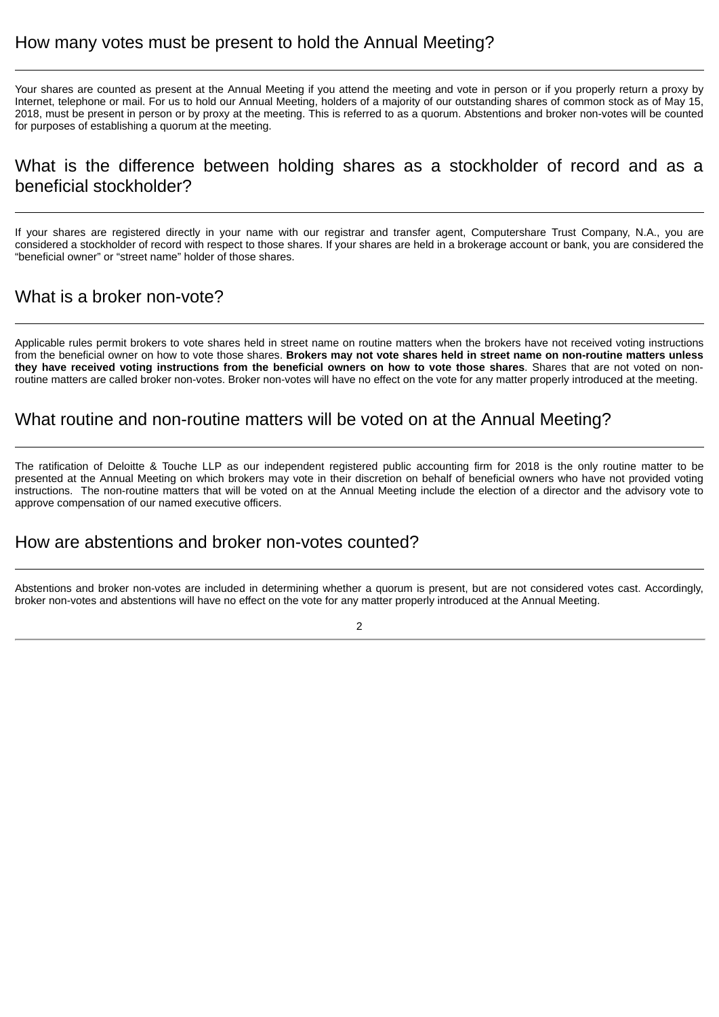Your shares are counted as present at the Annual Meeting if you attend the meeting and vote in person or if you properly return a proxy by Internet, telephone or mail. For us to hold our Annual Meeting, holders of a majority of our outstanding shares of common stock as of May 15, 2018, must be present in person or by proxy at the meeting. This is referred to as a quorum. Abstentions and broker non-votes will be counted for purposes of establishing a quorum at the meeting.

## What is the difference between holding shares as a stockholder of record and as a beneficial stockholder?

If your shares are registered directly in your name with our registrar and transfer agent, Computershare Trust Company, N.A., you are considered a stockholder of record with respect to those shares. If your shares are held in a brokerage account or bank, you are considered the "beneficial owner" or "street name" holder of those shares.

## What is a broker non-vote?

Applicable rules permit brokers to vote shares held in street name on routine matters when the brokers have not received voting instructions from the beneficial owner on how to vote those shares. **Brokers may not vote shares held in street name on non-routine matters unless** they have received voting instructions from the beneficial owners on how to vote those shares. Shares that are not voted on nonroutine matters are called broker non-votes. Broker non-votes will have no effect on the vote for any matter properly introduced at the meeting.

### What routine and non-routine matters will be voted on at the Annual Meeting?

The ratification of Deloitte & Touche LLP as our independent registered public accounting firm for 2018 is the only routine matter to be presented at the Annual Meeting on which brokers may vote in their discretion on behalf of beneficial owners who have not provided voting instructions. The non-routine matters that will be voted on at the Annual Meeting include the election of a director and the advisory vote to approve compensation of our named executive officers.

### How are abstentions and broker non-votes counted?

Abstentions and broker non-votes are included in determining whether a quorum is present, but are not considered votes cast. Accordingly, broker non-votes and abstentions will have no effect on the vote for any matter properly introduced at the Annual Meeting.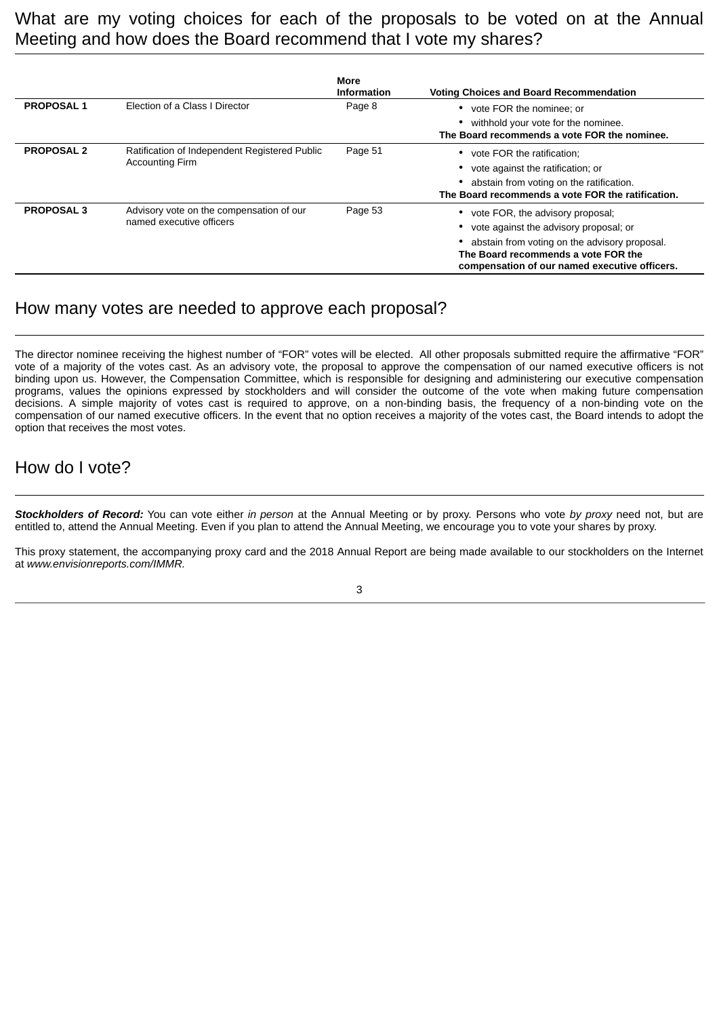What are my voting choices for each of the proposals to be voted on at the Annual Meeting and how does the Board recommend that I vote my shares?

|                   |                                                                         | More<br><b>Information</b> | <b>Voting Choices and Board Recommendation</b>                                                                                                                                                                           |
|-------------------|-------------------------------------------------------------------------|----------------------------|--------------------------------------------------------------------------------------------------------------------------------------------------------------------------------------------------------------------------|
| <b>PROPOSAL1</b>  | Election of a Class I Director                                          | Page 8                     | vote FOR the nominee; or<br>٠<br>withhold your vote for the nominee.<br>The Board recommends a vote FOR the nominee.                                                                                                     |
| <b>PROPOSAL 2</b> | Ratification of Independent Registered Public<br><b>Accounting Firm</b> | Page 51                    | vote FOR the ratification;<br>vote against the ratification; or<br>abstain from voting on the ratification.<br>The Board recommends a vote FOR the ratification.                                                         |
| <b>PROPOSAL 3</b> | Advisory vote on the compensation of our<br>named executive officers    | Page 53                    | vote FOR, the advisory proposal;<br>٠<br>vote against the advisory proposal; or<br>abstain from voting on the advisory proposal.<br>The Board recommends a vote FOR the<br>compensation of our named executive officers. |

### How many votes are needed to approve each proposal?

The director nominee receiving the highest number of "FOR" votes will be elected. All other proposals submitted require the affirmative "FOR" vote of a majority of the votes cast. As an advisory vote, the proposal to approve the compensation of our named executive officers is not binding upon us. However, the Compensation Committee, which is responsible for designing and administering our executive compensation programs, values the opinions expressed by stockholders and will consider the outcome of the vote when making future compensation decisions. A simple majority of votes cast is required to approve, on a non-binding basis, the frequency of a non-binding vote on the compensation of our named executive officers. In the event that no option receives a majority of the votes cast, the Board intends to adopt the option that receives the most votes.

## How do I vote?

*Stockholders of Record:* You can vote either *in person* at the Annual Meeting or by proxy. Persons who vote *by proxy* need not, but are entitled to, attend the Annual Meeting. Even if you plan to attend the Annual Meeting, we encourage you to vote your shares by proxy.

This proxy statement, the accompanying proxy card and the 2018 Annual Report are being made available to our stockholders on the Internet at *www.envisionreports.com/IMMR.*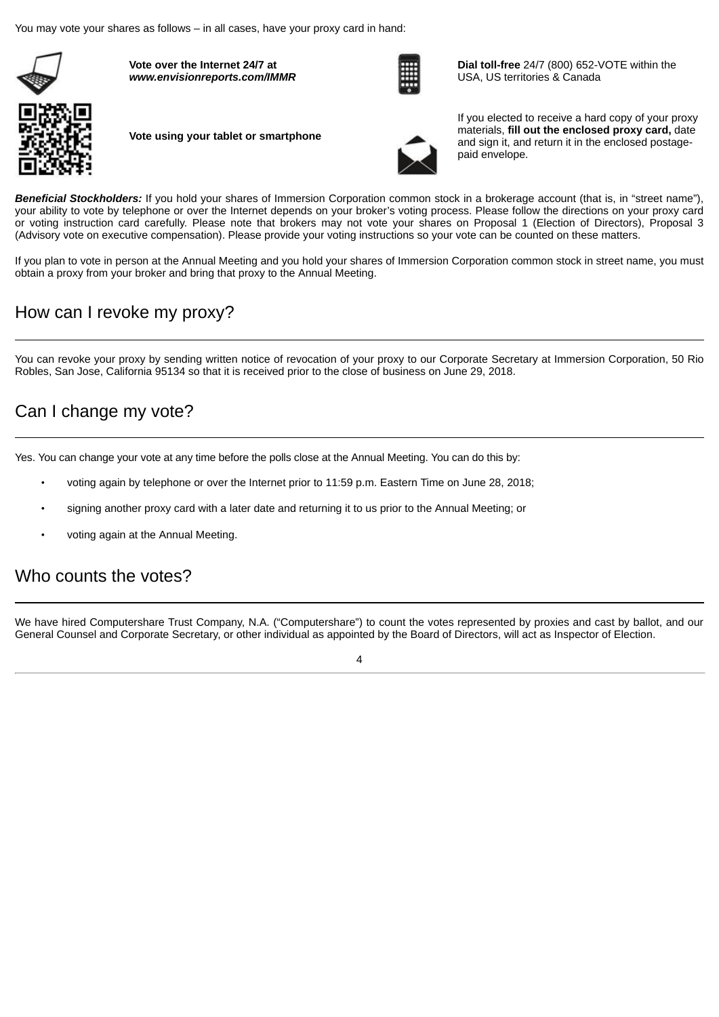You may vote your shares as follows – in all cases, have your proxy card in hand:



**Vote over the Internet 24/7 at** *www.envisionreports.com/IMMR*



**Dial toll-free** 24/7 (800) 652-VOTE within the USA, US territories & Canada



**Vote using your tablet or smartphone**



If you elected to receive a hard copy of your proxy materials, **fill out the enclosed proxy card,** date and sign it, and return it in the enclosed postagepaid envelope.

*Beneficial Stockholders:* If you hold your shares of Immersion Corporation common stock in a brokerage account (that is, in "street name"), your ability to vote by telephone or over the Internet depends on your broker's voting process. Please follow the directions on your proxy card or voting instruction card carefully. Please note that brokers may not vote your shares on Proposal 1 (Election of Directors), Proposal 3 (Advisory vote on executive compensation). Please provide your voting instructions so your vote can be counted on these matters.

If you plan to vote in person at the Annual Meeting and you hold your shares of Immersion Corporation common stock in street name, you must obtain a proxy from your broker and bring that proxy to the Annual Meeting.

## How can I revoke my proxy?

You can revoke your proxy by sending written notice of revocation of your proxy to our Corporate Secretary at Immersion Corporation, 50 Rio Robles, San Jose, California 95134 so that it is received prior to the close of business on June 29, 2018.

## Can I change my vote?

Yes. You can change your vote at any time before the polls close at the Annual Meeting. You can do this by:

- voting again by telephone or over the Internet prior to 11:59 p.m. Eastern Time on June 28, 2018;
- signing another proxy card with a later date and returning it to us prior to the Annual Meeting; or
- voting again at the Annual Meeting.

### Who counts the votes?

We have hired Computershare Trust Company, N.A. ("Computershare") to count the votes represented by proxies and cast by ballot, and our General Counsel and Corporate Secretary, or other individual as appointed by the Board of Directors, will act as Inspector of Election.

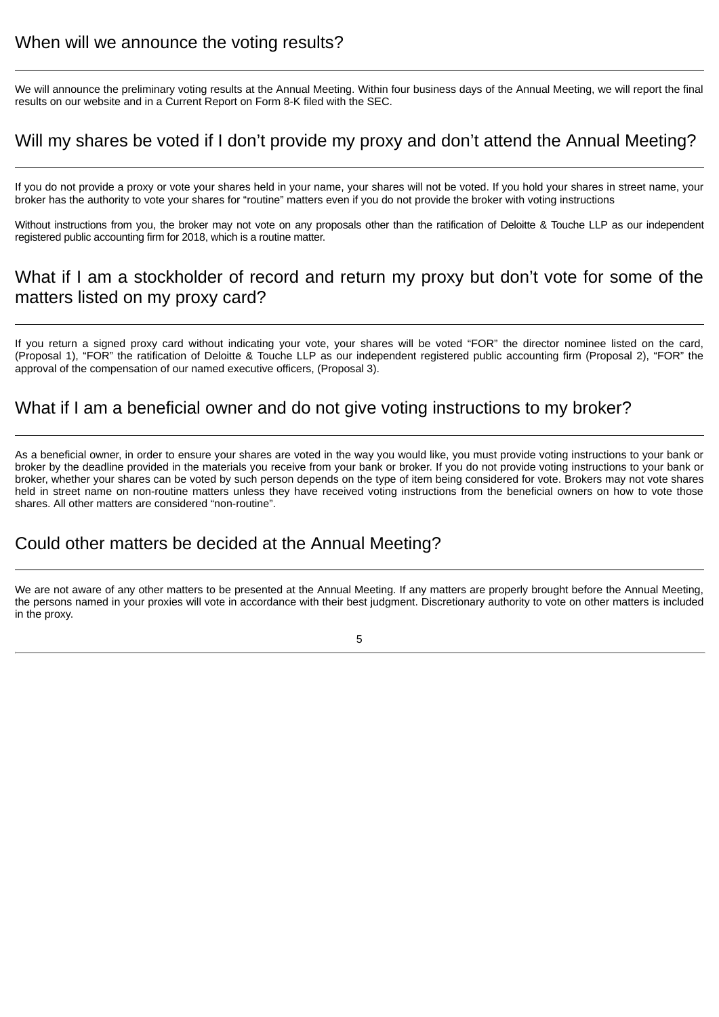We will announce the preliminary voting results at the Annual Meeting. Within four business days of the Annual Meeting, we will report the final results on our website and in a Current Report on Form 8-K filed with the SEC.

## Will my shares be voted if I don't provide my proxy and don't attend the Annual Meeting?

If you do not provide a proxy or vote your shares held in your name, your shares will not be voted. If you hold your shares in street name, your broker has the authority to vote your shares for "routine" matters even if you do not provide the broker with voting instructions

Without instructions from you, the broker may not vote on any proposals other than the ratification of Deloitte & Touche LLP as our independent registered public accounting firm for 2018, which is a routine matter.

## What if I am a stockholder of record and return my proxy but don't vote for some of the matters listed on my proxy card?

If you return a signed proxy card without indicating your vote, your shares will be voted "FOR" the director nominee listed on the card, (Proposal 1), "FOR" the ratification of Deloitte & Touche LLP as our independent registered public accounting firm (Proposal 2), "FOR" the approval of the compensation of our named executive officers, (Proposal 3).

## What if I am a beneficial owner and do not give voting instructions to my broker?

As a beneficial owner, in order to ensure your shares are voted in the way you would like, you must provide voting instructions to your bank or broker by the deadline provided in the materials you receive from your bank or broker. If you do not provide voting instructions to your bank or broker, whether your shares can be voted by such person depends on the type of item being considered for vote. Brokers may not vote shares held in street name on non-routine matters unless they have received voting instructions from the beneficial owners on how to vote those shares. All other matters are considered "non-routine".

### Could other matters be decided at the Annual Meeting?

We are not aware of any other matters to be presented at the Annual Meeting. If any matters are properly brought before the Annual Meeting, the persons named in your proxies will vote in accordance with their best judgment. Discretionary authority to vote on other matters is included in the proxy.

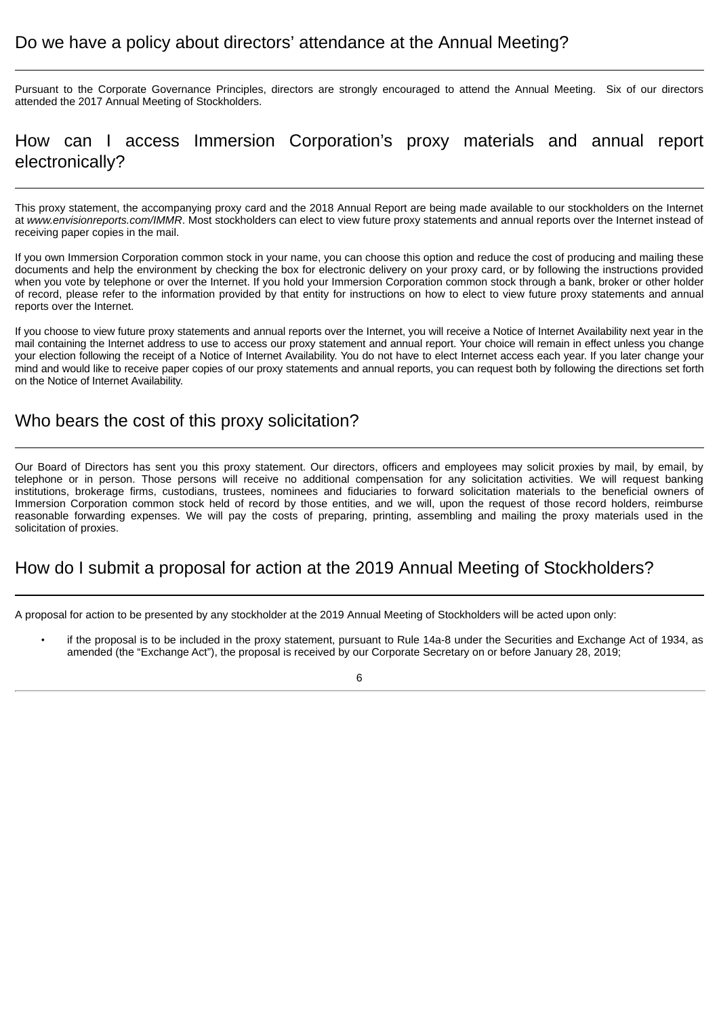### Do we have a policy about directors' attendance at the Annual Meeting?

Pursuant to the Corporate Governance Principles, directors are strongly encouraged to attend the Annual Meeting. Six of our directors attended the 2017 Annual Meeting of Stockholders.

## How can I access Immersion Corporation's proxy materials and annual report electronically?

This proxy statement, the accompanying proxy card and the 2018 Annual Report are being made available to our stockholders on the Internet at *www.envisionreports.com/IMMR*. Most stockholders can elect to view future proxy statements and annual reports over the Internet instead of receiving paper copies in the mail.

If you own Immersion Corporation common stock in your name, you can choose this option and reduce the cost of producing and mailing these documents and help the environment by checking the box for electronic delivery on your proxy card, or by following the instructions provided when you vote by telephone or over the Internet. If you hold your Immersion Corporation common stock through a bank, broker or other holder of record, please refer to the information provided by that entity for instructions on how to elect to view future proxy statements and annual reports over the Internet.

If you choose to view future proxy statements and annual reports over the Internet, you will receive a Notice of Internet Availability next year in the mail containing the Internet address to use to access our proxy statement and annual report. Your choice will remain in effect unless you change your election following the receipt of a Notice of Internet Availability. You do not have to elect Internet access each year. If you later change your mind and would like to receive paper copies of our proxy statements and annual reports, you can request both by following the directions set forth on the Notice of Internet Availability.

### Who bears the cost of this proxy solicitation?

Our Board of Directors has sent you this proxy statement. Our directors, officers and employees may solicit proxies by mail, by email, by telephone or in person. Those persons will receive no additional compensation for any solicitation activities. We will request banking institutions, brokerage firms, custodians, trustees, nominees and fiduciaries to forward solicitation materials to the beneficial owners of Immersion Corporation common stock held of record by those entities, and we will, upon the request of those record holders, reimburse reasonable forwarding expenses. We will pay the costs of preparing, printing, assembling and mailing the proxy materials used in the solicitation of proxies.

### How do I submit a proposal for action at the 2019 Annual Meeting of Stockholders?

A proposal for action to be presented by any stockholder at the 2019 Annual Meeting of Stockholders will be acted upon only:

• if the proposal is to be included in the proxy statement, pursuant to Rule 14a-8 under the Securities and Exchange Act of 1934, as amended (the "Exchange Act"), the proposal is received by our Corporate Secretary on or before January 28, 2019;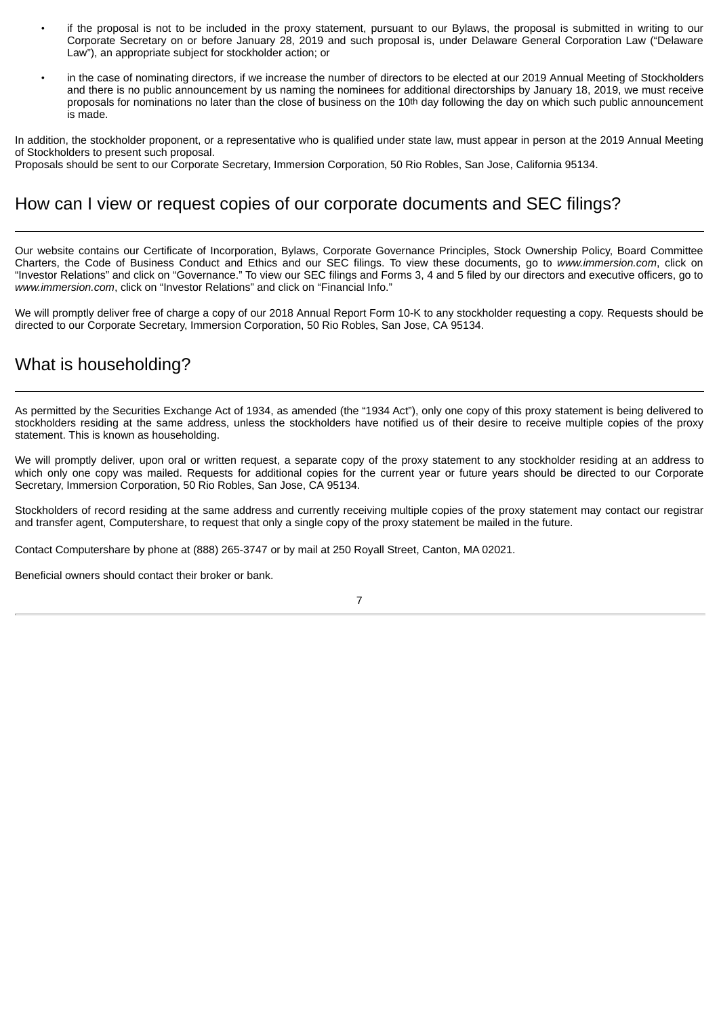- if the proposal is not to be included in the proxy statement, pursuant to our Bylaws, the proposal is submitted in writing to our Corporate Secretary on or before January 28, 2019 and such proposal is, under Delaware General Corporation Law ("Delaware Law"), an appropriate subject for stockholder action; or
- in the case of nominating directors, if we increase the number of directors to be elected at our 2019 Annual Meeting of Stockholders and there is no public announcement by us naming the nominees for additional directorships by January 18, 2019, we must receive proposals for nominations no later than the close of business on the 10th day following the day on which such public announcement is made.

In addition, the stockholder proponent, or a representative who is qualified under state law, must appear in person at the 2019 Annual Meeting of Stockholders to present such proposal.

Proposals should be sent to our Corporate Secretary, Immersion Corporation, 50 Rio Robles, San Jose, California 95134.

## How can I view or request copies of our corporate documents and SEC filings?

Our website contains our Certificate of Incorporation, Bylaws, Corporate Governance Principles, Stock Ownership Policy, Board Committee Charters, the Code of Business Conduct and Ethics and our SEC filings. To view these documents, go to *www.immersion.com*, click on "Investor Relations" and click on "Governance." To view our SEC filings and Forms 3, 4 and 5 filed by our directors and executive officers, go to *www.immersion.com*, click on "Investor Relations" and click on "Financial Info."

We will promptly deliver free of charge a copy of our 2018 Annual Report Form 10-K to any stockholder requesting a copy. Requests should be directed to our Corporate Secretary, Immersion Corporation, 50 Rio Robles, San Jose, CA 95134.

## What is householding?

As permitted by the Securities Exchange Act of 1934, as amended (the "1934 Act"), only one copy of this proxy statement is being delivered to stockholders residing at the same address, unless the stockholders have notified us of their desire to receive multiple copies of the proxy statement. This is known as householding.

We will promptly deliver, upon oral or written request, a separate copy of the proxy statement to any stockholder residing at an address to which only one copy was mailed. Requests for additional copies for the current year or future years should be directed to our Corporate Secretary, Immersion Corporation, 50 Rio Robles, San Jose, CA 95134.

Stockholders of record residing at the same address and currently receiving multiple copies of the proxy statement may contact our registrar and transfer agent, Computershare, to request that only a single copy of the proxy statement be mailed in the future.

Contact Computershare by phone at (888) 265-3747 or by mail at 250 Royall Street, Canton, MA 02021.

Beneficial owners should contact their broker or bank.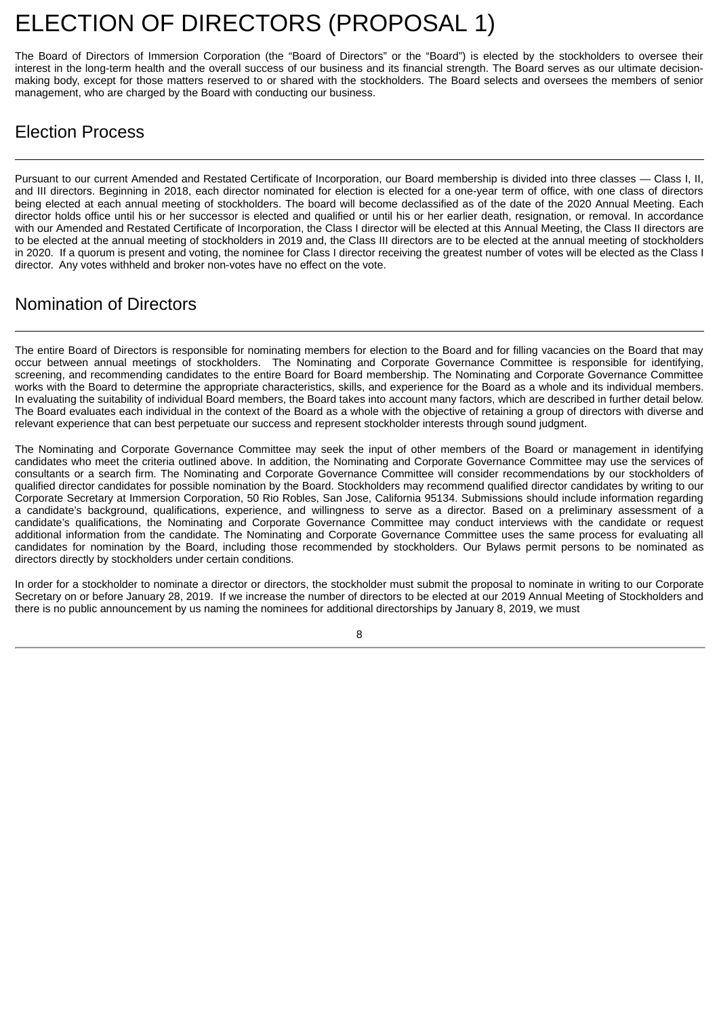# <span id="page-12-0"></span>ELECTION OF DIRECTORS (PROPOSAL 1)

The Board of Directors of Immersion Corporation (the "Board of Directors" or the "Board") is elected by the stockholders to oversee their interest in the long-term health and the overall success of our business and its financial strength. The Board serves as our ultimate decisionmaking body, except for those matters reserved to or shared with the stockholders. The Board selects and oversees the members of senior management, who are charged by the Board with conducting our business.

## Election Process

Pursuant to our current Amended and Restated Certificate of Incorporation, our Board membership is divided into three classes — Class I, II, and III directors. Beginning in 2018, each director nominated for election is elected for a one-year term of office, with one class of directors being elected at each annual meeting of stockholders. The board will become declassified as of the date of the 2020 Annual Meeting. Each director holds office until his or her successor is elected and qualified or until his or her earlier death, resignation, or removal. In accordance with our Amended and Restated Certificate of Incorporation, the Class I director will be elected at this Annual Meeting, the Class II directors are to be elected at the annual meeting of stockholders in 2019 and, the Class III directors are to be elected at the annual meeting of stockholders in 2020. If a quorum is present and voting, the nominee for Class I director receiving the greatest number of votes will be elected as the Class I director. Any votes withheld and broker non-votes have no effect on the vote.

## Nomination of Directors

The entire Board of Directors is responsible for nominating members for election to the Board and for filling vacancies on the Board that may occur between annual meetings of stockholders. The Nominating and Corporate Governance Committee is responsible for identifying, screening, and recommending candidates to the entire Board for Board membership. The Nominating and Corporate Governance Committee works with the Board to determine the appropriate characteristics, skills, and experience for the Board as a whole and its individual members. In evaluating the suitability of individual Board members, the Board takes into account many factors, which are described in further detail below. The Board evaluates each individual in the context of the Board as a whole with the objective of retaining a group of directors with diverse and relevant experience that can best perpetuate our success and represent stockholder interests through sound judgment.

The Nominating and Corporate Governance Committee may seek the input of other members of the Board or management in identifying candidates who meet the criteria outlined above. In addition, the Nominating and Corporate Governance Committee may use the services of consultants or a search firm. The Nominating and Corporate Governance Committee will consider recommendations by our stockholders of qualified director candidates for possible nomination by the Board. Stockholders may recommend qualified director candidates by writing to our Corporate Secretary at Immersion Corporation, 50 Rio Robles, San Jose, California 95134. Submissions should include information regarding a candidate's background, qualifications, experience, and willingness to serve as a director. Based on a preliminary assessment of a candidate's qualifications, the Nominating and Corporate Governance Committee may conduct interviews with the candidate or request additional information from the candidate. The Nominating and Corporate Governance Committee uses the same process for evaluating all candidates for nomination by the Board, including those recommended by stockholders. Our Bylaws permit persons to be nominated as directors directly by stockholders under certain conditions.

In order for a stockholder to nominate a director or directors, the stockholder must submit the proposal to nominate in writing to our Corporate Secretary on or before January 28, 2019. If we increase the number of directors to be elected at our 2019 Annual Meeting of Stockholders and there is no public announcement by us naming the nominees for additional directorships by January 8, 2019, we must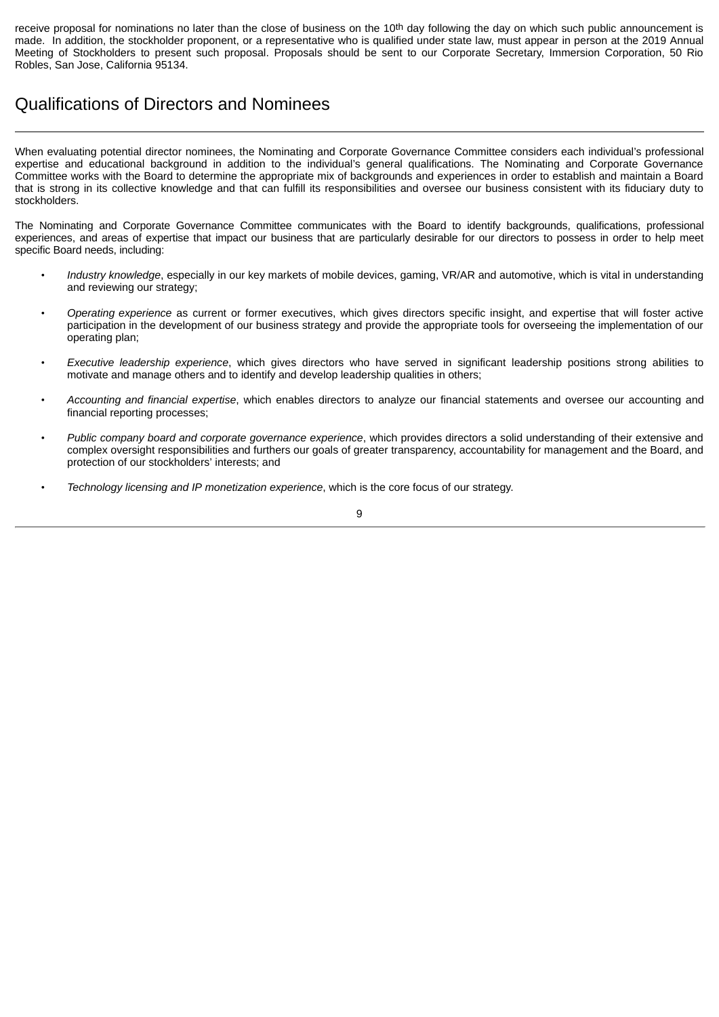receive proposal for nominations no later than the close of business on the 10<sup>th</sup> day following the day on which such public announcement is made. In addition, the stockholder proponent, or a representative who is qualified under state law, must appear in person at the 2019 Annual Meeting of Stockholders to present such proposal. Proposals should be sent to our Corporate Secretary, Immersion Corporation, 50 Rio Robles, San Jose, California 95134.

## Qualifications of Directors and Nominees

When evaluating potential director nominees, the Nominating and Corporate Governance Committee considers each individual's professional expertise and educational background in addition to the individual's general qualifications. The Nominating and Corporate Governance Committee works with the Board to determine the appropriate mix of backgrounds and experiences in order to establish and maintain a Board that is strong in its collective knowledge and that can fulfill its responsibilities and oversee our business consistent with its fiduciary duty to stockholders.

The Nominating and Corporate Governance Committee communicates with the Board to identify backgrounds, qualifications, professional experiences, and areas of expertise that impact our business that are particularly desirable for our directors to possess in order to help meet specific Board needs, including:

- *Industry knowledge*, especially in our key markets of mobile devices, gaming, VR/AR and automotive, which is vital in understanding and reviewing our strategy;
- *Operating experience* as current or former executives, which gives directors specific insight, and expertise that will foster active participation in the development of our business strategy and provide the appropriate tools for overseeing the implementation of our operating plan;
- *Executive leadership experience*, which gives directors who have served in significant leadership positions strong abilities to motivate and manage others and to identify and develop leadership qualities in others;
- *Accounting and financial expertise*, which enables directors to analyze our financial statements and oversee our accounting and financial reporting processes;
- *Public company board and corporate governance experience*, which provides directors a solid understanding of their extensive and complex oversight responsibilities and furthers our goals of greater transparency, accountability for management and the Board, and protection of our stockholders' interests; and
- *Technology licensing and IP monetization experience*, which is the core focus of our strategy.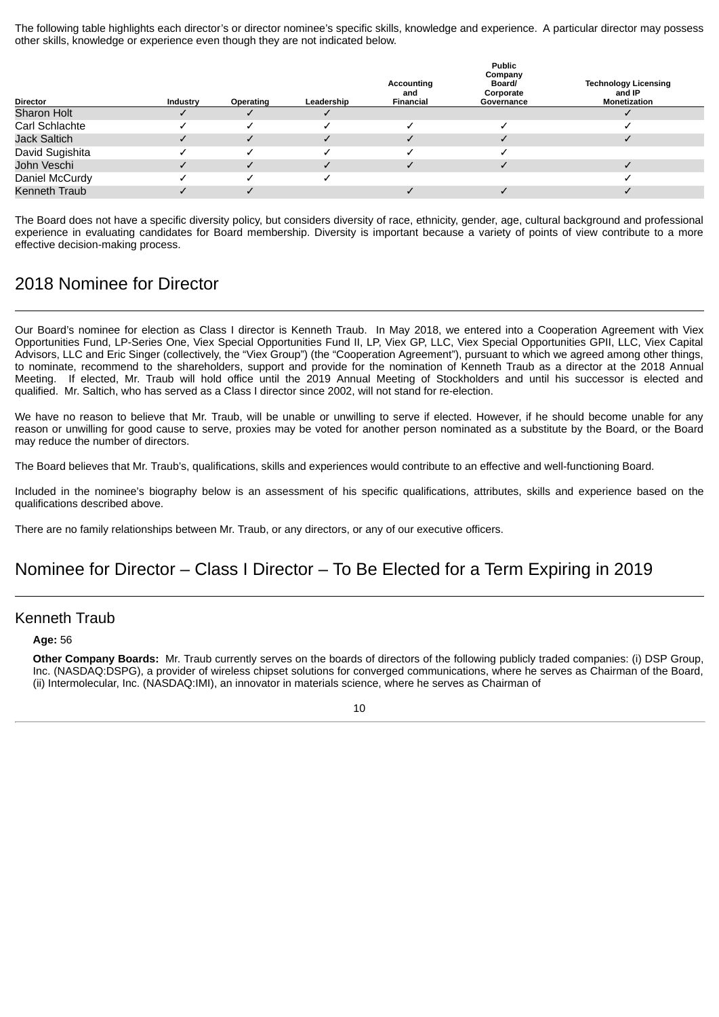The following table highlights each director's or director nominee's specific skills, knowledge and experience. A particular director may possess other skills, knowledge or experience even though they are not indicated below.

| <b>Director</b>     | Industry | Operating | Leadership | Accounting<br>and<br>Financial | <b>Public</b><br>Company<br><b>Board/</b><br>Corporate<br>Governance | <b>Technology Licensing</b><br>and IP<br>Monetization |
|---------------------|----------|-----------|------------|--------------------------------|----------------------------------------------------------------------|-------------------------------------------------------|
| <b>Sharon Holt</b>  |          |           |            |                                |                                                                      |                                                       |
| Carl Schlachte      |          |           |            |                                |                                                                      |                                                       |
| <b>Jack Saltich</b> |          |           |            |                                |                                                                      |                                                       |
| David Sugishita     |          |           |            |                                |                                                                      |                                                       |
| John Veschi         |          |           |            |                                |                                                                      |                                                       |
| Daniel McCurdy      |          |           |            |                                |                                                                      |                                                       |
| Kenneth Traub       |          |           |            |                                |                                                                      |                                                       |

The Board does not have a specific diversity policy, but considers diversity of race, ethnicity, gender, age, cultural background and professional experience in evaluating candidates for Board membership. Diversity is important because a variety of points of view contribute to a more effective decision-making process.

## 2018 Nominee for Director

Our Board's nominee for election as Class I director is Kenneth Traub. In May 2018, we entered into a Cooperation Agreement with Viex Opportunities Fund, LP-Series One, Viex Special Opportunities Fund II, LP, Viex GP, LLC, Viex Special Opportunities GPII, LLC, Viex Capital Advisors, LLC and Eric Singer (collectively, the "Viex Group") (the "Cooperation Agreement"), pursuant to which we agreed among other things, to nominate, recommend to the shareholders, support and provide for the nomination of Kenneth Traub as a director at the 2018 Annual Meeting. If elected, Mr. Traub will hold office until the 2019 Annual Meeting of Stockholders and until his successor is elected and qualified. Mr. Saltich, who has served as a Class I director since 2002, will not stand for re-election.

We have no reason to believe that Mr. Traub, will be unable or unwilling to serve if elected. However, if he should become unable for any reason or unwilling for good cause to serve, proxies may be voted for another person nominated as a substitute by the Board, or the Board may reduce the number of directors.

The Board believes that Mr. Traub's, qualifications, skills and experiences would contribute to an effective and well-functioning Board.

Included in the nominee's biography below is an assessment of his specific qualifications, attributes, skills and experience based on the qualifications described above.

There are no family relationships between Mr. Traub, or any directors, or any of our executive officers.

### Nominee for Director – Class I Director – To Be Elected for a Term Expiring in 2019

#### Kenneth Traub

#### **Age:** 56

**Other Company Boards:** Mr. Traub currently serves on the boards of directors of the following publicly traded companies: (i) DSP Group, Inc. (NASDAQ:DSPG), a provider of wireless chipset solutions for converged communications, where he serves as Chairman of the Board, (ii) Intermolecular, Inc. (NASDAQ:IMI), an innovator in materials science, where he serves as Chairman of

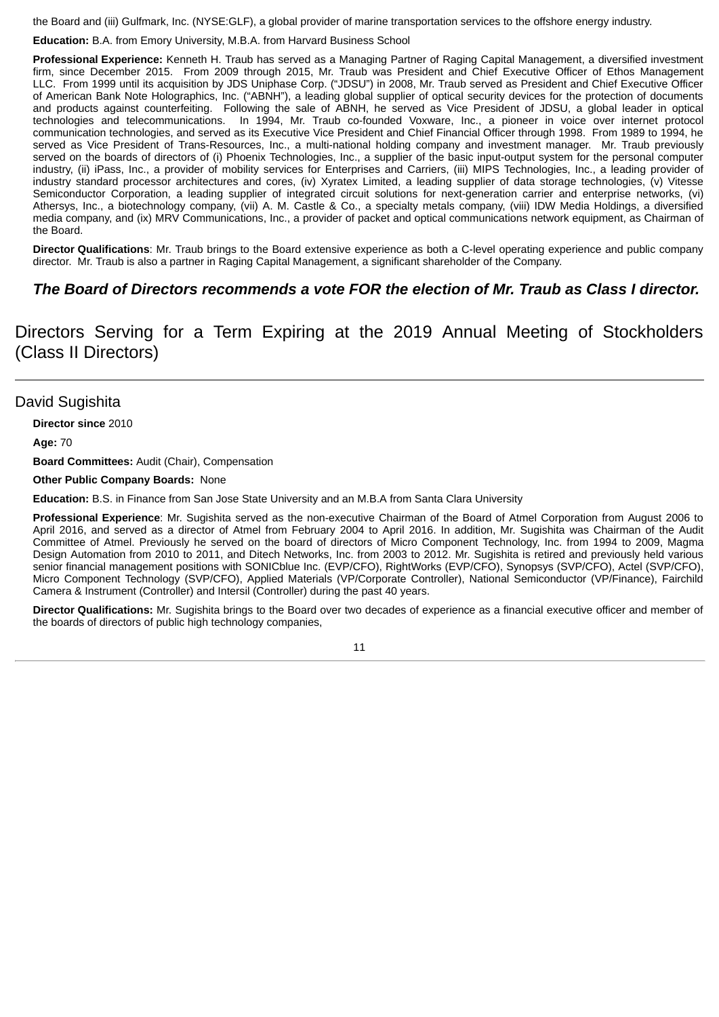the Board and (iii) Gulfmark, Inc. (NYSE:GLF), a global provider of marine transportation services to the offshore energy industry.

**Education:** B.A. from Emory University, M.B.A. from Harvard Business School

**Professional Experience:** Kenneth H. Traub has served as a Managing Partner of Raging Capital Management, a diversified investment firm, since December 2015. From 2009 through 2015, Mr. Traub was President and Chief Executive Officer of Ethos Management LLC. From 1999 until its acquisition by JDS Uniphase Corp. ("JDSU") in 2008, Mr. Traub served as President and Chief Executive Officer of American Bank Note Holographics, Inc. ("ABNH"), a leading global supplier of optical security devices for the protection of documents and products against counterfeiting. Following the sale of ABNH, he served as Vice President of JDSU, a global leader in optical technologies and telecommunications. In 1994, Mr. Traub co-founded Voxware, Inc., a pioneer in voice over internet protocol communication technologies, and served as its Executive Vice President and Chief Financial Officer through 1998. From 1989 to 1994, he served as Vice President of Trans-Resources, Inc., a multi-national holding company and investment manager. Mr. Traub previously served on the boards of directors of (i) Phoenix Technologies, Inc., a supplier of the basic input-output system for the personal computer industry, (ii) iPass, Inc., a provider of mobility services for Enterprises and Carriers, (iii) MIPS Technologies, Inc., a leading provider of industry standard processor architectures and cores, (iv) Xyratex Limited, a leading supplier of data storage technologies, (v) Vitesse Semiconductor Corporation, a leading supplier of integrated circuit solutions for next-generation carrier and enterprise networks, (vi) Athersys, Inc., a biotechnology company, (vii) A. M. Castle & Co., a specialty metals company, (viii) IDW Media Holdings, a diversified media company, and (ix) MRV Communications, Inc., a provider of packet and optical communications network equipment, as Chairman of the Board.

**Director Qualifications**: Mr. Traub brings to the Board extensive experience as both a C-level operating experience and public company director. Mr. Traub is also a partner in Raging Capital Management, a significant shareholder of the Company.

#### *The Board of Directors recommends a vote FOR the election of Mr. Traub as Class I director.*

Directors Serving for a Term Expiring at the 2019 Annual Meeting of Stockholders (Class II Directors)

#### David Sugishita

**Director since** 2010

**Age:** 70

**Board Committees:** Audit (Chair), Compensation

**Other Public Company Boards:** None

**Education:** B.S. in Finance from San Jose State University and an M.B.A from Santa Clara University

**Professional Experience**: Mr. Sugishita served as the non-executive Chairman of the Board of Atmel Corporation from August 2006 to April 2016, and served as a director of Atmel from February 2004 to April 2016. In addition, Mr. Sugishita was Chairman of the Audit Committee of Atmel. Previously he served on the board of directors of Micro Component Technology, Inc. from 1994 to 2009, Magma Design Automation from 2010 to 2011, and Ditech Networks, Inc. from 2003 to 2012. Mr. Sugishita is retired and previously held various senior financial management positions with SONICblue Inc. (EVP/CFO), RightWorks (EVP/CFO), Synopsys (SVP/CFO), Actel (SVP/CFO), Micro Component Technology (SVP/CFO), Applied Materials (VP/Corporate Controller), National Semiconductor (VP/Finance), Fairchild Camera & Instrument (Controller) and Intersil (Controller) during the past 40 years.

**Director Qualifications:** Mr. Sugishita brings to the Board over two decades of experience as a financial executive officer and member of the boards of directors of public high technology companies,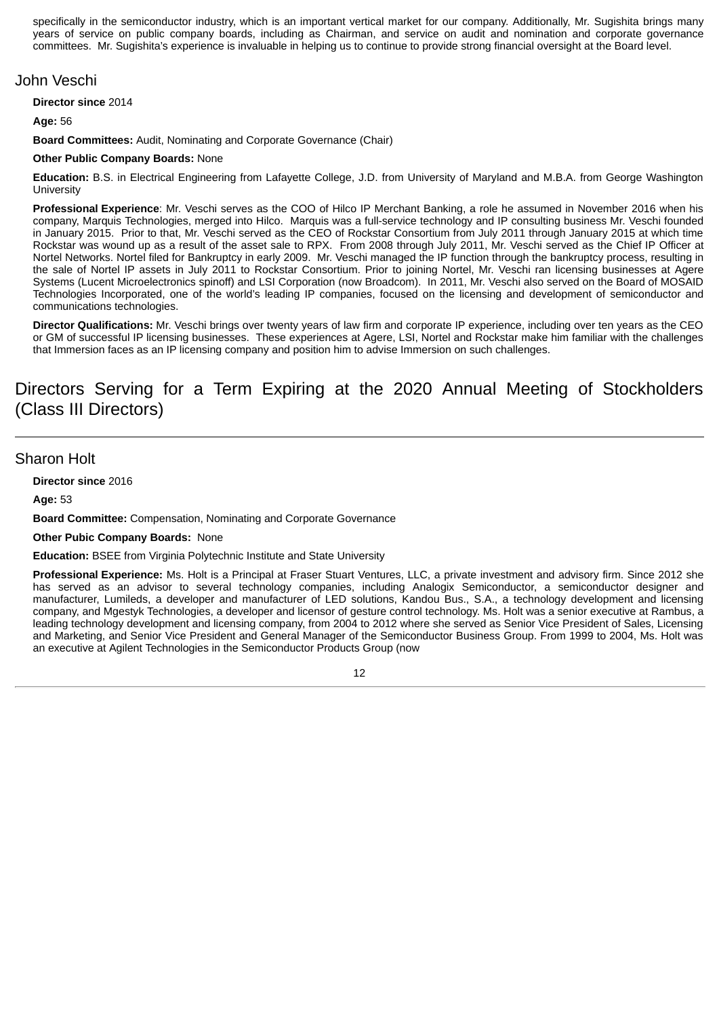specifically in the semiconductor industry, which is an important vertical market for our company. Additionally, Mr. Sugishita brings many years of service on public company boards, including as Chairman, and service on audit and nomination and corporate governance committees. Mr. Sugishita's experience is invaluable in helping us to continue to provide strong financial oversight at the Board level.

#### John Veschi

**Director since** 2014

**Age:** 56

**Board Committees:** Audit, Nominating and Corporate Governance (Chair)

#### **Other Public Company Boards:** None

**Education:** B.S. in Electrical Engineering from Lafayette College, J.D. from University of Maryland and M.B.A. from George Washington **University** 

**Professional Experience**: Mr. Veschi serves as the COO of Hilco IP Merchant Banking, a role he assumed in November 2016 when his company, Marquis Technologies, merged into Hilco. Marquis was a full-service technology and IP consulting business Mr. Veschi founded in January 2015. Prior to that, Mr. Veschi served as the CEO of Rockstar Consortium from July 2011 through January 2015 at which time Rockstar was wound up as a result of the asset sale to RPX. From 2008 through July 2011, Mr. Veschi served as the Chief IP Officer at Nortel Networks. Nortel filed for Bankruptcy in early 2009. Mr. Veschi managed the IP function through the bankruptcy process, resulting in the sale of Nortel IP assets in July 2011 to Rockstar Consortium. Prior to joining Nortel, Mr. Veschi ran licensing businesses at Agere Systems (Lucent Microelectronics spinoff) and LSI Corporation (now Broadcom). In 2011, Mr. Veschi also served on the Board of MOSAID Technologies Incorporated, one of the world's leading IP companies, focused on the licensing and development of semiconductor and communications technologies.

**Director Qualifications:** Mr. Veschi brings over twenty years of law firm and corporate IP experience, including over ten years as the CEO or GM of successful IP licensing businesses. These experiences at Agere, LSI, Nortel and Rockstar make him familiar with the challenges that Immersion faces as an IP licensing company and position him to advise Immersion on such challenges.

## Directors Serving for a Term Expiring at the 2020 Annual Meeting of Stockholders (Class III Directors)

#### Sharon Holt

**Director since** 2016

**Age:** 53

**Board Committee:** Compensation, Nominating and Corporate Governance

**Other Pubic Company Boards:** None

**Education:** BSEE from Virginia Polytechnic Institute and State University

**Professional Experience:** Ms. Holt is a Principal at Fraser Stuart Ventures, LLC, a private investment and advisory firm. Since 2012 she has served as an advisor to several technology companies, including Analogix Semiconductor, a semiconductor designer and manufacturer, Lumileds, a developer and manufacturer of LED solutions, Kandou Bus., S.A., a technology development and licensing company, and Mgestyk Technologies, a developer and licensor of gesture control technology. Ms. Holt was a senior executive at Rambus, a leading technology development and licensing company, from 2004 to 2012 where she served as Senior Vice President of Sales, Licensing and Marketing, and Senior Vice President and General Manager of the Semiconductor Business Group. From 1999 to 2004, Ms. Holt was an executive at Agilent Technologies in the Semiconductor Products Group (now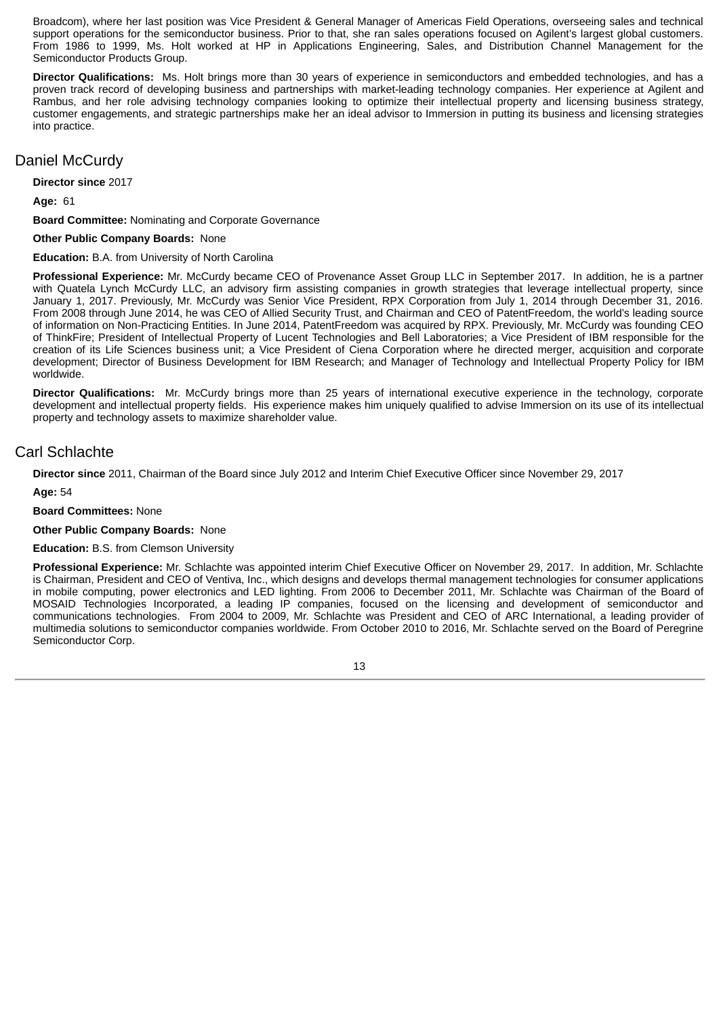Broadcom), where her last position was Vice President & General Manager of Americas Field Operations, overseeing sales and technical support operations for the semiconductor business. Prior to that, she ran sales operations focused on Agilent's largest global customers. From 1986 to 1999, Ms. Holt worked at HP in Applications Engineering, Sales, and Distribution Channel Management for the Semiconductor Products Group.

**Director Qualifications:** Ms. Holt brings more than 30 years of experience in semiconductors and embedded technologies, and has a proven track record of developing business and partnerships with market-leading technology companies. Her experience at Agilent and Rambus, and her role advising technology companies looking to optimize their intellectual property and licensing business strategy, customer engagements, and strategic partnerships make her an ideal advisor to Immersion in putting its business and licensing strategies into practice.

#### Daniel McCurdy

**Director since** 2017

**Age:** 61

**Board Committee:** Nominating and Corporate Governance

**Other Public Company Boards:** None

**Education:** B.A. from University of North Carolina

**Professional Experience:** Mr. McCurdy became CEO of Provenance Asset Group LLC in September 2017. In addition, he is a partner with Quatela Lynch McCurdy LLC, an advisory firm assisting companies in growth strategies that leverage intellectual property, since January 1, 2017. Previously, Mr. McCurdy was Senior Vice President, RPX Corporation from July 1, 2014 through December 31, 2016. From 2008 through June 2014, he was CEO of Allied Security Trust, and Chairman and CEO of PatentFreedom, the world's leading source of information on Non-Practicing Entities. In June 2014, PatentFreedom was acquired by RPX. Previously, Mr. McCurdy was founding CEO of ThinkFire; President of Intellectual Property of Lucent Technologies and Bell Laboratories; a Vice President of IBM responsible for the creation of its Life Sciences business unit; a Vice President of Ciena Corporation where he directed merger, acquisition and corporate development; Director of Business Development for IBM Research; and Manager of Technology and Intellectual Property Policy for IBM worldwide.

**Director Qualifications:** Mr. McCurdy brings more than 25 years of international executive experience in the technology, corporate development and intellectual property fields. His experience makes him uniquely qualified to advise Immersion on its use of its intellectual property and technology assets to maximize shareholder value.

#### Carl Schlachte

**Director since** 2011, Chairman of the Board since July 2012 and Interim Chief Executive Officer since November 29, 2017

**Age:** 54

**Board Committees:** None

**Other Public Company Boards:** None

**Education:** B.S. from Clemson University

**Professional Experience:** Mr. Schlachte was appointed interim Chief Executive Officer on November 29, 2017. In addition, Mr. Schlachte is Chairman, President and CEO of Ventiva, Inc., which designs and develops thermal management technologies for consumer applications in mobile computing, power electronics and LED lighting. From 2006 to December 2011, Mr. Schlachte was Chairman of the Board of MOSAID Technologies Incorporated, a leading IP companies, focused on the licensing and development of semiconductor and communications technologies. From 2004 to 2009, Mr. Schlachte was President and CEO of ARC International, a leading provider of multimedia solutions to semiconductor companies worldwide. From October 2010 to 2016, Mr. Schlachte served on the Board of Peregrine Semiconductor Corp.

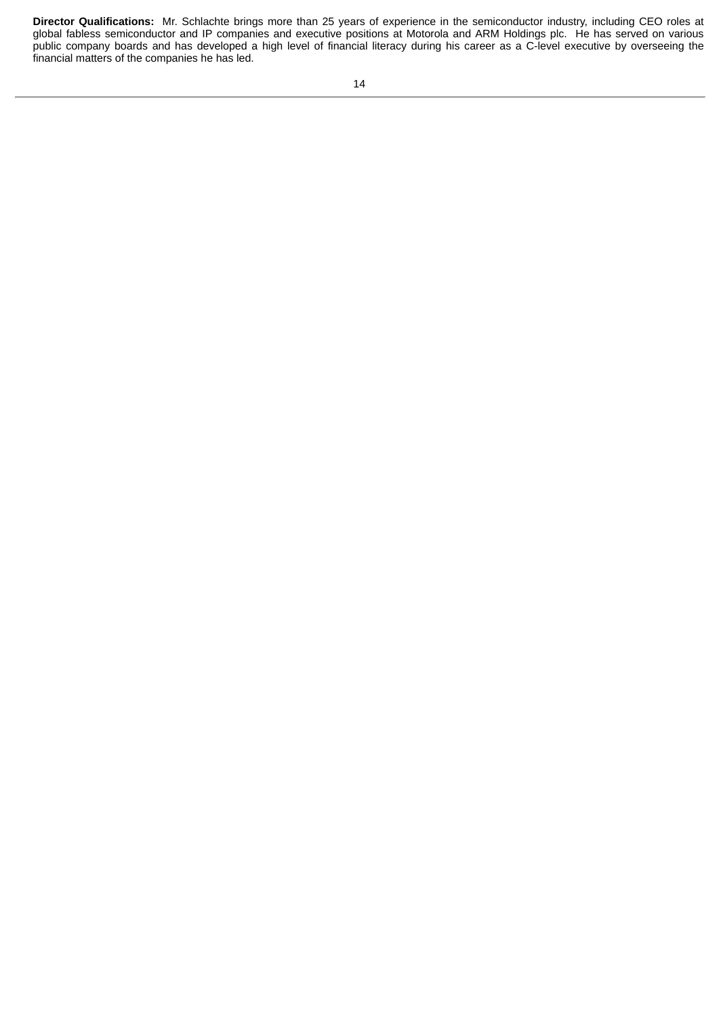**Director Qualifications:** Mr. Schlachte brings more than 25 years of experience in the semiconductor industry, including CEO roles at global fabless semiconductor and IP companies and executive positions at Motorola and ARM Holdings plc. He has served on various public company boards and has developed a high level of financial literacy during his career as a C-level executive by overseeing the financial matters of the companies he has led.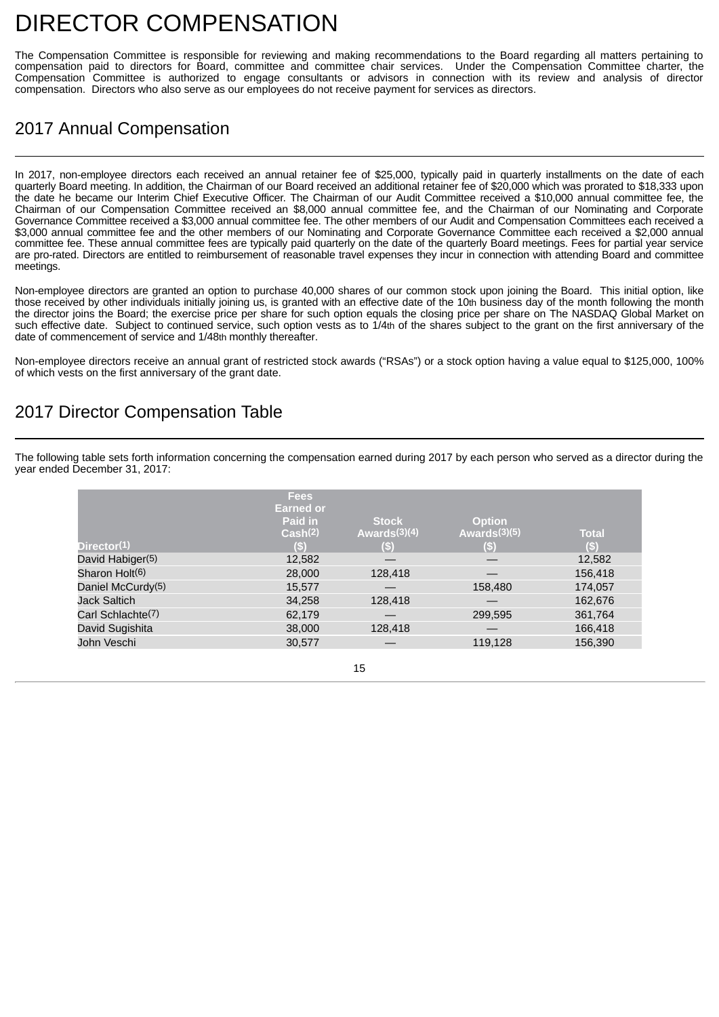## <span id="page-19-0"></span>DIRECTOR COMPENSATION

The Compensation Committee is responsible for reviewing and making recommendations to the Board regarding all matters pertaining to compensation paid to directors for Board, committee and committee chair services. Under the Compensation Committee charter, the Compensation Committee is authorized to engage consultants or advisors in connection with its review and analysis of director compensation. Directors who also serve as our employees do not receive payment for services as directors.

## 2017 Annual Compensation

In 2017, non-employee directors each received an annual retainer fee of \$25,000, typically paid in quarterly installments on the date of each quarterly Board meeting. In addition, the Chairman of our Board received an additional retainer fee of \$20,000 which was prorated to \$18,333 upon the date he became our Interim Chief Executive Officer. The Chairman of our Audit Committee received a \$10,000 annual committee fee, the Chairman of our Compensation Committee received an \$8,000 annual committee fee, and the Chairman of our Nominating and Corporate Governance Committee received a \$3,000 annual committee fee. The other members of our Audit and Compensation Committees each received a \$3,000 annual committee fee and the other members of our Nominating and Corporate Governance Committee each received a \$2,000 annual committee fee. These annual committee fees are typically paid quarterly on the date of the quarterly Board meetings. Fees for partial year service are pro-rated. Directors are entitled to reimbursement of reasonable travel expenses they incur in connection with attending Board and committee meetings.

Non-employee directors are granted an option to purchase 40,000 shares of our common stock upon joining the Board. This initial option, like those received by other individuals initially joining us, is granted with an effective date of the 10th business day of the month following the month the director joins the Board; the exercise price per share for such option equals the closing price per share on The NASDAQ Global Market on such effective date. Subject to continued service, such option vests as to 1/4th of the shares subject to the grant on the first anniversary of the date of commencement of service and 1/48th monthly thereafter.

Non-employee directors receive an annual grant of restricted stock awards ("RSAs") or a stock option having a value equal to \$125,000, 100% of which vests on the first anniversary of the grant date.

## 2017 Director Compensation Table

The following table sets forth information concerning the compensation earned during 2017 by each person who served as a director during the year ended December 31, 2017:

| Director(1)                   | <b>Fees</b><br><b>Earned or</b><br>Paid in<br>Cash(2)<br>(S) | <b>Stock</b><br>Awards $(3)(4)$<br>(\$) | <b>Option</b><br>Awards $(3)(5)$<br>$\left( \mathbb{S}\right)$ | <b>Total</b><br>(S) |
|-------------------------------|--------------------------------------------------------------|-----------------------------------------|----------------------------------------------------------------|---------------------|
| David Habiger(5)              | 12,582                                                       |                                         |                                                                | 12,582              |
| Sharon Holt(6)                | 28,000                                                       | 128,418                                 |                                                                | 156,418             |
| Daniel McCurdy <sup>(5)</sup> | 15,577                                                       |                                         | 158,480                                                        | 174,057             |
| <b>Jack Saltich</b>           | 34,258                                                       | 128,418                                 |                                                                | 162,676             |
| Carl Schlachte(7)             | 62,179                                                       |                                         | 299.595                                                        | 361,764             |
| David Sugishita               | 38,000                                                       | 128,418                                 |                                                                | 166,418             |
| John Veschi                   | 30,577                                                       |                                         | 119,128                                                        | 156,390             |

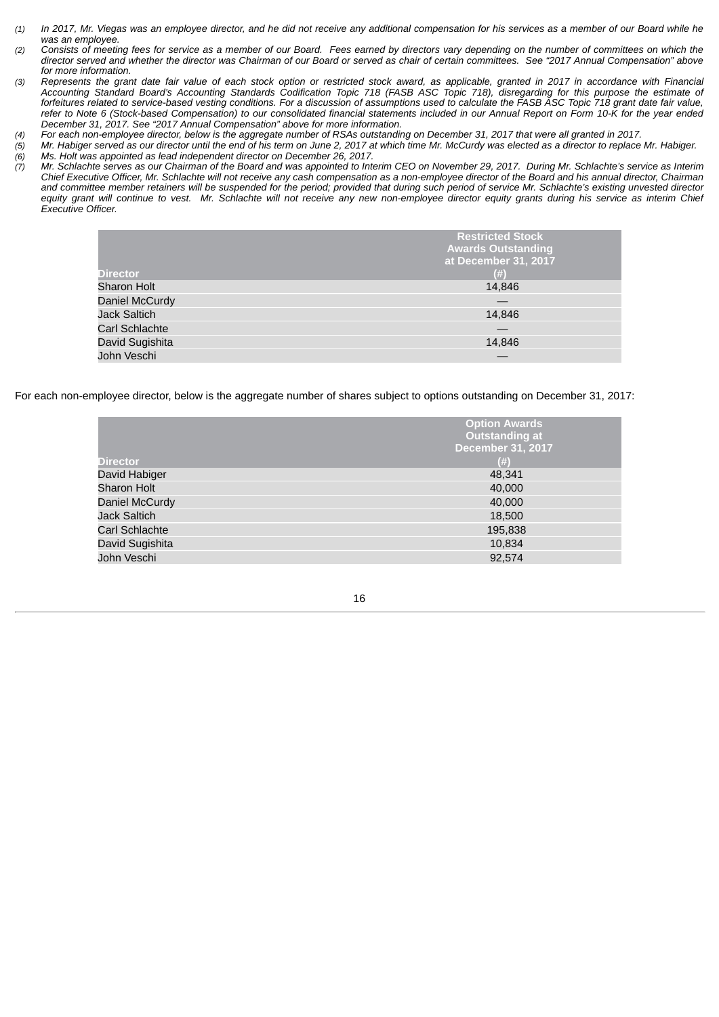- *(1) In 2017, Mr. Viegas was an employee director, and he did not receive any additional compensation for his services as a member of our Board while he was an employee.*
- *(2) Consists of meeting fees for service as a member of our Board. Fees earned by directors vary depending on the number of committees on which the director served and whether the director was Chairman of our Board or served as chair of certain committees. See "2017 Annual Compensation" above for more information.*
- *(3) Represents the grant date fair value of each stock option or restricted stock award, as applicable, granted in 2017 in accordance with Financial Accounting Standard Board's Accounting Standards Codification Topic 718 (FASB ASC Topic 718), disregarding for this purpose the estimate of forfeitures related to service-based vesting conditions. For a discussion of assumptions used to calculate the FASB ASC Topic 718 grant date fair value, refer to Note 6 (Stock-based Compensation) to our consolidated financial statements included in our Annual Report on Form 10-K for the year ended December 31, 2017. See "2017 Annual Compensation" above for more information.*
- *(4) For each non-employee director, below is the aggregate number of RSAs outstanding on December 31, 2017 that were all granted in 2017.*
- *(5) Mr. Habiger served as our director until the end of his term on June 2, 2017 at which time Mr. McCurdy was elected as a director to replace Mr. Habiger. (6) Ms. Holt was appointed as lead independent director on December 26, 2017.*
- *(7) Mr. Schlachte serves as our Chairman of the Board and was appointed to Interim CEO on November 29, 2017. During Mr. Schlachte's service as Interim Chief Executive Officer, Mr. Schlachte will not receive any cash compensation as a non-employee director of the Board and his annual director, Chairman and committee member retainers will be suspended for the period; provided that during such period of service Mr. Schlachte's existing unvested director equity grant will continue to vest. Mr. Schlachte will not receive any new non-employee director equity grants during his service as interim Chief Executive Officer.*

|                     | <b>Restricted Stock</b><br><b>Awards Outstanding</b><br>at December 31, 2017 |
|---------------------|------------------------------------------------------------------------------|
| <b>Director</b>     | (# )                                                                         |
| <b>Sharon Holt</b>  | 14.846                                                                       |
| Daniel McCurdy      |                                                                              |
| <b>Jack Saltich</b> | 14,846                                                                       |
| Carl Schlachte      |                                                                              |
| David Sugishita     | 14.846                                                                       |
| John Veschi         |                                                                              |

For each non-employee director, below is the aggregate number of shares subject to options outstanding on December 31, 2017:

|                     | <b>Option Awards</b><br>Outstanding at<br><b>December 31, 2017</b> |
|---------------------|--------------------------------------------------------------------|
| <b>Director</b>     | (# )                                                               |
| David Habiger       | 48,341                                                             |
| <b>Sharon Holt</b>  | 40,000                                                             |
| Daniel McCurdy      | 40,000                                                             |
| <b>Jack Saltich</b> | 18,500                                                             |
| Carl Schlachte      | 195,838                                                            |
| David Sugishita     | 10,834                                                             |
| John Veschi         | 92,574                                                             |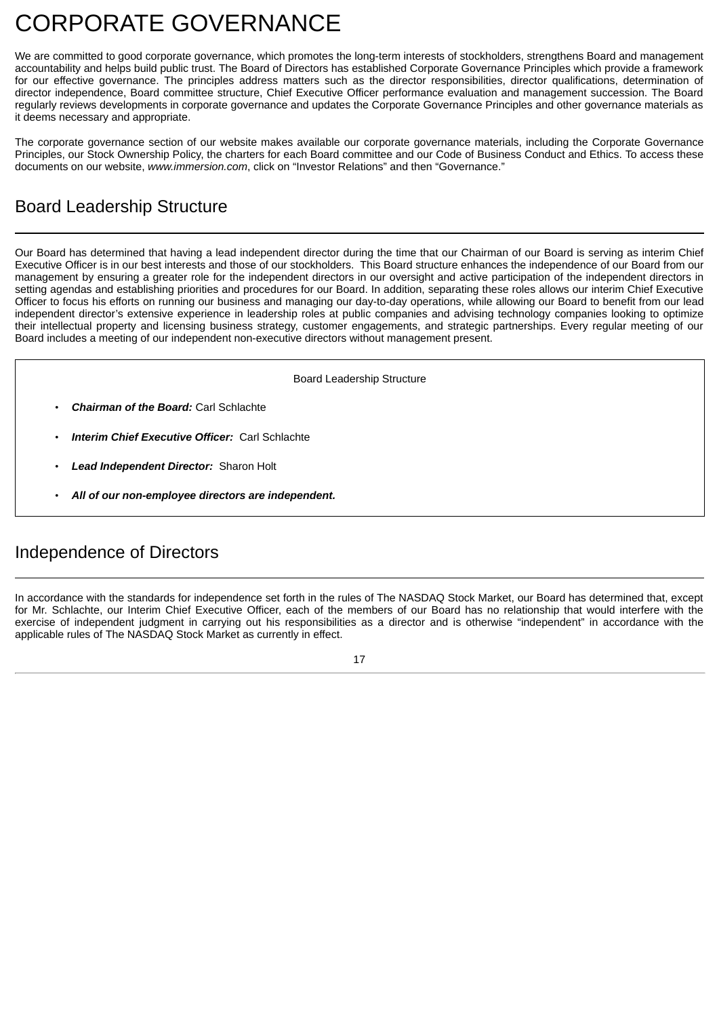# <span id="page-21-0"></span>CORPORATE GOVERNANCE

We are committed to good corporate governance, which promotes the long-term interests of stockholders, strengthens Board and management accountability and helps build public trust. The Board of Directors has established Corporate Governance Principles which provide a framework for our effective governance. The principles address matters such as the director responsibilities, director qualifications, determination of director independence, Board committee structure, Chief Executive Officer performance evaluation and management succession. The Board regularly reviews developments in corporate governance and updates the Corporate Governance Principles and other governance materials as it deems necessary and appropriate.

The corporate governance section of our website makes available our corporate governance materials, including the Corporate Governance Principles, our Stock Ownership Policy, the charters for each Board committee and our Code of Business Conduct and Ethics. To access these documents on our website, *www.immersion.com*, click on "Investor Relations" and then "Governance."

## Board Leadership Structure

Our Board has determined that having a lead independent director during the time that our Chairman of our Board is serving as interim Chief Executive Officer is in our best interests and those of our stockholders. This Board structure enhances the independence of our Board from our management by ensuring a greater role for the independent directors in our oversight and active participation of the independent directors in setting agendas and establishing priorities and procedures for our Board. In addition, separating these roles allows our interim Chief Executive Officer to focus his efforts on running our business and managing our day-to-day operations, while allowing our Board to benefit from our lead independent director's extensive experience in leadership roles at public companies and advising technology companies looking to optimize their intellectual property and licensing business strategy, customer engagements, and strategic partnerships. Every regular meeting of our Board includes a meeting of our independent non-executive directors without management present.

Board Leadership Structure

- *Chairman of the Board:* Carl Schlachte
- *Interim Chief Executive Officer:* Carl Schlachte
- *Lead Independent Director:* Sharon Holt
- *All of our non-employee directors are independent.*

## Independence of Directors

In accordance with the standards for independence set forth in the rules of The NASDAQ Stock Market, our Board has determined that, except for Mr. Schlachte, our Interim Chief Executive Officer, each of the members of our Board has no relationship that would interfere with the exercise of independent judgment in carrying out his responsibilities as a director and is otherwise "independent" in accordance with the applicable rules of The NASDAQ Stock Market as currently in effect.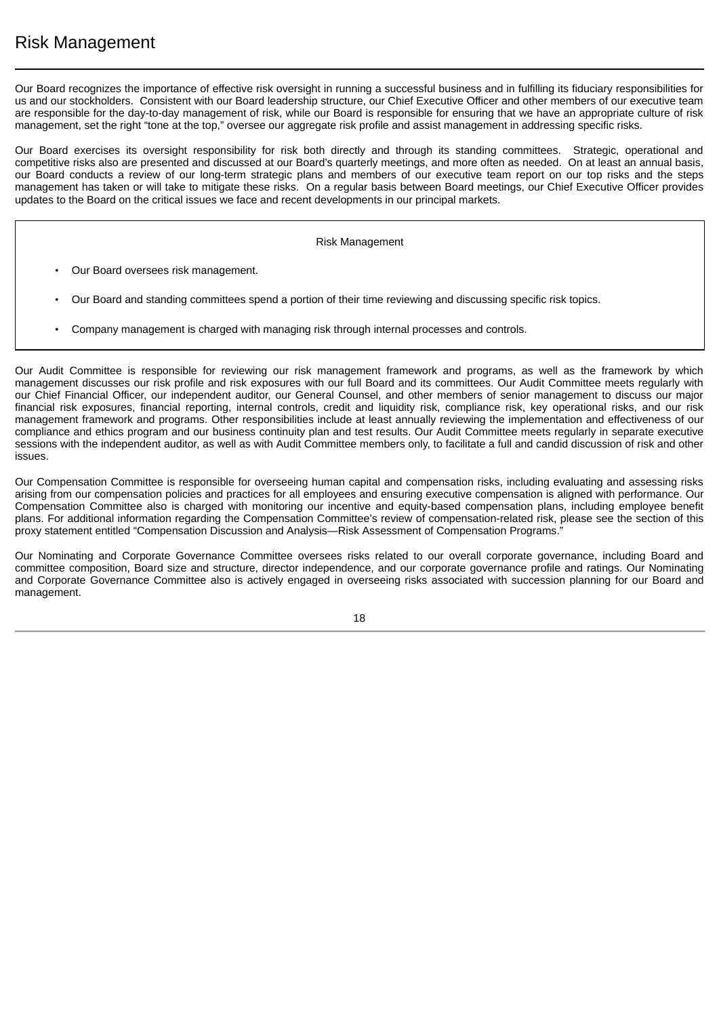Our Board recognizes the importance of effective risk oversight in running a successful business and in fulfilling its fiduciary responsibilities for us and our stockholders. Consistent with our Board leadership structure, our Chief Executive Officer and other members of our executive team are responsible for the day-to-day management of risk, while our Board is responsible for ensuring that we have an appropriate culture of risk management, set the right "tone at the top," oversee our aggregate risk profile and assist management in addressing specific risks.

Our Board exercises its oversight responsibility for risk both directly and through its standing committees. Strategic, operational and competitive risks also are presented and discussed at our Board's quarterly meetings, and more often as needed. On at least an annual basis, our Board conducts a review of our long-term strategic plans and members of our executive team report on our top risks and the steps management has taken or will take to mitigate these risks. On a regular basis between Board meetings, our Chief Executive Officer provides updates to the Board on the critical issues we face and recent developments in our principal markets.

#### Risk Management

- Our Board oversees risk management.
- Our Board and standing committees spend a portion of their time reviewing and discussing specific risk topics.
- Company management is charged with managing risk through internal processes and controls.

Our Audit Committee is responsible for reviewing our risk management framework and programs, as well as the framework by which management discusses our risk profile and risk exposures with our full Board and its committees. Our Audit Committee meets regularly with our Chief Financial Officer, our independent auditor, our General Counsel, and other members of senior management to discuss our major financial risk exposures, financial reporting, internal controls, credit and liquidity risk, compliance risk, key operational risks, and our risk management framework and programs. Other responsibilities include at least annually reviewing the implementation and effectiveness of our compliance and ethics program and our business continuity plan and test results. Our Audit Committee meets regularly in separate executive sessions with the independent auditor, as well as with Audit Committee members only, to facilitate a full and candid discussion of risk and other issues.

Our Compensation Committee is responsible for overseeing human capital and compensation risks, including evaluating and assessing risks arising from our compensation policies and practices for all employees and ensuring executive compensation is aligned with performance. Our Compensation Committee also is charged with monitoring our incentive and equity-based compensation plans, including employee benefit plans. For additional information regarding the Compensation Committee's review of compensation-related risk, please see the section of this proxy statement entitled "Compensation Discussion and Analysis—Risk Assessment of Compensation Programs."

Our Nominating and Corporate Governance Committee oversees risks related to our overall corporate governance, including Board and committee composition, Board size and structure, director independence, and our corporate governance profile and ratings. Our Nominating and Corporate Governance Committee also is actively engaged in overseeing risks associated with succession planning for our Board and management.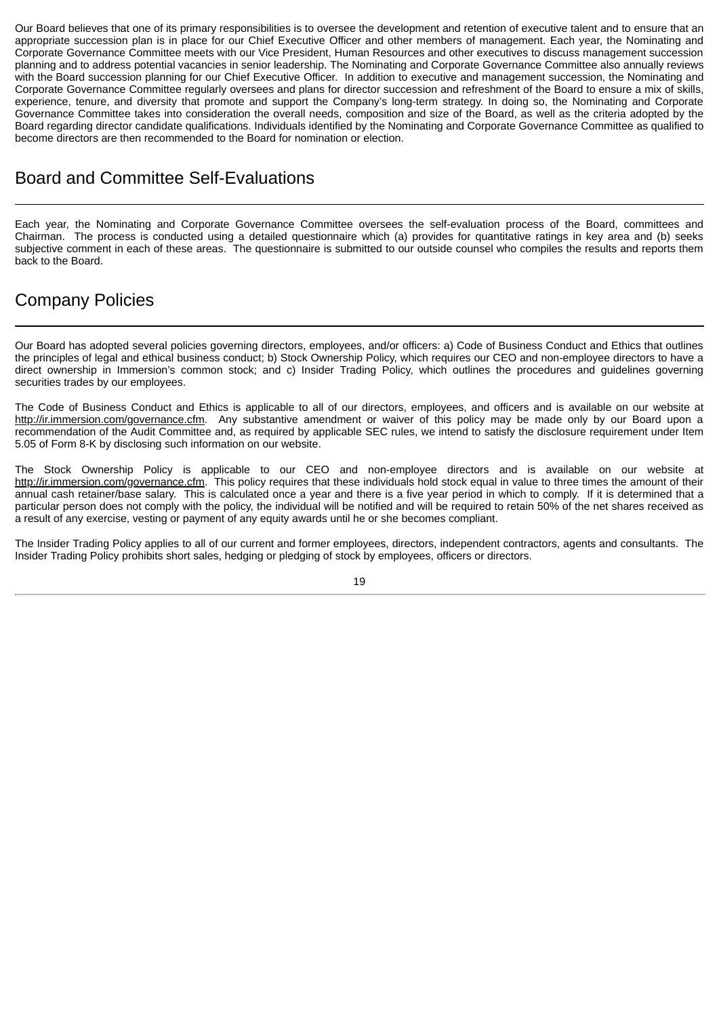Our Board believes that one of its primary responsibilities is to oversee the development and retention of executive talent and to ensure that an appropriate succession plan is in place for our Chief Executive Officer and other members of management. Each year, the Nominating and Corporate Governance Committee meets with our Vice President, Human Resources and other executives to discuss management succession planning and to address potential vacancies in senior leadership. The Nominating and Corporate Governance Committee also annually reviews with the Board succession planning for our Chief Executive Officer. In addition to executive and management succession, the Nominating and Corporate Governance Committee regularly oversees and plans for director succession and refreshment of the Board to ensure a mix of skills, experience, tenure, and diversity that promote and support the Company's long-term strategy. In doing so, the Nominating and Corporate Governance Committee takes into consideration the overall needs, composition and size of the Board, as well as the criteria adopted by the Board regarding director candidate qualifications. Individuals identified by the Nominating and Corporate Governance Committee as qualified to become directors are then recommended to the Board for nomination or election.

## Board and Committee Self-Evaluations

Each year, the Nominating and Corporate Governance Committee oversees the self-evaluation process of the Board, committees and Chairman. The process is conducted using a detailed questionnaire which (a) provides for quantitative ratings in key area and (b) seeks subjective comment in each of these areas. The questionnaire is submitted to our outside counsel who compiles the results and reports them back to the Board.

## Company Policies

Our Board has adopted several policies governing directors, employees, and/or officers: a) Code of Business Conduct and Ethics that outlines the principles of legal and ethical business conduct; b) Stock Ownership Policy, which requires our CEO and non-employee directors to have a direct ownership in Immersion's common stock; and c) Insider Trading Policy, which outlines the procedures and guidelines governing securities trades by our employees.

The Code of Business Conduct and Ethics is applicable to all of our directors, employees, and officers and is available on our website at http://ir.immersion.com/governance.cfm. Any substantive amendment or waiver of this policy may be made only by our Board upon a recommendation of the Audit Committee and, as required by applicable SEC rules, we intend to satisfy the disclosure requirement under Item 5.05 of Form 8-K by disclosing such information on our website.

The Stock Ownership Policy is applicable to our CEO and non-employee directors and is available on our website at http://ir.immersion.com/governance.cfm. This policy requires that these individuals hold stock equal in value to three times the amount of their annual cash retainer/base salary. This is calculated once a year and there is a five year period in which to comply. If it is determined that a particular person does not comply with the policy, the individual will be notified and will be required to retain 50% of the net shares received as a result of any exercise, vesting or payment of any equity awards until he or she becomes compliant.

The Insider Trading Policy applies to all of our current and former employees, directors, independent contractors, agents and consultants. The Insider Trading Policy prohibits short sales, hedging or pledging of stock by employees, officers or directors.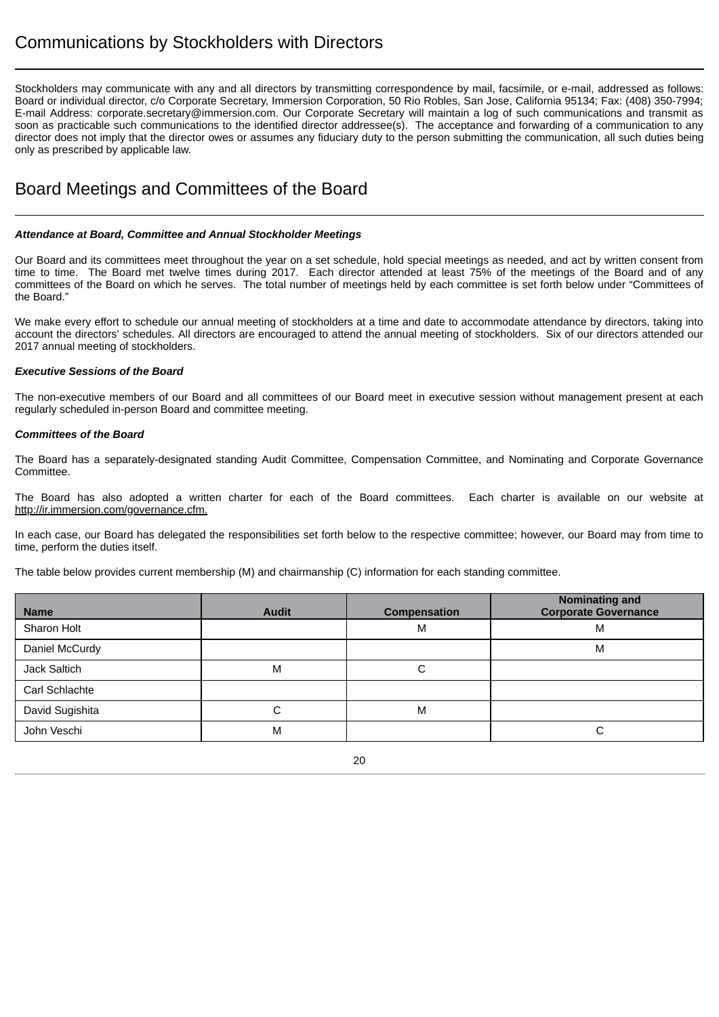## Communications by Stockholders with Directors

Stockholders may communicate with any and all directors by transmitting correspondence by mail, facsimile, or e-mail, addressed as follows: Board or individual director, c/o Corporate Secretary, Immersion Corporation, 50 Rio Robles, San Jose, California 95134; Fax: (408) 350-7994; E-mail Address: corporate.secretary@immersion.com. Our Corporate Secretary will maintain a log of such communications and transmit as soon as practicable such communications to the identified director addressee(s). The acceptance and forwarding of a communication to any director does not imply that the director owes or assumes any fiduciary duty to the person submitting the communication, all such duties being only as prescribed by applicable law.

## Board Meetings and Committees of the Board

#### *Attendance at Board, Committee and Annual Stockholder Meetings*

Our Board and its committees meet throughout the year on a set schedule, hold special meetings as needed, and act by written consent from time to time. The Board met twelve times during 2017. Each director attended at least 75% of the meetings of the Board and of any committees of the Board on which he serves. The total number of meetings held by each committee is set forth below under "Committees of the Board."

We make every effort to schedule our annual meeting of stockholders at a time and date to accommodate attendance by directors, taking into account the directors' schedules. All directors are encouraged to attend the annual meeting of stockholders. Six of our directors attended our 2017 annual meeting of stockholders.

#### *Executive Sessions of the Board*

The non-executive members of our Board and all committees of our Board meet in executive session without management present at each regularly scheduled in-person Board and committee meeting.

#### *Committees of the Board*

The Board has a separately-designated standing Audit Committee, Compensation Committee, and Nominating and Corporate Governance Committee.

The Board has also adopted a written charter for each of the Board committees. Each charter is available on our website at http://ir.immersion.com/governance.cfm.

In each case, our Board has delegated the responsibilities set forth below to the respective committee; however, our Board may from time to time, perform the duties itself.

The table below provides current membership (M) and chairmanship (C) information for each standing committee.

| <b>Name</b>        | <b>Audit</b> | Compensation | <b>Nominating and</b><br><b>Corporate Governance</b> |
|--------------------|--------------|--------------|------------------------------------------------------|
| <b>Sharon Holt</b> |              | M            | M                                                    |
| Daniel McCurdy     |              |              | M                                                    |
| Jack Saltich       | M            | С            |                                                      |
| Carl Schlachte     |              |              |                                                      |
| David Sugishita    | С            | M            |                                                      |
| John Veschi        | M            |              |                                                      |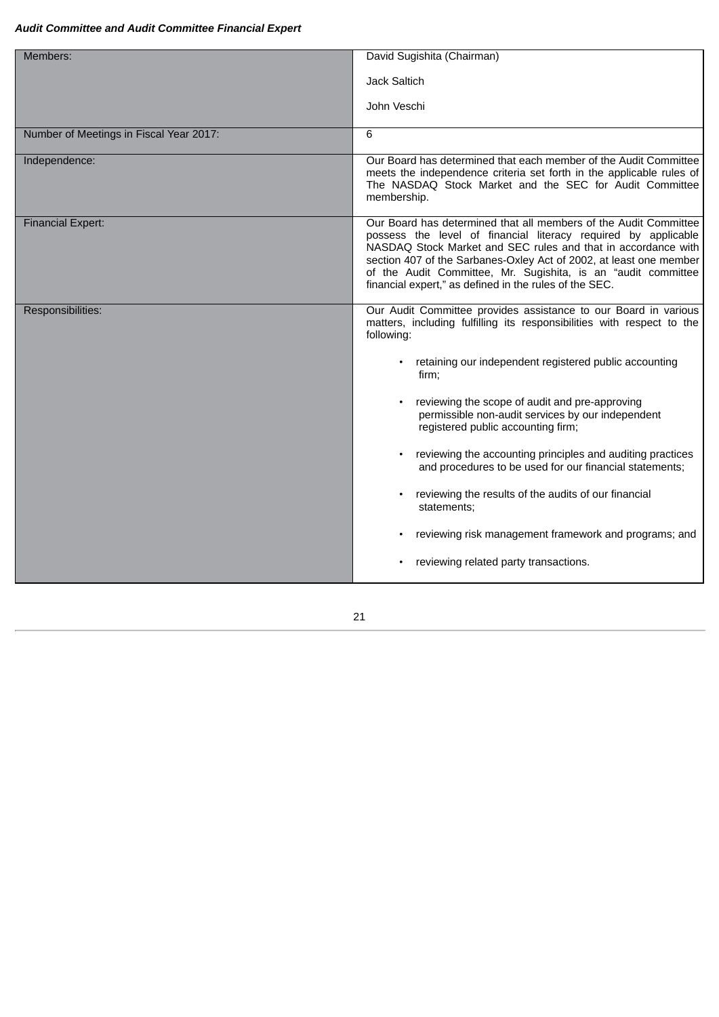#### *Audit Committee and Audit Committee Financial Expert*

| Members:                                | David Sugishita (Chairman)                                                                                                                                                                                                                                                                                                                                                                           |
|-----------------------------------------|------------------------------------------------------------------------------------------------------------------------------------------------------------------------------------------------------------------------------------------------------------------------------------------------------------------------------------------------------------------------------------------------------|
|                                         | <b>Jack Saltich</b>                                                                                                                                                                                                                                                                                                                                                                                  |
|                                         | John Veschi                                                                                                                                                                                                                                                                                                                                                                                          |
| Number of Meetings in Fiscal Year 2017: | 6                                                                                                                                                                                                                                                                                                                                                                                                    |
| Independence:                           | Our Board has determined that each member of the Audit Committee<br>meets the independence criteria set forth in the applicable rules of<br>The NASDAQ Stock Market and the SEC for Audit Committee<br>membership.                                                                                                                                                                                   |
| <b>Financial Expert:</b>                | Our Board has determined that all members of the Audit Committee<br>possess the level of financial literacy required by applicable<br>NASDAQ Stock Market and SEC rules and that in accordance with<br>section 407 of the Sarbanes-Oxley Act of 2002, at least one member<br>of the Audit Committee, Mr. Sugishita, is an "audit committee<br>financial expert," as defined in the rules of the SEC. |
| Responsibilities:                       | Our Audit Committee provides assistance to our Board in various<br>matters, including fulfilling its responsibilities with respect to the<br>following:                                                                                                                                                                                                                                              |
|                                         | retaining our independent registered public accounting<br>firm;                                                                                                                                                                                                                                                                                                                                      |
|                                         | reviewing the scope of audit and pre-approving<br>permissible non-audit services by our independent<br>registered public accounting firm;                                                                                                                                                                                                                                                            |
|                                         | reviewing the accounting principles and auditing practices<br>and procedures to be used for our financial statements;                                                                                                                                                                                                                                                                                |
|                                         | reviewing the results of the audits of our financial<br>statements;                                                                                                                                                                                                                                                                                                                                  |
|                                         | reviewing risk management framework and programs; and                                                                                                                                                                                                                                                                                                                                                |
|                                         | reviewing related party transactions.                                                                                                                                                                                                                                                                                                                                                                |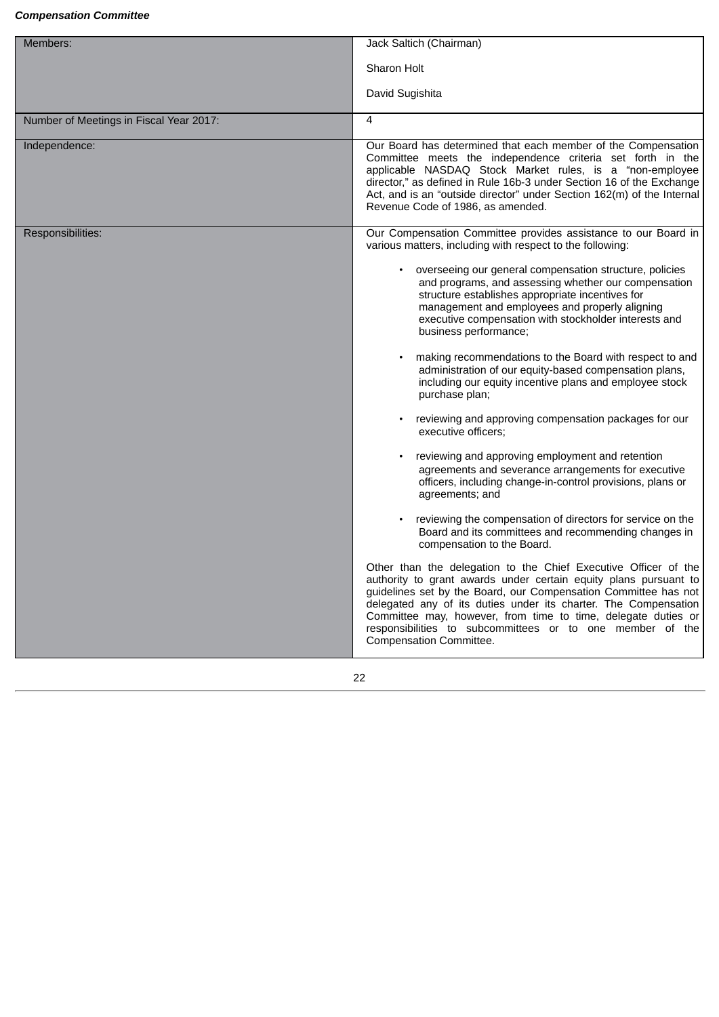#### *Compensation Committee*

| Members:                                | Jack Saltich (Chairman)                                                                                                                                                                                                                                                                                                                                                                                                            |
|-----------------------------------------|------------------------------------------------------------------------------------------------------------------------------------------------------------------------------------------------------------------------------------------------------------------------------------------------------------------------------------------------------------------------------------------------------------------------------------|
|                                         | Sharon Holt                                                                                                                                                                                                                                                                                                                                                                                                                        |
|                                         | David Sugishita                                                                                                                                                                                                                                                                                                                                                                                                                    |
| Number of Meetings in Fiscal Year 2017: | 4                                                                                                                                                                                                                                                                                                                                                                                                                                  |
| Independence:                           | Our Board has determined that each member of the Compensation<br>Committee meets the independence criteria set forth in the<br>applicable NASDAQ Stock Market rules, is a "non-employee<br>director," as defined in Rule 16b-3 under Section 16 of the Exchange<br>Act, and is an "outside director" under Section 162(m) of the Internal<br>Revenue Code of 1986, as amended.                                                     |
| Responsibilities:                       | Our Compensation Committee provides assistance to our Board in<br>various matters, including with respect to the following:                                                                                                                                                                                                                                                                                                        |
|                                         | overseeing our general compensation structure, policies<br>and programs, and assessing whether our compensation<br>structure establishes appropriate incentives for<br>management and employees and properly aligning<br>executive compensation with stockholder interests and<br>business performance;                                                                                                                            |
|                                         | making recommendations to the Board with respect to and<br>administration of our equity-based compensation plans,<br>including our equity incentive plans and employee stock<br>purchase plan;                                                                                                                                                                                                                                     |
|                                         | reviewing and approving compensation packages for our<br>executive officers;                                                                                                                                                                                                                                                                                                                                                       |
|                                         | reviewing and approving employment and retention<br>agreements and severance arrangements for executive<br>officers, including change-in-control provisions, plans or<br>agreements; and                                                                                                                                                                                                                                           |
|                                         | reviewing the compensation of directors for service on the<br>Board and its committees and recommending changes in<br>compensation to the Board.                                                                                                                                                                                                                                                                                   |
|                                         | Other than the delegation to the Chief Executive Officer of the<br>authority to grant awards under certain equity plans pursuant to<br>guidelines set by the Board, our Compensation Committee has not<br>delegated any of its duties under its charter. The Compensation<br>Committee may, however, from time to time, delegate duties or<br>responsibilities to subcommittees or to one member of the<br>Compensation Committee. |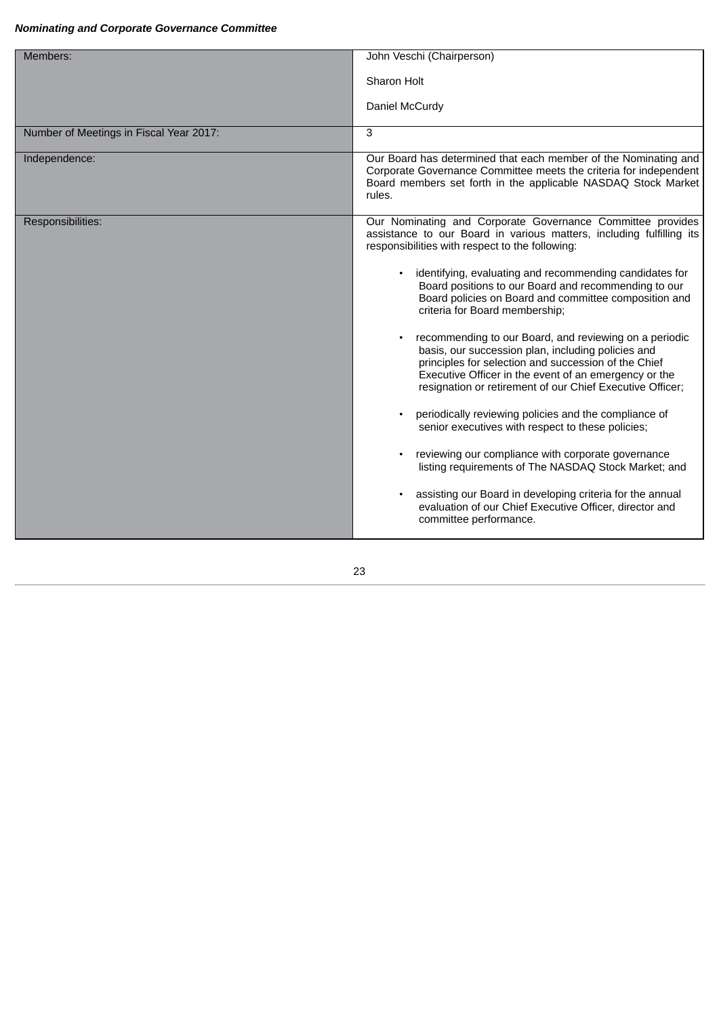#### *Nominating and Corporate Governance Committee*

| Members:                                | John Veschi (Chairperson)                                                                                                                                                                                                                                                                  |
|-----------------------------------------|--------------------------------------------------------------------------------------------------------------------------------------------------------------------------------------------------------------------------------------------------------------------------------------------|
|                                         |                                                                                                                                                                                                                                                                                            |
|                                         | Sharon Holt                                                                                                                                                                                                                                                                                |
|                                         | Daniel McCurdy                                                                                                                                                                                                                                                                             |
| Number of Meetings in Fiscal Year 2017: | 3                                                                                                                                                                                                                                                                                          |
| Independence:                           | Our Board has determined that each member of the Nominating and<br>Corporate Governance Committee meets the criteria for independent<br>Board members set forth in the applicable NASDAQ Stock Market<br>rules.                                                                            |
| Responsibilities:                       | Our Nominating and Corporate Governance Committee provides<br>assistance to our Board in various matters, including fulfilling its<br>responsibilities with respect to the following:                                                                                                      |
|                                         | identifying, evaluating and recommending candidates for<br>Board positions to our Board and recommending to our<br>Board policies on Board and committee composition and<br>criteria for Board membership;                                                                                 |
|                                         | recommending to our Board, and reviewing on a periodic<br>basis, our succession plan, including policies and<br>principles for selection and succession of the Chief<br>Executive Officer in the event of an emergency or the<br>resignation or retirement of our Chief Executive Officer; |
|                                         | periodically reviewing policies and the compliance of<br>senior executives with respect to these policies;                                                                                                                                                                                 |
|                                         | reviewing our compliance with corporate governance<br>listing requirements of The NASDAQ Stock Market; and                                                                                                                                                                                 |
|                                         | assisting our Board in developing criteria for the annual<br>evaluation of our Chief Executive Officer, director and<br>committee performance.                                                                                                                                             |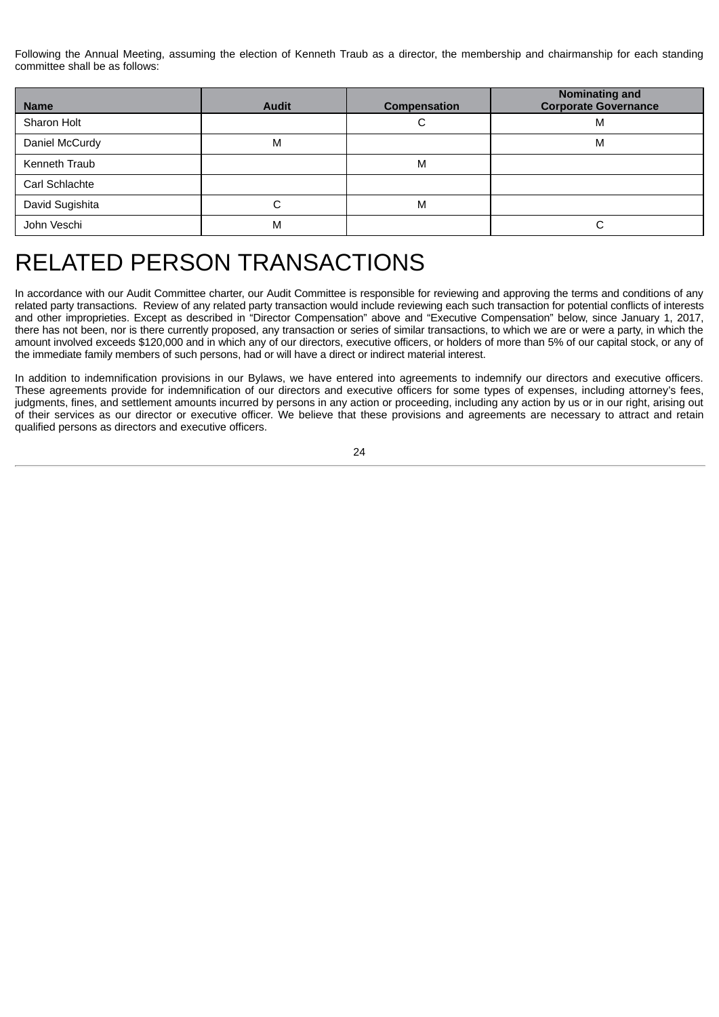Following the Annual Meeting, assuming the election of Kenneth Traub as a director, the membership and chairmanship for each standing committee shall be as follows:

| <b>Name</b>     | <b>Audit</b> | <b>Compensation</b> | Nominating and<br><b>Corporate Governance</b> |
|-----------------|--------------|---------------------|-----------------------------------------------|
| Sharon Holt     |              | С                   | M                                             |
| Daniel McCurdy  | M            |                     | M                                             |
| Kenneth Traub   |              | M                   |                                               |
| Carl Schlachte  |              |                     |                                               |
| David Sugishita | С            | M                   |                                               |
| John Veschi     | M            |                     | C                                             |

## <span id="page-28-0"></span>RELATED PERSON TRANSACTIONS

In accordance with our Audit Committee charter, our Audit Committee is responsible for reviewing and approving the terms and conditions of any related party transactions. Review of any related party transaction would include reviewing each such transaction for potential conflicts of interests and other improprieties. Except as described in "Director Compensation" above and "Executive Compensation" below, since January 1, 2017, there has not been, nor is there currently proposed, any transaction or series of similar transactions, to which we are or were a party, in which the amount involved exceeds \$120,000 and in which any of our directors, executive officers, or holders of more than 5% of our capital stock, or any of the immediate family members of such persons, had or will have a direct or indirect material interest.

In addition to indemnification provisions in our Bylaws, we have entered into agreements to indemnify our directors and executive officers. These agreements provide for indemnification of our directors and executive officers for some types of expenses, including attorney's fees, judgments, fines, and settlement amounts incurred by persons in any action or proceeding, including any action by us or in our right, arising out of their services as our director or executive officer. We believe that these provisions and agreements are necessary to attract and retain qualified persons as directors and executive officers.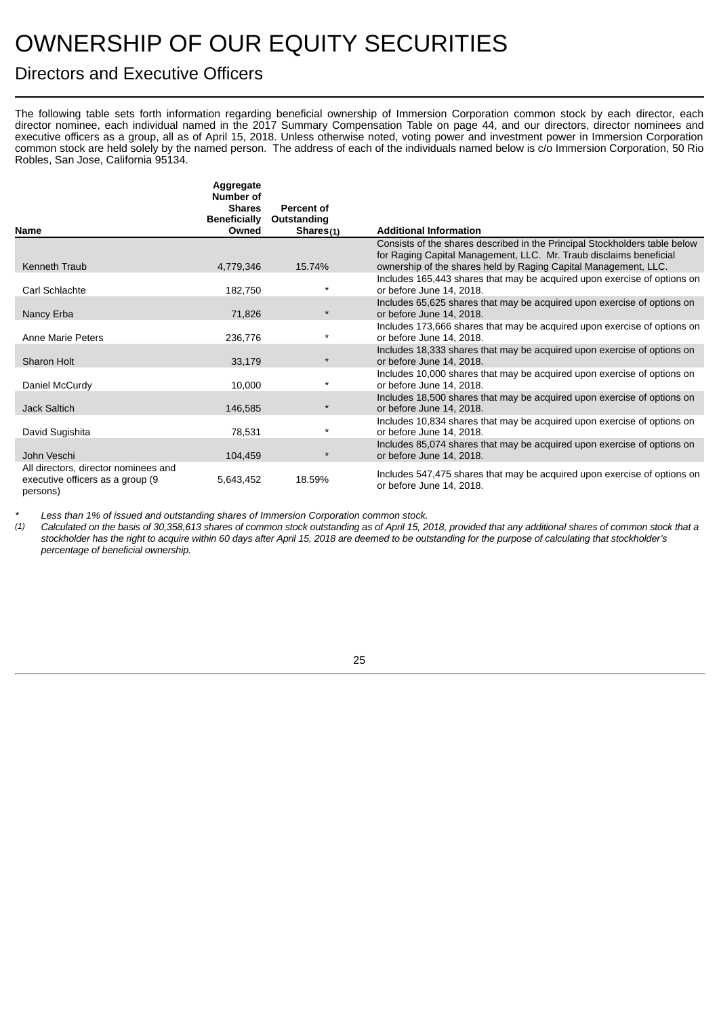# <span id="page-29-0"></span>OWNERSHIP OF OUR EQUITY SECURITIES

## <span id="page-29-1"></span>Directors and Executive Officers

The following table sets forth information regarding beneficial ownership of Immersion Corporation common stock by each director, each director nominee, each individual named in the 2017 Summary Compensation Table on page 44, and our directors, director nominees and executive officers as a group, all as of April 15, 2018. Unless otherwise noted, voting power and investment power in Immersion Corporation common stock are held solely by the named person. The address of each of the individuals named below is c/o Immersion Corporation, 50 Rio Robles, San Jose, California 95134.

|                                                                                       | Aggregate<br>Number of<br><b>Shares</b> | Percent of  |                                                                                                                                                  |
|---------------------------------------------------------------------------------------|-----------------------------------------|-------------|--------------------------------------------------------------------------------------------------------------------------------------------------|
|                                                                                       | <b>Beneficially</b>                     | Outstanding |                                                                                                                                                  |
| <b>Name</b>                                                                           | Owned                                   | Shares(1)   | <b>Additional Information</b>                                                                                                                    |
|                                                                                       |                                         |             | Consists of the shares described in the Principal Stockholders table below<br>for Raging Capital Management, LLC. Mr. Traub disclaims beneficial |
| Kenneth Traub                                                                         | 4,779,346                               | 15.74%      | ownership of the shares held by Raging Capital Management, LLC.                                                                                  |
| Carl Schlachte                                                                        | 182,750                                 | $\star$     | Includes 165,443 shares that may be acquired upon exercise of options on<br>or before June 14, 2018.                                             |
| Nancy Erba                                                                            | 71,826                                  | $\star$     | Includes 65,625 shares that may be acquired upon exercise of options on<br>or before June 14, 2018.                                              |
| Anne Marie Peters                                                                     | 236,776                                 | $\star$     | Includes 173,666 shares that may be acquired upon exercise of options on<br>or before June 14, 2018.                                             |
| Sharon Holt                                                                           | 33,179                                  | $\star$     | Includes 18,333 shares that may be acquired upon exercise of options on<br>or before June 14, 2018.                                              |
| Daniel McCurdy                                                                        | 10,000                                  | $\star$     | Includes 10,000 shares that may be acquired upon exercise of options on<br>or before June 14, 2018.                                              |
| Jack Saltich                                                                          | 146,585                                 | $\star$     | Includes 18,500 shares that may be acquired upon exercise of options on<br>or before June 14, 2018.                                              |
| David Sugishita                                                                       | 78,531                                  | $\star$     | Includes 10,834 shares that may be acquired upon exercise of options on<br>or before June 14, 2018.                                              |
| John Veschi                                                                           | 104,459                                 | $\star$     | Includes 85,074 shares that may be acquired upon exercise of options on<br>or before June 14, 2018.                                              |
| All directors, director nominees and<br>executive officers as a group (9)<br>persons) | 5,643,452                               | 18.59%      | Includes 547,475 shares that may be acquired upon exercise of options on<br>or before June 14, 2018.                                             |

*\* Less than 1% of issued and outstanding shares of Immersion Corporation common stock.*

Calculated on the basis of 30,358,613 shares of common stock outstanding as of April 15, 2018, provided that any additional shares of common stock that a stockholder has the right to acquire within 60 days after April 15, 2018 are deemed to be outstanding for the purpose of calculating that stockholder's *percentage of beneficial ownership.*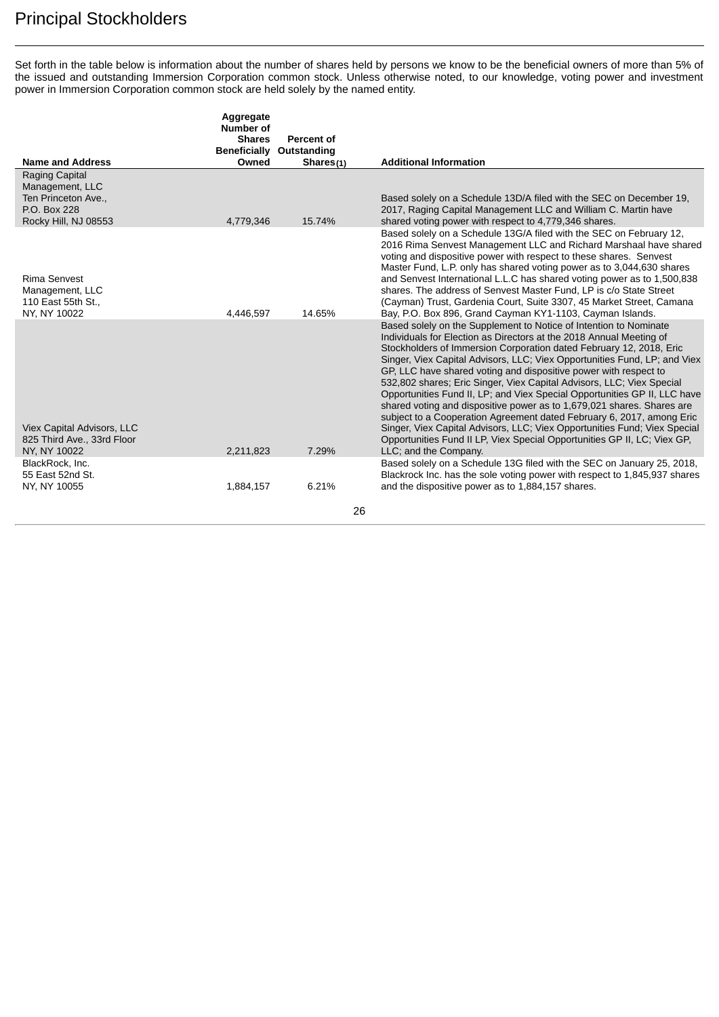## <span id="page-30-0"></span>Principal Stockholders

Set forth in the table below is information about the number of shares held by persons we know to be the beneficial owners of more than 5% of the issued and outstanding Immersion Corporation common stock. Unless otherwise noted, to our knowledge, voting power and investment power in Immersion Corporation common stock are held solely by the named entity.

|                                                                                                  | Aggregate<br>Number of |                                        |                                                                                                                                                                                                                                                                                                                                                                                                                                                                                                                                                                                                                                                                                                                                                                                                                                                             |
|--------------------------------------------------------------------------------------------------|------------------------|----------------------------------------|-------------------------------------------------------------------------------------------------------------------------------------------------------------------------------------------------------------------------------------------------------------------------------------------------------------------------------------------------------------------------------------------------------------------------------------------------------------------------------------------------------------------------------------------------------------------------------------------------------------------------------------------------------------------------------------------------------------------------------------------------------------------------------------------------------------------------------------------------------------|
|                                                                                                  | <b>Shares</b>          | Percent of<br>Beneficially Outstanding |                                                                                                                                                                                                                                                                                                                                                                                                                                                                                                                                                                                                                                                                                                                                                                                                                                                             |
| <b>Name and Address</b>                                                                          | Owned                  | Shares $(1)$                           | <b>Additional Information</b>                                                                                                                                                                                                                                                                                                                                                                                                                                                                                                                                                                                                                                                                                                                                                                                                                               |
| Raging Capital<br>Management, LLC<br>Ten Princeton Ave.,<br>P.O. Box 228<br>Rocky Hill, NJ 08553 | 4,779,346              | 15.74%                                 | Based solely on a Schedule 13D/A filed with the SEC on December 19,<br>2017, Raging Capital Management LLC and William C. Martin have<br>shared voting power with respect to 4,779,346 shares.                                                                                                                                                                                                                                                                                                                                                                                                                                                                                                                                                                                                                                                              |
| Rima Senvest<br>Management, LLC<br>110 East 55th St.,<br>NY, NY 10022                            | 4,446,597              | 14.65%                                 | Based solely on a Schedule 13G/A filed with the SEC on February 12,<br>2016 Rima Senvest Management LLC and Richard Marshaal have shared<br>voting and dispositive power with respect to these shares. Senvest<br>Master Fund, L.P. only has shared voting power as to 3,044,630 shares<br>and Senvest International L.L.C has shared voting power as to 1,500,838<br>shares. The address of Senvest Master Fund, LP is c/o State Street<br>(Cayman) Trust, Gardenia Court, Suite 3307, 45 Market Street, Camana<br>Bay, P.O. Box 896, Grand Cayman KY1-1103, Cayman Islands.                                                                                                                                                                                                                                                                               |
| Viex Capital Advisors, LLC<br>825 Third Ave., 33rd Floor<br>NY, NY 10022                         | 2,211,823              | 7.29%                                  | Based solely on the Supplement to Notice of Intention to Nominate<br>Individuals for Election as Directors at the 2018 Annual Meeting of<br>Stockholders of Immersion Corporation dated February 12, 2018, Eric<br>Singer, Viex Capital Advisors, LLC; Viex Opportunities Fund, LP; and Viex<br>GP, LLC have shared voting and dispositive power with respect to<br>532,802 shares; Eric Singer, Viex Capital Advisors, LLC; Viex Special<br>Opportunities Fund II, LP; and Viex Special Opportunities GP II, LLC have<br>shared voting and dispositive power as to 1,679,021 shares. Shares are<br>subject to a Cooperation Agreement dated February 6, 2017, among Eric<br>Singer, Viex Capital Advisors, LLC; Viex Opportunities Fund; Viex Special<br>Opportunities Fund II LP, Viex Special Opportunities GP II, LC; Viex GP,<br>LLC; and the Company. |
| BlackRock, Inc.<br>55 East 52nd St.<br>NY, NY 10055                                              | 1,884,157              | 6.21%                                  | Based solely on a Schedule 13G filed with the SEC on January 25, 2018,<br>Blackrock Inc. has the sole voting power with respect to 1,845,937 shares<br>and the dispositive power as to 1,884,157 shares.                                                                                                                                                                                                                                                                                                                                                                                                                                                                                                                                                                                                                                                    |
|                                                                                                  |                        | 26                                     |                                                                                                                                                                                                                                                                                                                                                                                                                                                                                                                                                                                                                                                                                                                                                                                                                                                             |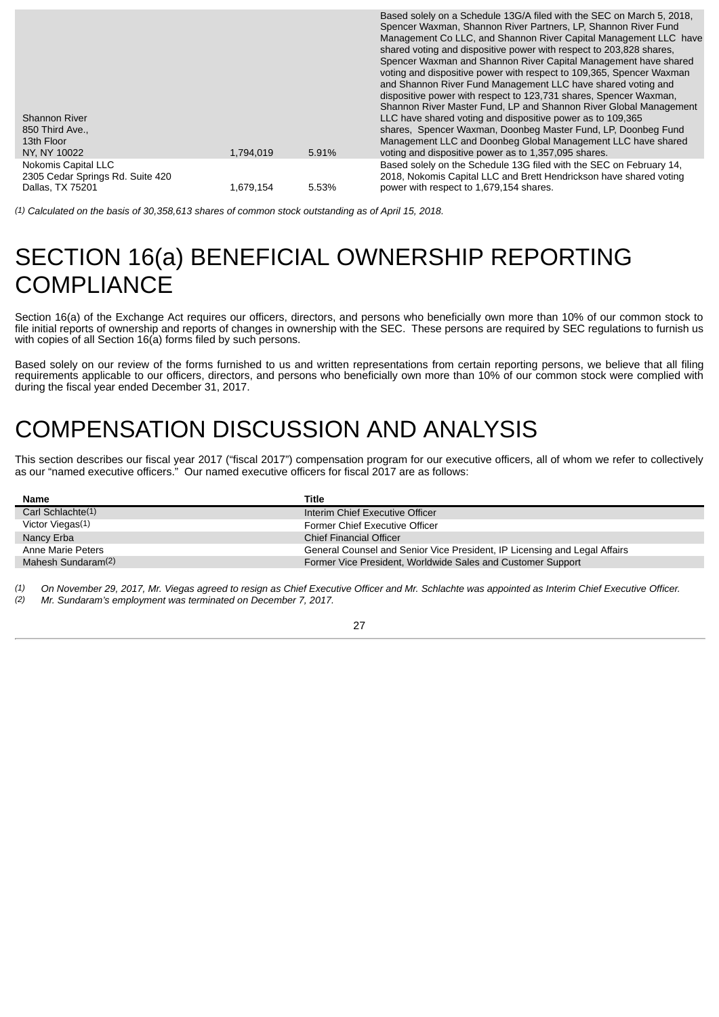| <b>Shannon River</b><br>850 Third Ave<br>13th Floor<br>NY, NY 10022         | 1,794,019 | 5.91% | Based solely on a Schedule 13G/A filed with the SEC on March 5, 2018.<br>Spencer Waxman, Shannon River Partners, LP, Shannon River Fund<br>Management Co LLC, and Shannon River Capital Management LLC have<br>shared voting and dispositive power with respect to 203,828 shares,<br>Spencer Waxman and Shannon River Capital Management have shared<br>voting and dispositive power with respect to 109,365, Spencer Waxman<br>and Shannon River Fund Management LLC have shared voting and<br>dispositive power with respect to 123,731 shares, Spencer Waxman,<br>Shannon River Master Fund, LP and Shannon River Global Management<br>LLC have shared voting and dispositive power as to 109,365<br>shares, Spencer Waxman, Doonbeg Master Fund, LP, Doonbeg Fund<br>Management LLC and Doonbeg Global Management LLC have shared<br>voting and dispositive power as to 1,357,095 shares. |
|-----------------------------------------------------------------------------|-----------|-------|------------------------------------------------------------------------------------------------------------------------------------------------------------------------------------------------------------------------------------------------------------------------------------------------------------------------------------------------------------------------------------------------------------------------------------------------------------------------------------------------------------------------------------------------------------------------------------------------------------------------------------------------------------------------------------------------------------------------------------------------------------------------------------------------------------------------------------------------------------------------------------------------|
| Nokomis Capital LLC<br>2305 Cedar Springs Rd. Suite 420<br>Dallas, TX 75201 | 1.679.154 | 5.53% | Based solely on the Schedule 13G filed with the SEC on February 14,<br>2018, Nokomis Capital LLC and Brett Hendrickson have shared voting<br>power with respect to 1,679,154 shares.                                                                                                                                                                                                                                                                                                                                                                                                                                                                                                                                                                                                                                                                                                           |

*(1) Calculated on the basis of 30,358,613 shares of common stock outstanding as of April 15, 2018.*

## <span id="page-31-0"></span>SECTION 16(a) BENEFICIAL OWNERSHIP REPORTING **COMPLIANCE**

Section 16(a) of the Exchange Act requires our officers, directors, and persons who beneficially own more than 10% of our common stock to file initial reports of ownership and reports of changes in ownership with the SEC. These persons are required by SEC regulations to furnish us with copies of all Section 16(a) forms filed by such persons.

Based solely on our review of the forms furnished to us and written representations from certain reporting persons, we believe that all filing requirements applicable to our officers, directors, and persons who beneficially own more than 10% of our common stock were complied with during the fiscal year ended December 31, 2017.

## <span id="page-31-1"></span>COMPENSATION DISCUSSION AND ANALYSIS

This section describes our fiscal year 2017 ("fiscal 2017") compensation program for our executive officers, all of whom we refer to collectively as our "named executive officers." Our named executive officers for fiscal 2017 are as follows:

| <b>Name</b>        | Title                                                                     |
|--------------------|---------------------------------------------------------------------------|
| Carl Schlachte(1)  | Interim Chief Executive Officer                                           |
| Victor Viegas(1)   | Former Chief Executive Officer                                            |
| Nancy Erba         | <b>Chief Financial Officer</b>                                            |
| Anne Marie Peters  | General Counsel and Senior Vice President, IP Licensing and Legal Affairs |
| Mahesh Sundaram(2) | Former Vice President, Worldwide Sales and Customer Support               |

*(1) On November 29, 2017, Mr. Viegas agreed to resign as Chief Executive Officer and Mr. Schlachte was appointed as Interim Chief Executive Officer.*

*(2) Mr. Sundaram's employment was terminated on December 7, 2017.*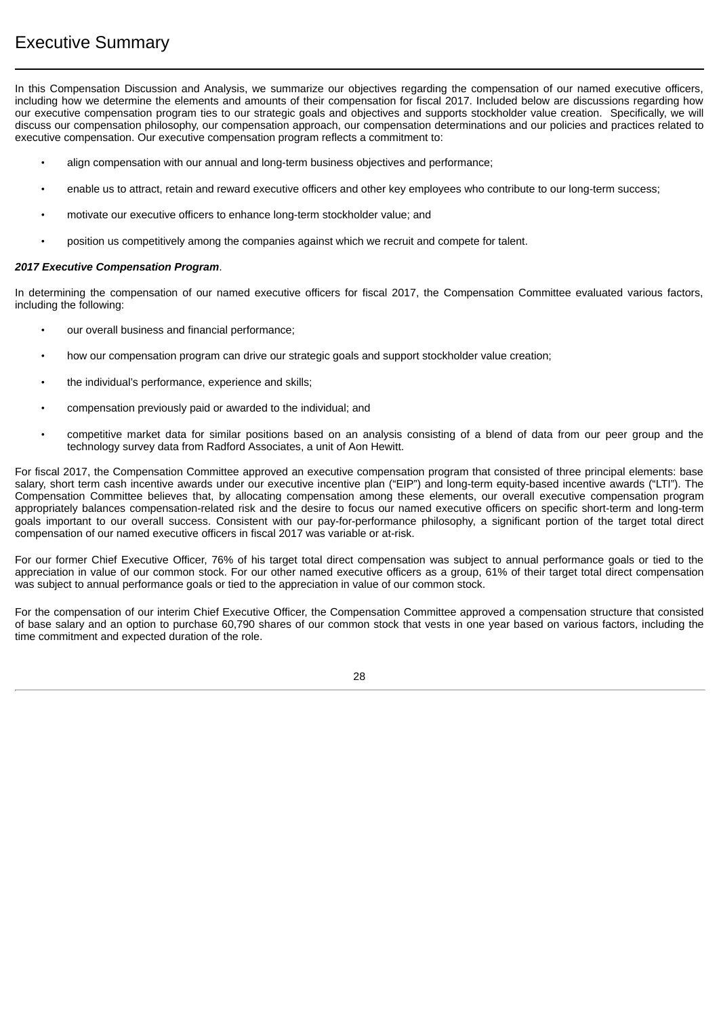<span id="page-32-0"></span>In this Compensation Discussion and Analysis, we summarize our objectives regarding the compensation of our named executive officers, including how we determine the elements and amounts of their compensation for fiscal 2017. Included below are discussions regarding how our executive compensation program ties to our strategic goals and objectives and supports stockholder value creation. Specifically, we will discuss our compensation philosophy, our compensation approach, our compensation determinations and our policies and practices related to executive compensation. Our executive compensation program reflects a commitment to:

- align compensation with our annual and long-term business objectives and performance;
- enable us to attract, retain and reward executive officers and other key employees who contribute to our long-term success;
- motivate our executive officers to enhance long-term stockholder value; and
- position us competitively among the companies against which we recruit and compete for talent.

#### *2017 Executive Compensation Program*.

In determining the compensation of our named executive officers for fiscal 2017, the Compensation Committee evaluated various factors, including the following:

- our overall business and financial performance;
- how our compensation program can drive our strategic goals and support stockholder value creation;
- the individual's performance, experience and skills;
- compensation previously paid or awarded to the individual; and
- competitive market data for similar positions based on an analysis consisting of a blend of data from our peer group and the technology survey data from Radford Associates, a unit of Aon Hewitt.

For fiscal 2017, the Compensation Committee approved an executive compensation program that consisted of three principal elements: base salary, short term cash incentive awards under our executive incentive plan ("EIP") and long-term equity-based incentive awards ("LTI"). The Compensation Committee believes that, by allocating compensation among these elements, our overall executive compensation program appropriately balances compensation-related risk and the desire to focus our named executive officers on specific short-term and long-term goals important to our overall success. Consistent with our pay-for-performance philosophy, a significant portion of the target total direct compensation of our named executive officers in fiscal 2017 was variable or at-risk.

For our former Chief Executive Officer, 76% of his target total direct compensation was subject to annual performance goals or tied to the appreciation in value of our common stock. For our other named executive officers as a group, 61% of their target total direct compensation was subject to annual performance goals or tied to the appreciation in value of our common stock.

For the compensation of our interim Chief Executive Officer, the Compensation Committee approved a compensation structure that consisted of base salary and an option to purchase 60,790 shares of our common stock that vests in one year based on various factors, including the time commitment and expected duration of the role.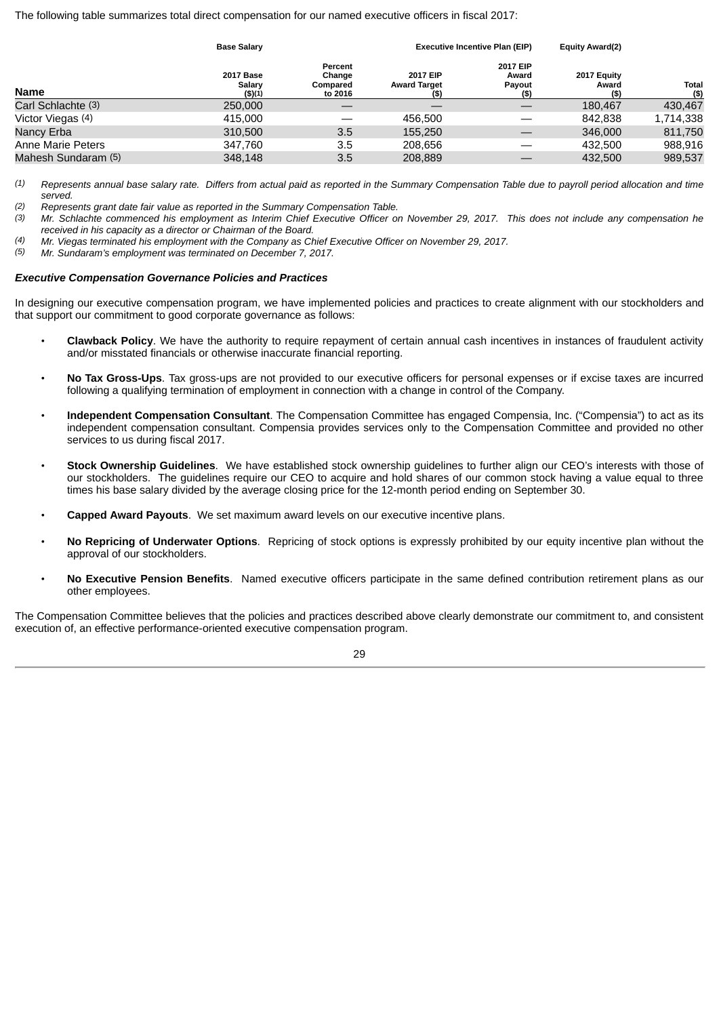The following table summarizes total direct compensation for our named executive officers in fiscal 2017:

|                     |                                             | <b>Executive Incentive Plan (EIP)</b>    | <b>Equity Award(2)</b>                 |                                        |                              |                      |
|---------------------|---------------------------------------------|------------------------------------------|----------------------------------------|----------------------------------------|------------------------------|----------------------|
| <b>Name</b>         | <b>2017 Base</b><br>Salary<br>$($ \$) $(1)$ | Percent<br>Change<br>Compared<br>to 2016 | 2017 EIP<br><b>Award Target</b><br>(S) | 2017 EIP<br>Award<br>Payout<br>$($ \$) | 2017 Equity<br>Award<br>(\$) | <b>Total</b><br>(\$) |
| Carl Schlachte (3)  | 250,000                                     |                                          |                                        |                                        | 180.467                      | 430,467              |
| Victor Viegas (4)   | 415.000                                     |                                          | 456.500                                |                                        | 842.838                      | 1,714,338            |
| Nancy Erba          | 310,500                                     | 3.5                                      | 155.250                                |                                        | 346,000                      | 811,750              |
| Anne Marie Peters   | 347.760                                     | 3.5                                      | 208.656                                |                                        | 432,500                      | 988,916              |
| Mahesh Sundaram (5) | 348.148                                     | 3.5                                      | 208,889                                |                                        | 432,500                      | 989,537              |

*(1) Represents annual base salary rate. Differs from actual paid as reported in the Summary Compensation Table due to payroll period allocation and time served.*

*(2) Represents grant date fair value as reported in the Summary Compensation Table.*

*(3) Mr. Schlachte commenced his employment as Interim Chief Executive Officer on November 29, 2017. This does not include any compensation he received in his capacity as a director or Chairman of the Board.*

*(4) Mr. Viegas terminated his employment with the Company as Chief Executive Officer on November 29, 2017.*

*(5) Mr. Sundaram's employment was terminated on December 7, 2017.*

#### *Executive Compensation Governance Policies and Practices*

In designing our executive compensation program, we have implemented policies and practices to create alignment with our stockholders and that support our commitment to good corporate governance as follows:

- **Clawback Policy**. We have the authority to require repayment of certain annual cash incentives in instances of fraudulent activity and/or misstated financials or otherwise inaccurate financial reporting.
- **No Tax Gross-Ups**. Tax gross-ups are not provided to our executive officers for personal expenses or if excise taxes are incurred following a qualifying termination of employment in connection with a change in control of the Company.
- **Independent Compensation Consultant**. The Compensation Committee has engaged Compensia, Inc. ("Compensia") to act as its independent compensation consultant. Compensia provides services only to the Compensation Committee and provided no other services to us during fiscal 2017.
- **Stock Ownership Guidelines**. We have established stock ownership guidelines to further align our CEO's interests with those of our stockholders. The guidelines require our CEO to acquire and hold shares of our common stock having a value equal to three times his base salary divided by the average closing price for the 12-month period ending on September 30.
- **Capped Award Payouts**. We set maximum award levels on our executive incentive plans.
- **No Repricing of Underwater Options**. Repricing of stock options is expressly prohibited by our equity incentive plan without the approval of our stockholders.
- **No Executive Pension Benefits**. Named executive officers participate in the same defined contribution retirement plans as our other employees.

The Compensation Committee believes that the policies and practices described above clearly demonstrate our commitment to, and consistent execution of, an effective performance-oriented executive compensation program.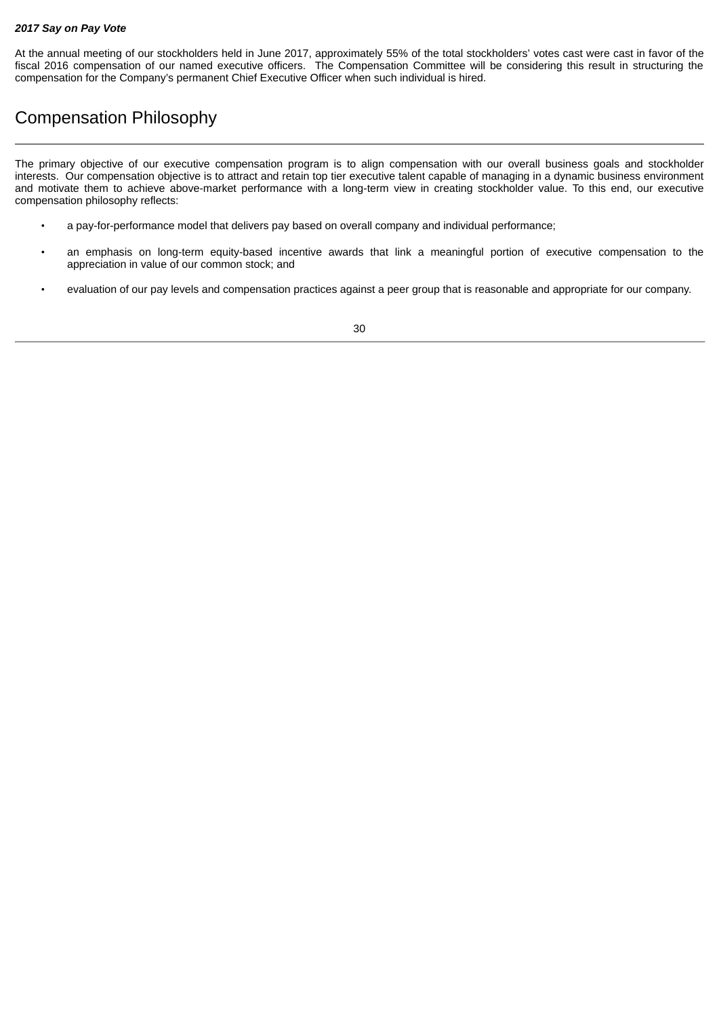#### *2017 Say on Pay Vote*

At the annual meeting of our stockholders held in June 2017, approximately 55% of the total stockholders' votes cast were cast in favor of the fiscal 2016 compensation of our named executive officers. The Compensation Committee will be considering this result in structuring the compensation for the Company's permanent Chief Executive Officer when such individual is hired.

## <span id="page-34-0"></span>Compensation Philosophy

The primary objective of our executive compensation program is to align compensation with our overall business goals and stockholder interests. Our compensation objective is to attract and retain top tier executive talent capable of managing in a dynamic business environment and motivate them to achieve above-market performance with a long-term view in creating stockholder value. To this end, our executive compensation philosophy reflects:

- a pay-for-performance model that delivers pay based on overall company and individual performance;
- an emphasis on long-term equity-based incentive awards that link a meaningful portion of executive compensation to the appreciation in value of our common stock; and
- evaluation of our pay levels and compensation practices against a peer group that is reasonable and appropriate for our company.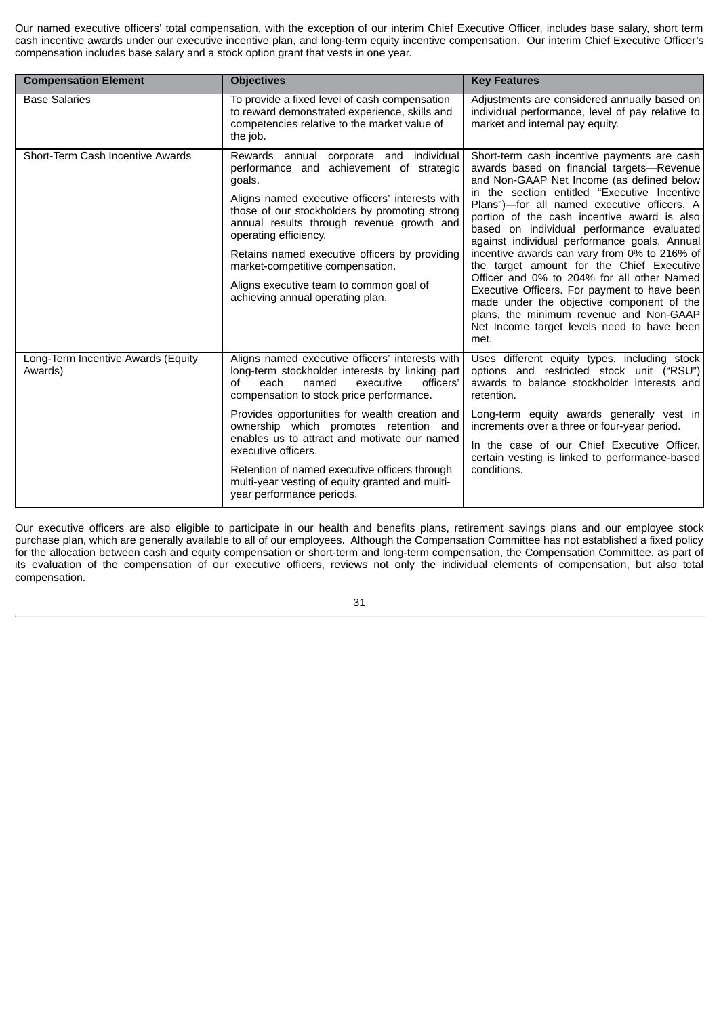Our named executive officers' total compensation, with the exception of our interim Chief Executive Officer, includes base salary, short term cash incentive awards under our executive incentive plan, and long-term equity incentive compensation. Our interim Chief Executive Officer's compensation includes base salary and a stock option grant that vests in one year.

| <b>Compensation Element</b>                   | <b>Objectives</b>                                                                                                                                                                                                                                                                                                                                                                                                                              | <b>Key Features</b>                                                                                                                                                                                                                                                                                                                                                                                                                                                                                                                                                                                                                                                                                                       |
|-----------------------------------------------|------------------------------------------------------------------------------------------------------------------------------------------------------------------------------------------------------------------------------------------------------------------------------------------------------------------------------------------------------------------------------------------------------------------------------------------------|---------------------------------------------------------------------------------------------------------------------------------------------------------------------------------------------------------------------------------------------------------------------------------------------------------------------------------------------------------------------------------------------------------------------------------------------------------------------------------------------------------------------------------------------------------------------------------------------------------------------------------------------------------------------------------------------------------------------------|
| <b>Base Salaries</b>                          | To provide a fixed level of cash compensation<br>to reward demonstrated experience, skills and<br>competencies relative to the market value of<br>the job.                                                                                                                                                                                                                                                                                     | Adjustments are considered annually based on<br>individual performance, level of pay relative to<br>market and internal pay equity.                                                                                                                                                                                                                                                                                                                                                                                                                                                                                                                                                                                       |
| Short-Term Cash Incentive Awards              | corporate and individual<br>Rewards annual<br>performance and achievement of strategic<br>goals.<br>Aligns named executive officers' interests with<br>those of our stockholders by promoting strong<br>annual results through revenue growth and<br>operating efficiency.<br>Retains named executive officers by providing<br>market-competitive compensation.<br>Aligns executive team to common goal of<br>achieving annual operating plan. | Short-term cash incentive payments are cash<br>awards based on financial targets-Revenue<br>and Non-GAAP Net Income (as defined below<br>in the section entitled "Executive Incentive<br>Plans")-for all named executive officers. A<br>portion of the cash incentive award is also<br>based on individual performance evaluated<br>against individual performance goals. Annual<br>incentive awards can vary from 0% to 216% of<br>the target amount for the Chief Executive<br>Officer and 0% to 204% for all other Named<br>Executive Officers. For payment to have been<br>made under the objective component of the<br>plans, the minimum revenue and Non-GAAP<br>Net Income target levels need to have been<br>met. |
| Long-Term Incentive Awards (Equity<br>Awards) | Aligns named executive officers' interests with<br>long-term stockholder interests by linking part<br>officers'<br>each<br>named<br>executive<br>of<br>compensation to stock price performance.                                                                                                                                                                                                                                                | Uses different equity types, including stock<br>options and restricted stock unit ("RSU")<br>awards to balance stockholder interests and<br>retention.                                                                                                                                                                                                                                                                                                                                                                                                                                                                                                                                                                    |
|                                               | Provides opportunities for wealth creation and<br>ownership which promotes retention and<br>enables us to attract and motivate our named<br>executive officers.<br>Retention of named executive officers through<br>multi-year vesting of equity granted and multi-<br>year performance periods.                                                                                                                                               | Long-term equity awards generally vest in<br>increments over a three or four-year period.<br>In the case of our Chief Executive Officer,<br>certain vesting is linked to performance-based<br>conditions.                                                                                                                                                                                                                                                                                                                                                                                                                                                                                                                 |

Our executive officers are also eligible to participate in our health and benefits plans, retirement savings plans and our employee stock purchase plan, which are generally available to all of our employees. Although the Compensation Committee has not established a fixed policy for the allocation between cash and equity compensation or short-term and long-term compensation, the Compensation Committee, as part of its evaluation of the compensation of our executive officers, reviews not only the individual elements of compensation, but also total compensation.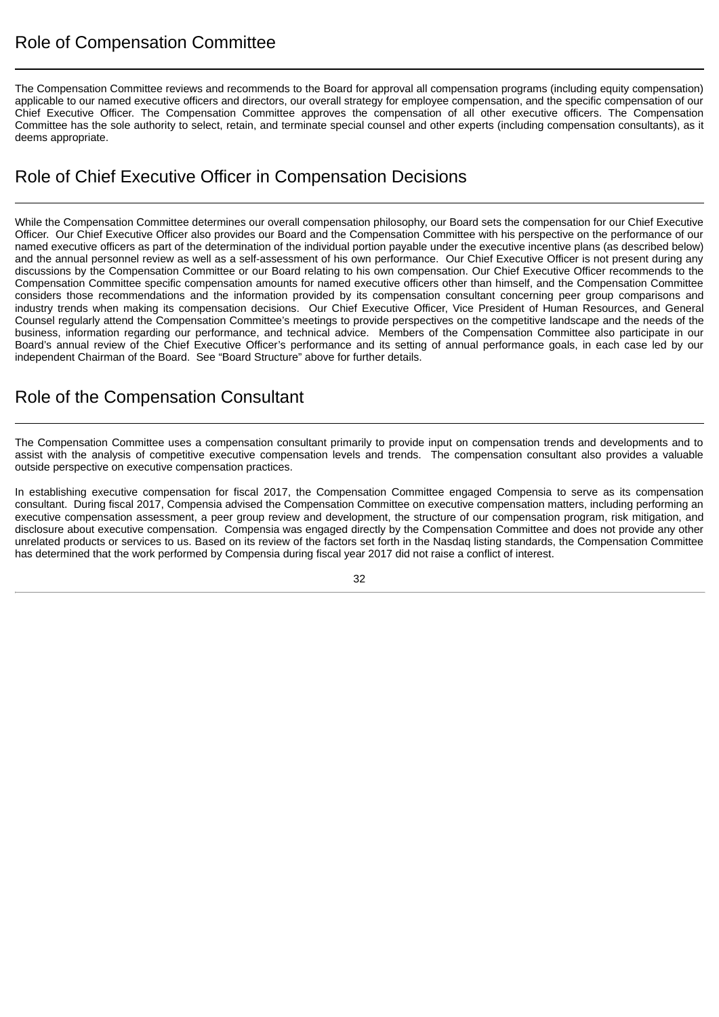<span id="page-36-0"></span>The Compensation Committee reviews and recommends to the Board for approval all compensation programs (including equity compensation) applicable to our named executive officers and directors, our overall strategy for employee compensation, and the specific compensation of our Chief Executive Officer. The Compensation Committee approves the compensation of all other executive officers. The Compensation Committee has the sole authority to select, retain, and terminate special counsel and other experts (including compensation consultants), as it deems appropriate.

## <span id="page-36-1"></span>Role of Chief Executive Officer in Compensation Decisions

While the Compensation Committee determines our overall compensation philosophy, our Board sets the compensation for our Chief Executive Officer. Our Chief Executive Officer also provides our Board and the Compensation Committee with his perspective on the performance of our named executive officers as part of the determination of the individual portion payable under the executive incentive plans (as described below) and the annual personnel review as well as a self-assessment of his own performance. Our Chief Executive Officer is not present during any discussions by the Compensation Committee or our Board relating to his own compensation. Our Chief Executive Officer recommends to the Compensation Committee specific compensation amounts for named executive officers other than himself, and the Compensation Committee considers those recommendations and the information provided by its compensation consultant concerning peer group comparisons and industry trends when making its compensation decisions. Our Chief Executive Officer, Vice President of Human Resources, and General Counsel regularly attend the Compensation Committee's meetings to provide perspectives on the competitive landscape and the needs of the business, information regarding our performance, and technical advice. Members of the Compensation Committee also participate in our Board's annual review of the Chief Executive Officer's performance and its setting of annual performance goals, in each case led by our independent Chairman of the Board. See "Board Structure" above for further details.

## <span id="page-36-2"></span>Role of the Compensation Consultant

The Compensation Committee uses a compensation consultant primarily to provide input on compensation trends and developments and to assist with the analysis of competitive executive compensation levels and trends. The compensation consultant also provides a valuable outside perspective on executive compensation practices.

In establishing executive compensation for fiscal 2017, the Compensation Committee engaged Compensia to serve as its compensation consultant. During fiscal 2017, Compensia advised the Compensation Committee on executive compensation matters, including performing an executive compensation assessment, a peer group review and development, the structure of our compensation program, risk mitigation, and disclosure about executive compensation. Compensia was engaged directly by the Compensation Committee and does not provide any other unrelated products or services to us. Based on its review of the factors set forth in the Nasdaq listing standards, the Compensation Committee has determined that the work performed by Compensia during fiscal year 2017 did not raise a conflict of interest.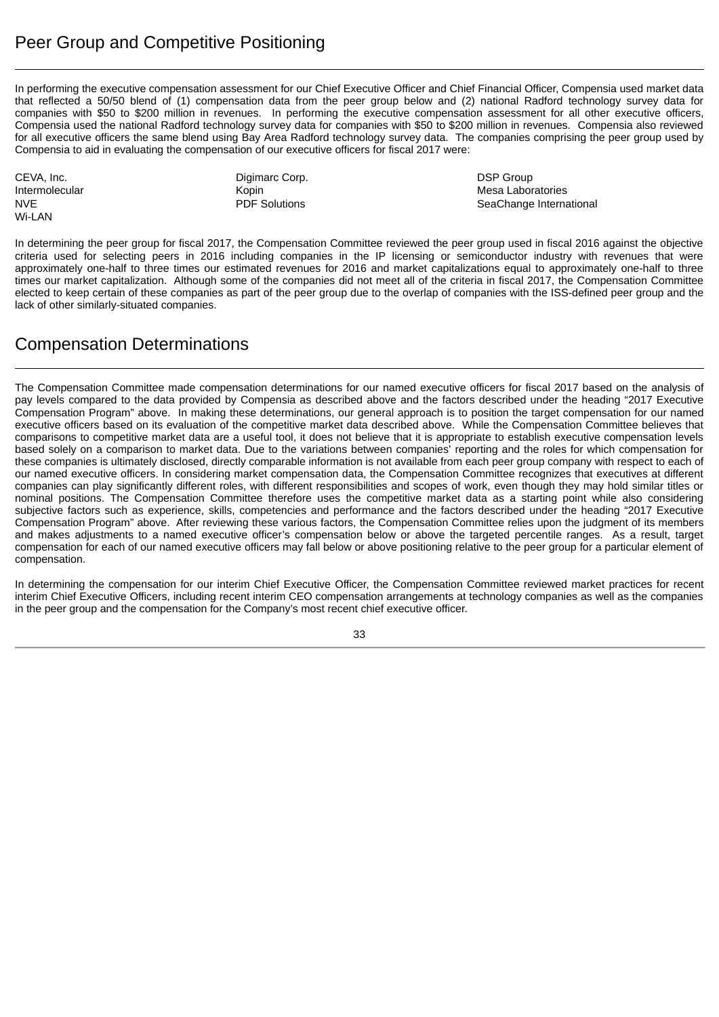<span id="page-37-0"></span>In performing the executive compensation assessment for our Chief Executive Officer and Chief Financial Officer, Compensia used market data that reflected a 50/50 blend of (1) compensation data from the peer group below and (2) national Radford technology survey data for companies with \$50 to \$200 million in revenues. In performing the executive compensation assessment for all other executive officers, Compensia used the national Radford technology survey data for companies with \$50 to \$200 million in revenues. Compensia also reviewed for all executive officers the same blend using Bay Area Radford technology survey data. The companies comprising the peer group used by Compensia to aid in evaluating the compensation of our executive officers for fiscal 2017 were:

Wi-LAN

CEVA, Inc. **Digimarc Corp.** Digimarc Corp. **DEVA, Inc.** DSP Group

Intermolecular Kopin Mesa Laboratories NVE Solutions **PDF Solutions SeaChange International** 

In determining the peer group for fiscal 2017, the Compensation Committee reviewed the peer group used in fiscal 2016 against the objective criteria used for selecting peers in 2016 including companies in the IP licensing or semiconductor industry with revenues that were approximately one-half to three times our estimated revenues for 2016 and market capitalizations equal to approximately one-half to three times our market capitalization. Although some of the companies did not meet all of the criteria in fiscal 2017, the Compensation Committee elected to keep certain of these companies as part of the peer group due to the overlap of companies with the ISS-defined peer group and the lack of other similarly-situated companies.

## <span id="page-37-1"></span>Compensation Determinations

The Compensation Committee made compensation determinations for our named executive officers for fiscal 2017 based on the analysis of pay levels compared to the data provided by Compensia as described above and the factors described under the heading "2017 Executive Compensation Program" above. In making these determinations, our general approach is to position the target compensation for our named executive officers based on its evaluation of the competitive market data described above. While the Compensation Committee believes that comparisons to competitive market data are a useful tool, it does not believe that it is appropriate to establish executive compensation levels based solely on a comparison to market data. Due to the variations between companies' reporting and the roles for which compensation for these companies is ultimately disclosed, directly comparable information is not available from each peer group company with respect to each of our named executive officers. In considering market compensation data, the Compensation Committee recognizes that executives at different companies can play significantly different roles, with different responsibilities and scopes of work, even though they may hold similar titles or nominal positions. The Compensation Committee therefore uses the competitive market data as a starting point while also considering subjective factors such as experience, skills, competencies and performance and the factors described under the heading "2017 Executive Compensation Program" above. After reviewing these various factors, the Compensation Committee relies upon the judgment of its members and makes adjustments to a named executive officer's compensation below or above the targeted percentile ranges. As a result, target compensation for each of our named executive officers may fall below or above positioning relative to the peer group for a particular element of compensation.

In determining the compensation for our interim Chief Executive Officer, the Compensation Committee reviewed market practices for recent interim Chief Executive Officers, including recent interim CEO compensation arrangements at technology companies as well as the companies in the peer group and the compensation for the Company's most recent chief executive officer.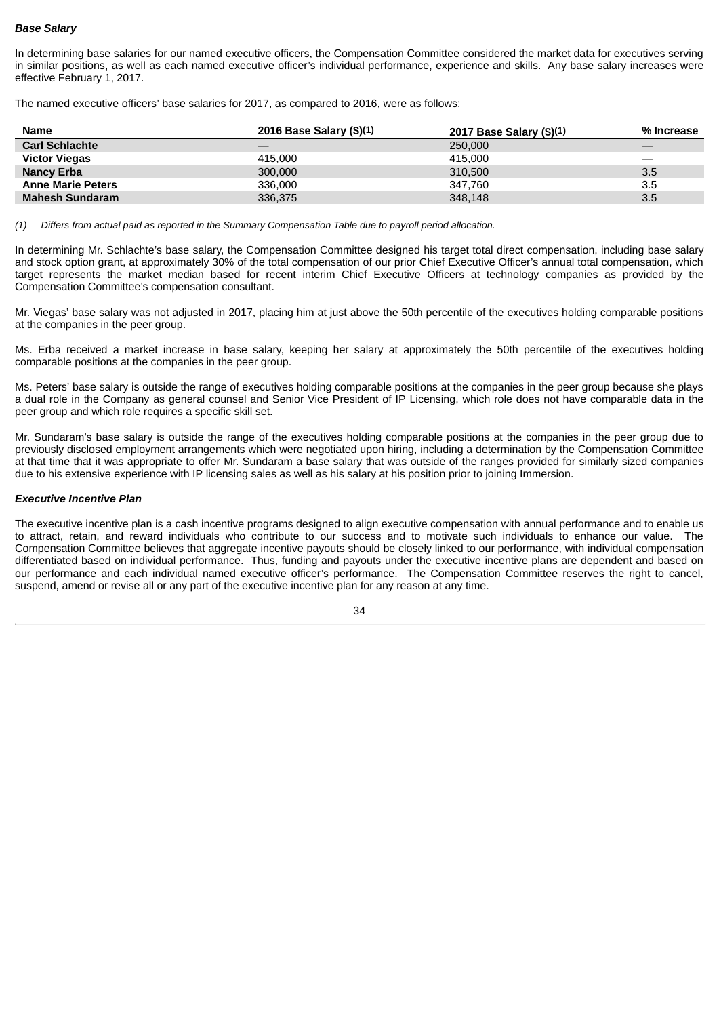#### *Base Salary*

In determining base salaries for our named executive officers, the Compensation Committee considered the market data for executives serving in similar positions, as well as each named executive officer's individual performance, experience and skills. Any base salary increases were effective February 1, 2017.

The named executive officers' base salaries for 2017, as compared to 2016, were as follows:

| <b>Name</b>              | 2016 Base Salary $(\$)(1)$ | 2017 Base Salary (\$)(1) | % Increase |
|--------------------------|----------------------------|--------------------------|------------|
| <b>Carl Schlachte</b>    |                            | 250,000                  |            |
| <b>Victor Viegas</b>     | 415.000                    | 415.000                  |            |
| <b>Nancy Erba</b>        | 300,000                    | 310,500                  | 3.5        |
| <b>Anne Marie Peters</b> | 336,000                    | 347.760                  | 3.5        |
| <b>Mahesh Sundaram</b>   | 336,375                    | 348,148                  | 3.5        |

*(1) Differs from actual paid as reported in the Summary Compensation Table due to payroll period allocation.*

In determining Mr. Schlachte's base salary, the Compensation Committee designed his target total direct compensation, including base salary and stock option grant, at approximately 30% of the total compensation of our prior Chief Executive Officer's annual total compensation, which target represents the market median based for recent interim Chief Executive Officers at technology companies as provided by the Compensation Committee's compensation consultant.

Mr. Viegas' base salary was not adjusted in 2017, placing him at just above the 50th percentile of the executives holding comparable positions at the companies in the peer group.

Ms. Erba received a market increase in base salary, keeping her salary at approximately the 50th percentile of the executives holding comparable positions at the companies in the peer group.

Ms. Peters' base salary is outside the range of executives holding comparable positions at the companies in the peer group because she plays a dual role in the Company as general counsel and Senior Vice President of IP Licensing, which role does not have comparable data in the peer group and which role requires a specific skill set.

Mr. Sundaram's base salary is outside the range of the executives holding comparable positions at the companies in the peer group due to previously disclosed employment arrangements which were negotiated upon hiring, including a determination by the Compensation Committee at that time that it was appropriate to offer Mr. Sundaram a base salary that was outside of the ranges provided for similarly sized companies due to his extensive experience with IP licensing sales as well as his salary at his position prior to joining Immersion.

#### *Executive Incentive Plan*

The executive incentive plan is a cash incentive programs designed to align executive compensation with annual performance and to enable us to attract, retain, and reward individuals who contribute to our success and to motivate such individuals to enhance our value. The Compensation Committee believes that aggregate incentive payouts should be closely linked to our performance, with individual compensation differentiated based on individual performance. Thus, funding and payouts under the executive incentive plans are dependent and based on our performance and each individual named executive officer's performance. The Compensation Committee reserves the right to cancel, suspend, amend or revise all or any part of the executive incentive plan for any reason at any time.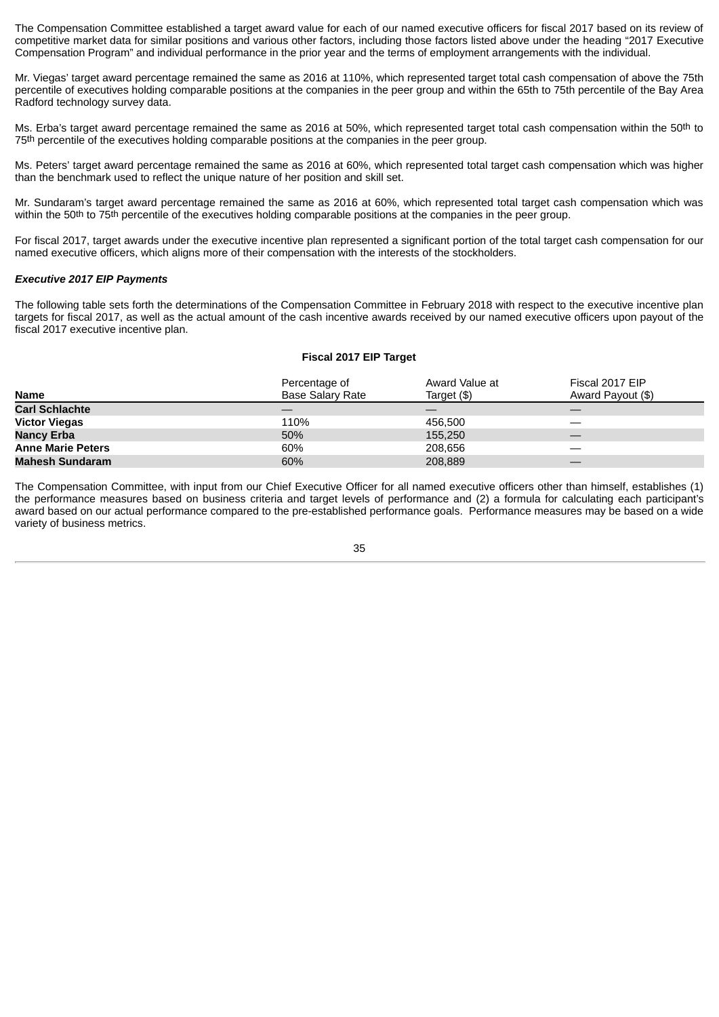The Compensation Committee established a target award value for each of our named executive officers for fiscal 2017 based on its review of competitive market data for similar positions and various other factors, including those factors listed above under the heading "2017 Executive Compensation Program" and individual performance in the prior year and the terms of employment arrangements with the individual.

Mr. Viegas' target award percentage remained the same as 2016 at 110%, which represented target total cash compensation of above the 75th percentile of executives holding comparable positions at the companies in the peer group and within the 65th to 75th percentile of the Bay Area Radford technology survey data.

Ms. Erba's target award percentage remained the same as 2016 at 50%, which represented target total cash compensation within the 50<sup>th</sup> to 75th percentile of the executives holding comparable positions at the companies in the peer group.

Ms. Peters' target award percentage remained the same as 2016 at 60%, which represented total target cash compensation which was higher than the benchmark used to reflect the unique nature of her position and skill set.

Mr. Sundaram's target award percentage remained the same as 2016 at 60%, which represented total target cash compensation which was within the 50th to 75th percentile of the executives holding comparable positions at the companies in the peer group.

For fiscal 2017, target awards under the executive incentive plan represented a significant portion of the total target cash compensation for our named executive officers, which aligns more of their compensation with the interests of the stockholders.

#### *Executive 2017 EIP Payments*

The following table sets forth the determinations of the Compensation Committee in February 2018 with respect to the executive incentive plan targets for fiscal 2017, as well as the actual amount of the cash incentive awards received by our named executive officers upon payout of the fiscal 2017 executive incentive plan.

#### **Fiscal 2017 EIP Target**

| <b>Name</b>              | Percentage of<br><b>Base Salary Rate</b> | Award Value at<br>Target (\$) | Fiscal 2017 EIP<br>Award Payout (\$) |
|--------------------------|------------------------------------------|-------------------------------|--------------------------------------|
| <b>Carl Schlachte</b>    |                                          |                               |                                      |
| <b>Victor Viegas</b>     | 110%                                     | 456.500                       |                                      |
| <b>Nancy Erba</b>        | 50%                                      | 155,250                       |                                      |
| <b>Anne Marie Peters</b> | 60%                                      | 208.656                       |                                      |
| <b>Mahesh Sundaram</b>   | 60%                                      | 208,889                       |                                      |

The Compensation Committee, with input from our Chief Executive Officer for all named executive officers other than himself, establishes (1) the performance measures based on business criteria and target levels of performance and (2) a formula for calculating each participant's award based on our actual performance compared to the pre-established performance goals. Performance measures may be based on a wide variety of business metrics.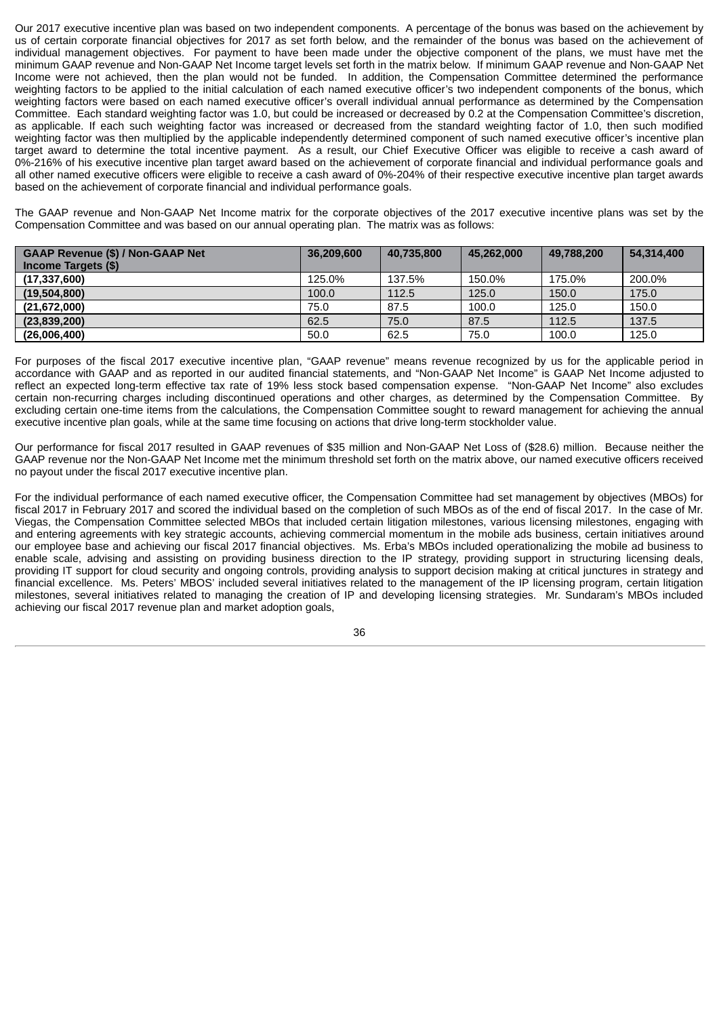Our 2017 executive incentive plan was based on two independent components. A percentage of the bonus was based on the achievement by us of certain corporate financial objectives for 2017 as set forth below, and the remainder of the bonus was based on the achievement of individual management objectives. For payment to have been made under the objective component of the plans, we must have met the minimum GAAP revenue and Non-GAAP Net Income target levels set forth in the matrix below. If minimum GAAP revenue and Non-GAAP Net Income were not achieved, then the plan would not be funded. In addition, the Compensation Committee determined the performance weighting factors to be applied to the initial calculation of each named executive officer's two independent components of the bonus, which weighting factors were based on each named executive officer's overall individual annual performance as determined by the Compensation Committee. Each standard weighting factor was 1.0, but could be increased or decreased by 0.2 at the Compensation Committee's discretion, as applicable. If each such weighting factor was increased or decreased from the standard weighting factor of 1.0, then such modified weighting factor was then multiplied by the applicable independently determined component of such named executive officer's incentive plan target award to determine the total incentive payment. As a result, our Chief Executive Officer was eligible to receive a cash award of 0%-216% of his executive incentive plan target award based on the achievement of corporate financial and individual performance goals and all other named executive officers were eligible to receive a cash award of 0%-204% of their respective executive incentive plan target awards based on the achievement of corporate financial and individual performance goals.

The GAAP revenue and Non-GAAP Net Income matrix for the corporate objectives of the 2017 executive incentive plans was set by the Compensation Committee and was based on our annual operating plan. The matrix was as follows:

| <b>GAAP Revenue (\$) / Non-GAAP Net</b><br>Income Targets (\$) | 36,209,600 | 40,735,800 | 45,262,000 | 49,788,200 | 54,314,400 |
|----------------------------------------------------------------|------------|------------|------------|------------|------------|
| (17, 337, 600)                                                 | 125.0%     | 137.5%     | 150.0%     | 175.0%     | 200.0%     |
| (19,504,800)                                                   | 100.0      | 112.5      | 125.0      | 150.0      | 175.0      |
| (21,672,000)                                                   | 75.0       | 87.5       | 100.0      | 125.0      | 150.0      |
| (23,839,200)                                                   | 62.5       | 75.0       | 87.5       | 112.5      | 137.5      |
| (26,006,400)                                                   | 50.0       | 62.5       | 75.0       | 100.0      | 125.0      |

For purposes of the fiscal 2017 executive incentive plan, "GAAP revenue" means revenue recognized by us for the applicable period in accordance with GAAP and as reported in our audited financial statements, and "Non-GAAP Net Income" is GAAP Net Income adjusted to reflect an expected long-term effective tax rate of 19% less stock based compensation expense. "Non-GAAP Net Income" also excludes certain non-recurring charges including discontinued operations and other charges, as determined by the Compensation Committee. By excluding certain one-time items from the calculations, the Compensation Committee sought to reward management for achieving the annual executive incentive plan goals, while at the same time focusing on actions that drive long-term stockholder value.

Our performance for fiscal 2017 resulted in GAAP revenues of \$35 million and Non-GAAP Net Loss of (\$28.6) million. Because neither the GAAP revenue nor the Non-GAAP Net Income met the minimum threshold set forth on the matrix above, our named executive officers received no payout under the fiscal 2017 executive incentive plan.

For the individual performance of each named executive officer, the Compensation Committee had set management by objectives (MBOs) for fiscal 2017 in February 2017 and scored the individual based on the completion of such MBOs as of the end of fiscal 2017. In the case of Mr. Viegas, the Compensation Committee selected MBOs that included certain litigation milestones, various licensing milestones, engaging with and entering agreements with key strategic accounts, achieving commercial momentum in the mobile ads business, certain initiatives around our employee base and achieving our fiscal 2017 financial objectives. Ms. Erba's MBOs included operationalizing the mobile ad business to enable scale, advising and assisting on providing business direction to the IP strategy, providing support in structuring licensing deals, providing IT support for cloud security and ongoing controls, providing analysis to support decision making at critical junctures in strategy and financial excellence. Ms. Peters' MBOS' included several initiatives related to the management of the IP licensing program, certain litigation milestones, several initiatives related to managing the creation of IP and developing licensing strategies. Mr. Sundaram's MBOs included achieving our fiscal 2017 revenue plan and market adoption goals,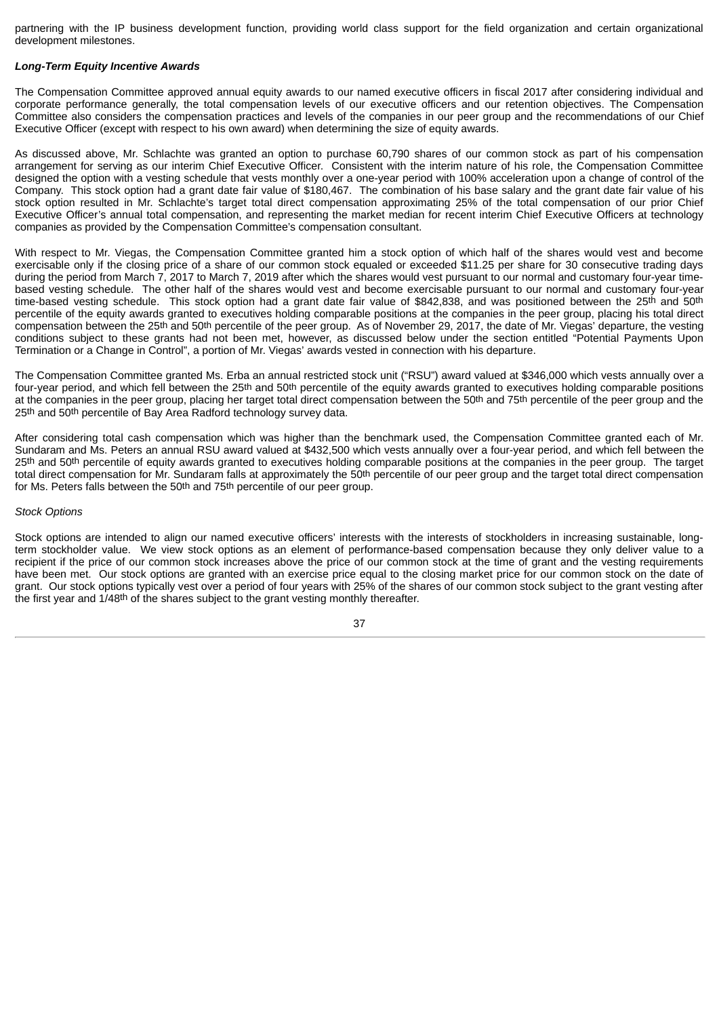partnering with the IP business development function, providing world class support for the field organization and certain organizational development milestones.

#### *Long-Term Equity Incentive Awards*

The Compensation Committee approved annual equity awards to our named executive officers in fiscal 2017 after considering individual and corporate performance generally, the total compensation levels of our executive officers and our retention objectives. The Compensation Committee also considers the compensation practices and levels of the companies in our peer group and the recommendations of our Chief Executive Officer (except with respect to his own award) when determining the size of equity awards.

As discussed above, Mr. Schlachte was granted an option to purchase 60,790 shares of our common stock as part of his compensation arrangement for serving as our interim Chief Executive Officer. Consistent with the interim nature of his role, the Compensation Committee designed the option with a vesting schedule that vests monthly over a one-year period with 100% acceleration upon a change of control of the Company. This stock option had a grant date fair value of \$180,467. The combination of his base salary and the grant date fair value of his stock option resulted in Mr. Schlachte's target total direct compensation approximating 25% of the total compensation of our prior Chief Executive Officer's annual total compensation, and representing the market median for recent interim Chief Executive Officers at technology companies as provided by the Compensation Committee's compensation consultant.

With respect to Mr. Viegas, the Compensation Committee granted him a stock option of which half of the shares would vest and become exercisable only if the closing price of a share of our common stock equaled or exceeded \$11.25 per share for 30 consecutive trading days during the period from March 7, 2017 to March 7, 2019 after which the shares would vest pursuant to our normal and customary four-year timebased vesting schedule. The other half of the shares would vest and become exercisable pursuant to our normal and customary four-year time-based vesting schedule. This stock option had a grant date fair value of \$842,838, and was positioned between the 25th and 50th percentile of the equity awards granted to executives holding comparable positions at the companies in the peer group, placing his total direct compensation between the 25th and 50th percentile of the peer group. As of November 29, 2017, the date of Mr. Viegas' departure, the vesting conditions subject to these grants had not been met, however, as discussed below under the section entitled "Potential Payments Upon Termination or a Change in Control", a portion of Mr. Viegas' awards vested in connection with his departure.

The Compensation Committee granted Ms. Erba an annual restricted stock unit ("RSU") award valued at \$346,000 which vests annually over a four-year period, and which fell between the 25th and 50th percentile of the equity awards granted to executives holding comparable positions at the companies in the peer group, placing her target total direct compensation between the 50th and 75th percentile of the peer group and the 25th and 50th percentile of Bay Area Radford technology survey data.

After considering total cash compensation which was higher than the benchmark used, the Compensation Committee granted each of Mr. Sundaram and Ms. Peters an annual RSU award valued at \$432,500 which vests annually over a four-year period, and which fell between the 25th and 50th percentile of equity awards granted to executives holding comparable positions at the companies in the peer group. The target total direct compensation for Mr. Sundaram falls at approximately the 50th percentile of our peer group and the target total direct compensation for Ms. Peters falls between the 50th and 75th percentile of our peer group.

#### *Stock Options*

Stock options are intended to align our named executive officers' interests with the interests of stockholders in increasing sustainable, longterm stockholder value. We view stock options as an element of performance-based compensation because they only deliver value to a recipient if the price of our common stock increases above the price of our common stock at the time of grant and the vesting requirements have been met. Our stock options are granted with an exercise price equal to the closing market price for our common stock on the date of grant. Our stock options typically vest over a period of four years with 25% of the shares of our common stock subject to the grant vesting after the first year and 1/48th of the shares subject to the grant vesting monthly thereafter.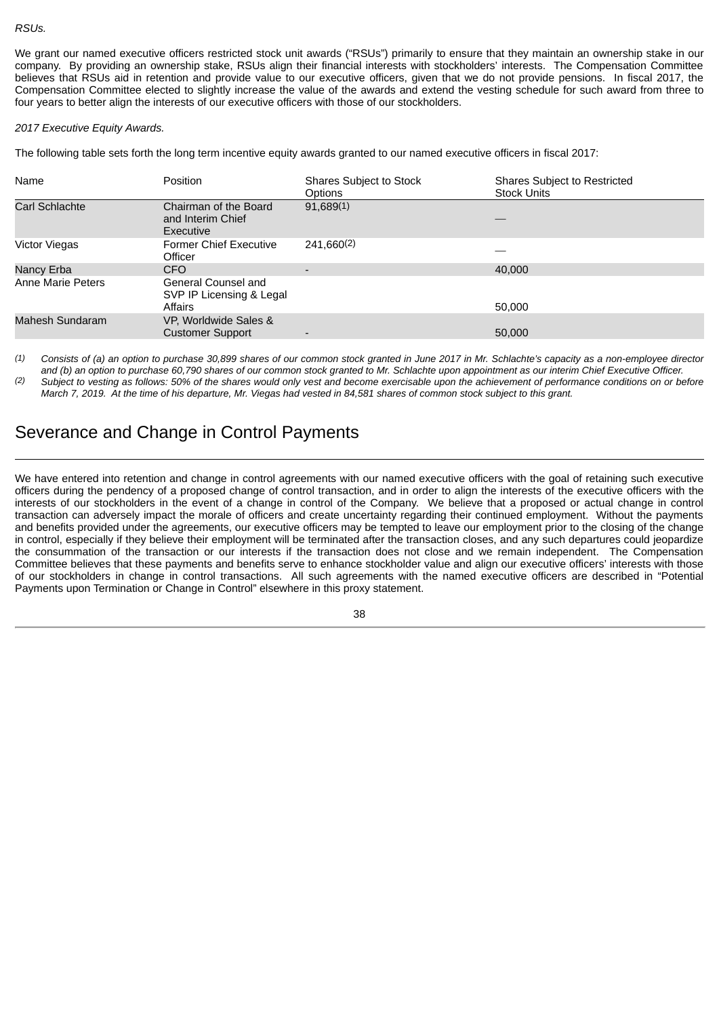#### *RSUs.*

We grant our named executive officers restricted stock unit awards ("RSUs") primarily to ensure that they maintain an ownership stake in our company. By providing an ownership stake, RSUs align their financial interests with stockholders' interests. The Compensation Committee believes that RSUs aid in retention and provide value to our executive officers, given that we do not provide pensions. In fiscal 2017, the Compensation Committee elected to slightly increase the value of the awards and extend the vesting schedule for such award from three to four years to better align the interests of our executive officers with those of our stockholders.

#### *2017 Executive Equity Awards.*

The following table sets forth the long term incentive equity awards granted to our named executive officers in fiscal 2017:

| Name                 | <b>Position</b>                                            | Shares Subject to Stock<br>Options | Shares Subject to Restricted<br><b>Stock Units</b> |
|----------------------|------------------------------------------------------------|------------------------------------|----------------------------------------------------|
| Carl Schlachte       | Chairman of the Board<br>and Interim Chief<br>Executive    | 91,689(1)                          |                                                    |
| <b>Victor Viegas</b> | <b>Former Chief Executive</b><br>Officer                   | 241,660(2)                         |                                                    |
| Nancy Erba           | <b>CFO</b>                                                 |                                    | 40,000                                             |
| Anne Marie Peters    | General Counsel and<br>SVP IP Licensing & Legal<br>Affairs |                                    | 50,000                                             |
| Mahesh Sundaram      | VP, Worldwide Sales &<br><b>Customer Support</b>           |                                    | 50,000                                             |

*(1) Consists of (a) an option to purchase 30,899 shares of our common stock granted in June 2017 in Mr. Schlachte's capacity as a non-employee director and (b) an option to purchase 60,790 shares of our common stock granted to Mr. Schlachte upon appointment as our interim Chief Executive Officer.*

*(2) Subject to vesting as follows: 50% of the shares would only vest and become exercisable upon the achievement of performance conditions on or before March 7, 2019. At the time of his departure, Mr. Viegas had vested in 84,581 shares of common stock subject to this grant.*

### <span id="page-42-0"></span>Severance and Change in Control Payments

We have entered into retention and change in control agreements with our named executive officers with the goal of retaining such executive officers during the pendency of a proposed change of control transaction, and in order to align the interests of the executive officers with the interests of our stockholders in the event of a change in control of the Company. We believe that a proposed or actual change in control transaction can adversely impact the morale of officers and create uncertainty regarding their continued employment. Without the payments and benefits provided under the agreements, our executive officers may be tempted to leave our employment prior to the closing of the change in control, especially if they believe their employment will be terminated after the transaction closes, and any such departures could jeopardize the consummation of the transaction or our interests if the transaction does not close and we remain independent. The Compensation Committee believes that these payments and benefits serve to enhance stockholder value and align our executive officers' interests with those of our stockholders in change in control transactions. All such agreements with the named executive officers are described in "Potential Payments upon Termination or Change in Control" elsewhere in this proxy statement.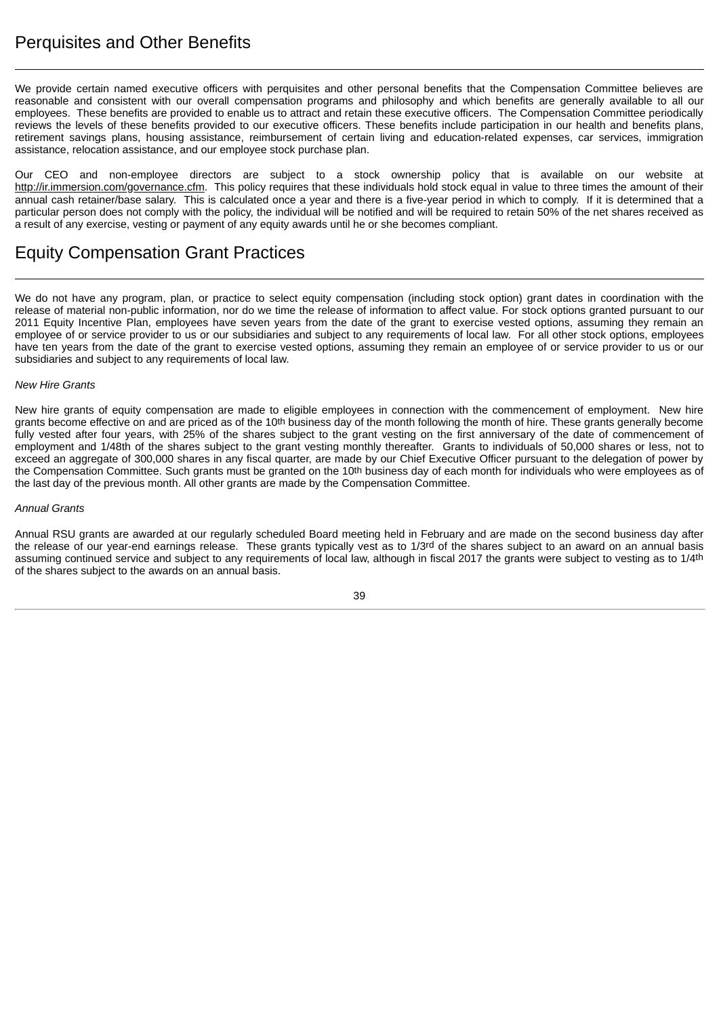## <span id="page-43-0"></span>Perquisites and Other Benefits

We provide certain named executive officers with perquisites and other personal benefits that the Compensation Committee believes are reasonable and consistent with our overall compensation programs and philosophy and which benefits are generally available to all our employees. These benefits are provided to enable us to attract and retain these executive officers. The Compensation Committee periodically reviews the levels of these benefits provided to our executive officers. These benefits include participation in our health and benefits plans, retirement savings plans, housing assistance, reimbursement of certain living and education-related expenses, car services, immigration assistance, relocation assistance, and our employee stock purchase plan.

Our CEO and non-employee directors are subject to a stock ownership policy that is available on our website at http://ir.immersion.com/governance.cfm. This policy requires that these individuals hold stock equal in value to three times the amount of their annual cash retainer/base salary. This is calculated once a year and there is a five-year period in which to comply. If it is determined that a particular person does not comply with the policy, the individual will be notified and will be required to retain 50% of the net shares received as a result of any exercise, vesting or payment of any equity awards until he or she becomes compliant.

## <span id="page-43-1"></span>Equity Compensation Grant Practices

We do not have any program, plan, or practice to select equity compensation (including stock option) grant dates in coordination with the release of material non-public information, nor do we time the release of information to affect value. For stock options granted pursuant to our 2011 Equity Incentive Plan, employees have seven years from the date of the grant to exercise vested options, assuming they remain an employee of or service provider to us or our subsidiaries and subject to any requirements of local law. For all other stock options, employees have ten years from the date of the grant to exercise vested options, assuming they remain an employee of or service provider to us or our subsidiaries and subject to any requirements of local law.

#### *New Hire Grants*

New hire grants of equity compensation are made to eligible employees in connection with the commencement of employment. New hire grants become effective on and are priced as of the 10<sup>th</sup> business day of the month following the month of hire. These grants generally become fully vested after four years, with 25% of the shares subject to the grant vesting on the first anniversary of the date of commencement of employment and 1/48th of the shares subject to the grant vesting monthly thereafter. Grants to individuals of 50,000 shares or less, not to exceed an aggregate of 300,000 shares in any fiscal quarter, are made by our Chief Executive Officer pursuant to the delegation of power by the Compensation Committee. Such grants must be granted on the 10<sup>th</sup> business day of each month for individuals who were employees as of the last day of the previous month. All other grants are made by the Compensation Committee.

#### *Annual Grants*

Annual RSU grants are awarded at our regularly scheduled Board meeting held in February and are made on the second business day after the release of our year-end earnings release. These grants typically vest as to 1/3rd of the shares subject to an award on an annual basis assuming continued service and subject to any requirements of local law, although in fiscal 2017 the grants were subject to vesting as to 1/4<sup>th</sup> of the shares subject to the awards on an annual basis.

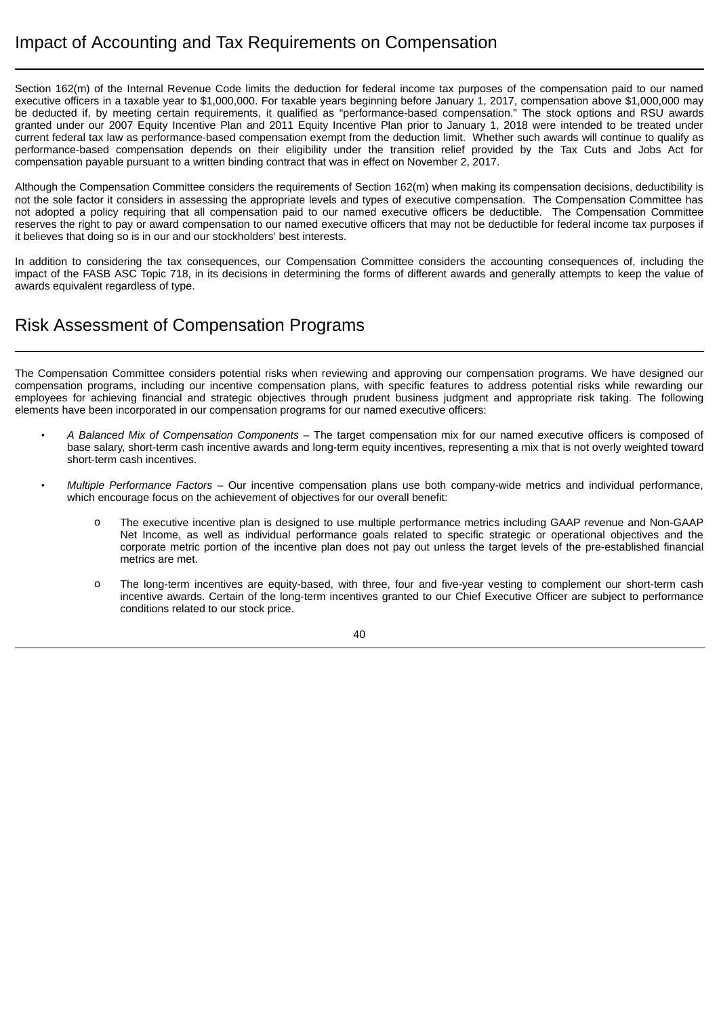<span id="page-44-0"></span>Section 162(m) of the Internal Revenue Code limits the deduction for federal income tax purposes of the compensation paid to our named executive officers in a taxable year to \$1,000,000. For taxable years beginning before January 1, 2017, compensation above \$1,000,000 may be deducted if, by meeting certain requirements, it qualified as "performance-based compensation." The stock options and RSU awards granted under our 2007 Equity Incentive Plan and 2011 Equity Incentive Plan prior to January 1, 2018 were intended to be treated under current federal tax law as performance-based compensation exempt from the deduction limit. Whether such awards will continue to qualify as performance-based compensation depends on their eligibility under the transition relief provided by the Tax Cuts and Jobs Act for compensation payable pursuant to a written binding contract that was in effect on November 2, 2017.

Although the Compensation Committee considers the requirements of Section 162(m) when making its compensation decisions, deductibility is not the sole factor it considers in assessing the appropriate levels and types of executive compensation. The Compensation Committee has not adopted a policy requiring that all compensation paid to our named executive officers be deductible. The Compensation Committee reserves the right to pay or award compensation to our named executive officers that may not be deductible for federal income tax purposes if it believes that doing so is in our and our stockholders' best interests.

In addition to considering the tax consequences, our Compensation Committee considers the accounting consequences of, including the impact of the FASB ASC Topic 718, in its decisions in determining the forms of different awards and generally attempts to keep the value of awards equivalent regardless of type.

## <span id="page-44-1"></span>Risk Assessment of Compensation Programs

The Compensation Committee considers potential risks when reviewing and approving our compensation programs. We have designed our compensation programs, including our incentive compensation plans, with specific features to address potential risks while rewarding our employees for achieving financial and strategic objectives through prudent business judgment and appropriate risk taking. The following elements have been incorporated in our compensation programs for our named executive officers:

- *A Balanced Mix of Compensation Components* The target compensation mix for our named executive officers is composed of base salary, short-term cash incentive awards and long-term equity incentives, representing a mix that is not overly weighted toward short-term cash incentives.
	- *Multiple Performance Factors* Our incentive compensation plans use both company-wide metrics and individual performance, which encourage focus on the achievement of objectives for our overall benefit:
		- o The executive incentive plan is designed to use multiple performance metrics including GAAP revenue and Non-GAAP Net Income, as well as individual performance goals related to specific strategic or operational objectives and the corporate metric portion of the incentive plan does not pay out unless the target levels of the pre-established financial metrics are met.
		- o The long-term incentives are equity-based, with three, four and five-year vesting to complement our short-term cash incentive awards. Certain of the long-term incentives granted to our Chief Executive Officer are subject to performance conditions related to our stock price.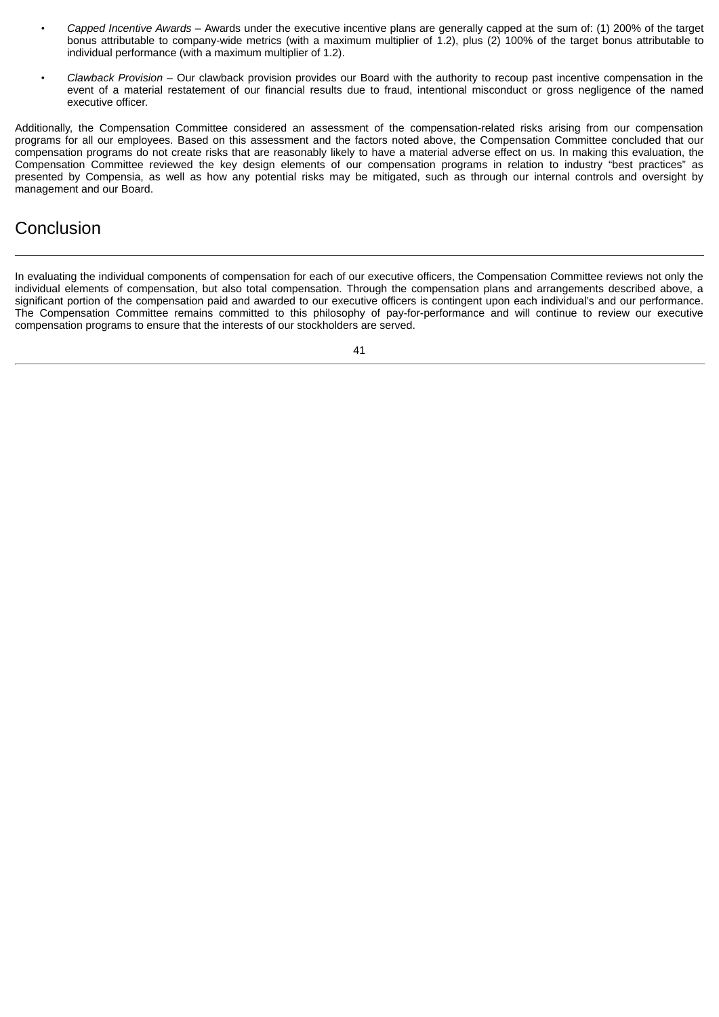- *Capped Incentive Awards* Awards under the executive incentive plans are generally capped at the sum of: (1) 200% of the target bonus attributable to company-wide metrics (with a maximum multiplier of 1.2), plus (2) 100% of the target bonus attributable to individual performance (with a maximum multiplier of 1.2).
- *Clawback Provision* Our clawback provision provides our Board with the authority to recoup past incentive compensation in the event of a material restatement of our financial results due to fraud, intentional misconduct or gross negligence of the named executive officer.

Additionally, the Compensation Committee considered an assessment of the compensation-related risks arising from our compensation programs for all our employees. Based on this assessment and the factors noted above, the Compensation Committee concluded that our compensation programs do not create risks that are reasonably likely to have a material adverse effect on us. In making this evaluation, the Compensation Committee reviewed the key design elements of our compensation programs in relation to industry "best practices" as presented by Compensia, as well as how any potential risks may be mitigated, such as through our internal controls and oversight by management and our Board.

## <span id="page-45-0"></span>**Conclusion**

In evaluating the individual components of compensation for each of our executive officers, the Compensation Committee reviews not only the individual elements of compensation, but also total compensation. Through the compensation plans and arrangements described above, a significant portion of the compensation paid and awarded to our executive officers is contingent upon each individual's and our performance. The Compensation Committee remains committed to this philosophy of pay-for-performance and will continue to review our executive compensation programs to ensure that the interests of our stockholders are served.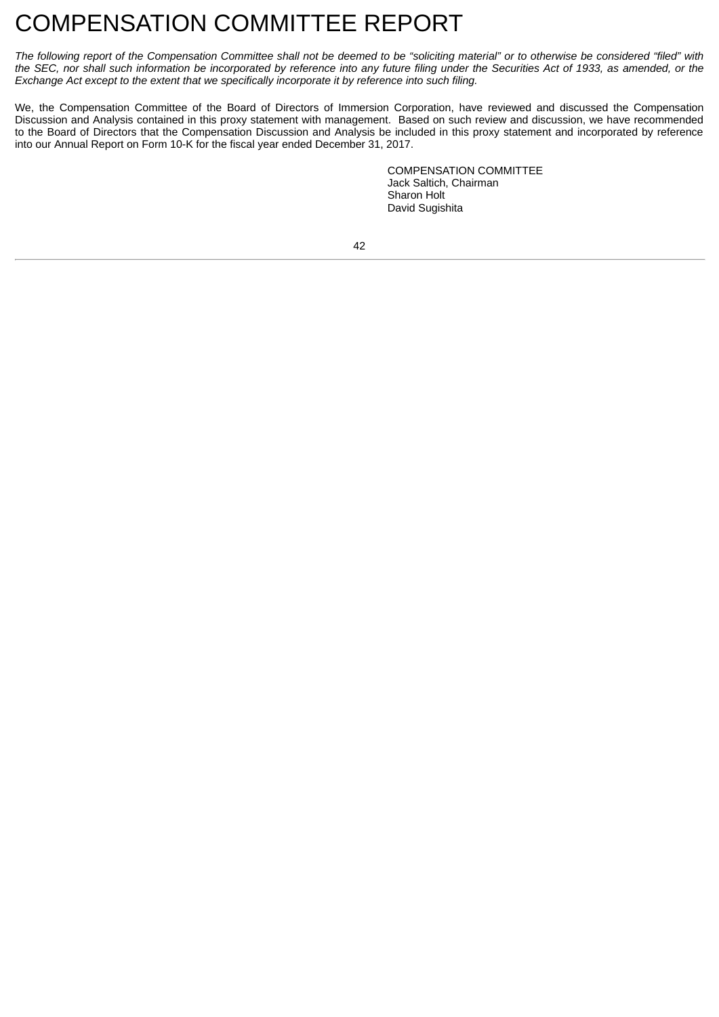## <span id="page-46-0"></span>COMPENSATION COMMITTEE REPORT

The following report of the Compensation Committee shall not be deemed to be "soliciting material" or to otherwise be considered "filed" with the SEC, nor shall such information be incorporated by reference into any future filing under the Securities Act of 1933, as amended, or the *Exchange Act except to the extent that we specifically incorporate it by reference into such filing.*

We, the Compensation Committee of the Board of Directors of Immersion Corporation, have reviewed and discussed the Compensation Discussion and Analysis contained in this proxy statement with management. Based on such review and discussion, we have recommended to the Board of Directors that the Compensation Discussion and Analysis be included in this proxy statement and incorporated by reference into our Annual Report on Form 10-K for the fiscal year ended December 31, 2017.

> COMPENSATION COMMITTEE Jack Saltich, Chairman Sharon Holt David Sugishita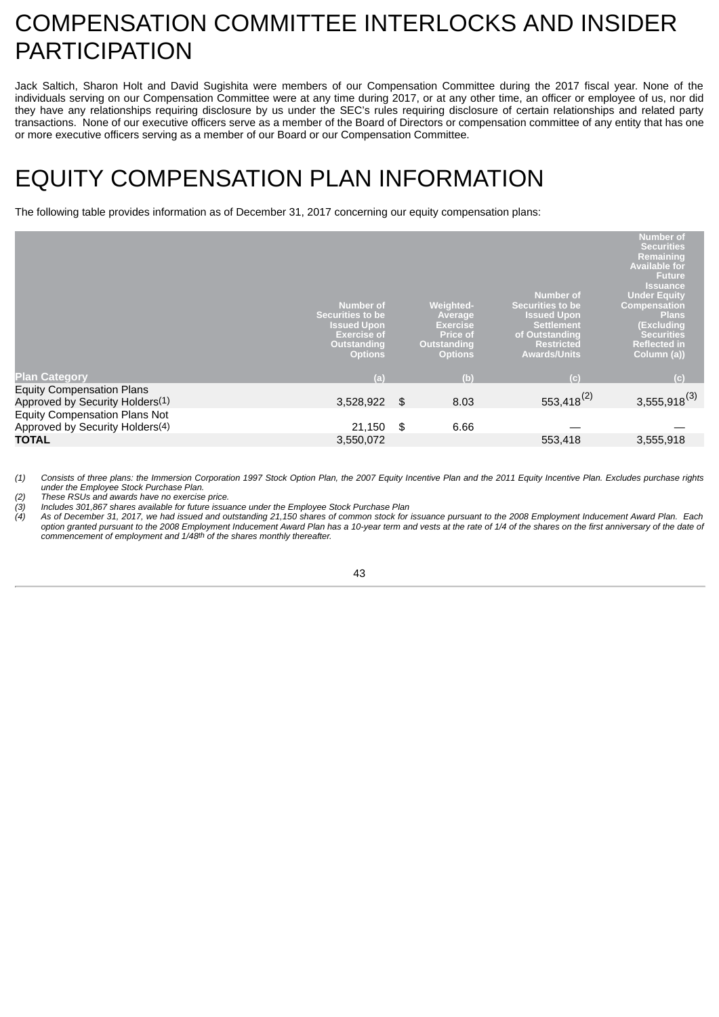## <span id="page-47-0"></span>COMPENSATION COMMITTEE INTERLOCKS AND INSIDER **PARTICIPATION**

Jack Saltich, Sharon Holt and David Sugishita were members of our Compensation Committee during the 2017 fiscal year. None of the individuals serving on our Compensation Committee were at any time during 2017, or at any other time, an officer or employee of us, nor did they have any relationships requiring disclosure by us under the SEC's rules requiring disclosure of certain relationships and related party transactions. None of our executive officers serve as a member of the Board of Directors or compensation committee of any entity that has one or more executive officers serving as a member of our Board or our Compensation Committee.

# <span id="page-47-1"></span>EQUITY COMPENSATION PLAN INFORMATION

The following table provides information as of December 31, 2017 concerning our equity compensation plans:

|                                             | Number of<br><b>Securities to be</b><br><b>Issued Upon</b><br><b>Exercise of</b><br><b>Outstanding</b> | <b>Weighted-</b><br>Average<br><b>Exercise</b><br><b>Price of</b><br><b>Outstanding</b> | <b>Number of</b><br><b>Securities to be</b><br><b>Issued Upon</b><br>Settlement<br>of Outstanding<br><b>Restricted</b> | <b>Number of</b><br><b>Securities</b><br>Remaining<br><b>Available for</b><br><b>Future</b><br><b>Issuance</b><br><b>Under Equity</b><br><b>Compensation</b><br><b>Plans</b><br>(Excluding<br><b>Securities</b><br><b>Reflected in</b> |
|---------------------------------------------|--------------------------------------------------------------------------------------------------------|-----------------------------------------------------------------------------------------|------------------------------------------------------------------------------------------------------------------------|----------------------------------------------------------------------------------------------------------------------------------------------------------------------------------------------------------------------------------------|
|                                             | <b>Options</b>                                                                                         | <b>Options</b>                                                                          | <b>Awards/Units</b>                                                                                                    | Column (a))                                                                                                                                                                                                                            |
| <b>Plan Category</b>                        | (a)                                                                                                    | (b)                                                                                     | (c)                                                                                                                    | (c)                                                                                                                                                                                                                                    |
| <b>Equity Compensation Plans</b>            |                                                                                                        |                                                                                         |                                                                                                                        |                                                                                                                                                                                                                                        |
| Approved by Security Holders(1)             | 3,528,922                                                                                              | \$<br>8.03                                                                              | 553,418 <sup>(2)</sup>                                                                                                 | $3,555,918^{(3)}$                                                                                                                                                                                                                      |
| <b>Equity Compensation Plans Not</b>        |                                                                                                        |                                                                                         |                                                                                                                        |                                                                                                                                                                                                                                        |
| Approved by Security Holders <sup>(4)</sup> | 21,150                                                                                                 | \$<br>6.66                                                                              |                                                                                                                        |                                                                                                                                                                                                                                        |
| <b>TOTAL</b>                                | 3,550,072                                                                                              |                                                                                         | 553,418                                                                                                                | 3,555,918                                                                                                                                                                                                                              |
|                                             |                                                                                                        |                                                                                         |                                                                                                                        |                                                                                                                                                                                                                                        |

(1) Consists of three plans: the Immersion Corporation 1997 Stock Option Plan, the 2007 Equity Incentive Plan and the 2011 Equity Incentive Plan. Excludes purchase rights *under the Employee Stock Purchase Plan.*

*(2) These RSUs and awards have no exercise price. (3) Includes 301,867 shares available for future issuance under the Employee Stock Purchase Plan*

As of December 31, 2017, we had issued and outstanding 21,150 shares of common stock for issuance pursuant to the 2008 Employment Inducement Award Plan. Each option granted pursuant to the 2008 Employment Inducement Award Plan has a 10-year term and vests at the rate of 1/4 of the shares on the first anniversary of the date of *commencement of employment and 1/48th of the shares monthly thereafter.*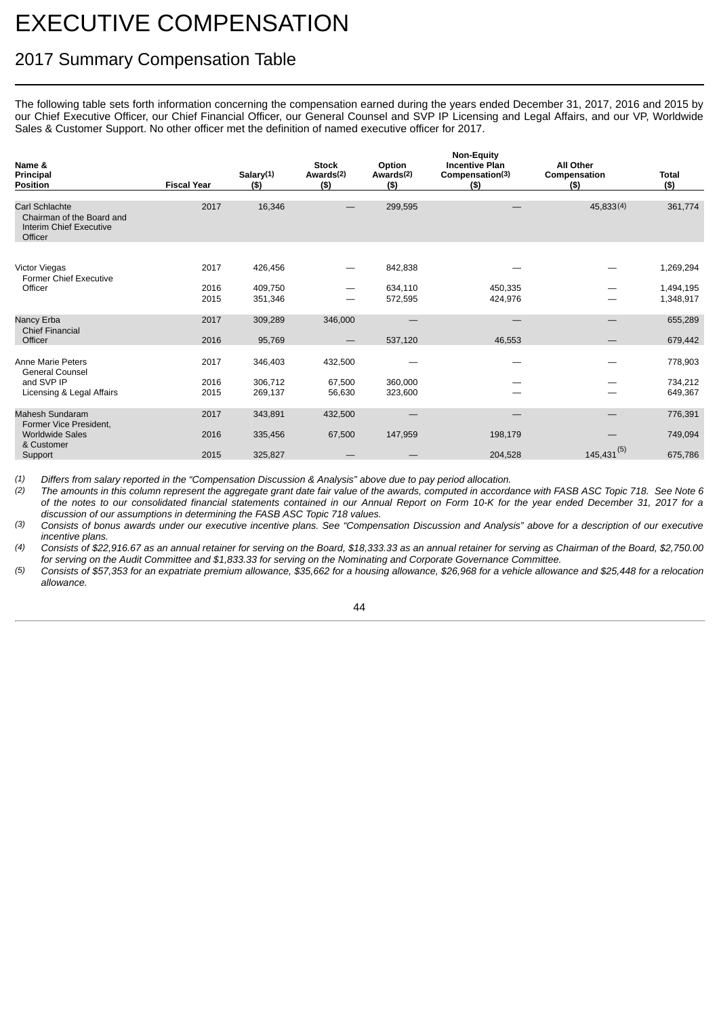# <span id="page-48-0"></span>EXECUTIVE COMPENSATION

## <span id="page-48-1"></span>2017 Summary Compensation Table

The following table sets forth information concerning the compensation earned during the years ended December 31, 2017, 2016 and 2015 by our Chief Executive Officer, our Chief Financial Officer, our General Counsel and SVP IP Licensing and Legal Affairs, and our VP, Worldwide Sales & Customer Support. No other officer met the definition of named executive officer for 2017.

| Name &<br>Principal<br><b>Position</b>                                            | <b>Fiscal Year</b> | Salary(1)<br>(5)   | <b>Stock</b><br>Awards <sup>(2)</sup><br>(5) | Option<br>Awards <sup>(2)</sup><br>(5) | <b>Non-Equity</b><br><b>Incentive Plan</b><br>Compensation(3)<br>(5) | All Other<br>Compensation<br>(5) | <b>Total</b><br>(5)    |
|-----------------------------------------------------------------------------------|--------------------|--------------------|----------------------------------------------|----------------------------------------|----------------------------------------------------------------------|----------------------------------|------------------------|
| Carl Schlachte<br>Chairman of the Board and<br>Interim Chief Executive<br>Officer | 2017               | 16,346             |                                              | 299,595                                |                                                                      | 45,833(4)                        | 361,774                |
| <b>Victor Viegas</b><br><b>Former Chief Executive</b>                             | 2017               | 426,456            | $\overline{\phantom{0}}$                     | 842,838                                |                                                                      |                                  | 1,269,294              |
| Officer                                                                           | 2016<br>2015       | 409,750<br>351,346 | —                                            | 634,110<br>572,595                     | 450,335<br>424,976                                                   |                                  | 1,494,195<br>1,348,917 |
| Nancy Erba<br><b>Chief Financial</b>                                              | 2017               | 309,289            | 346,000                                      |                                        |                                                                      |                                  | 655,289                |
| Officer                                                                           | 2016               | 95,769             |                                              | 537,120                                | 46,553                                                               |                                  | 679,442                |
| Anne Marie Peters<br><b>General Counsel</b>                                       | 2017               | 346,403            | 432,500                                      |                                        | $\overline{\phantom{a}}$                                             |                                  | 778,903                |
| and SVP IP<br>Licensing & Legal Affairs                                           | 2016<br>2015       | 306,712<br>269,137 | 67,500<br>56,630                             | 360,000<br>323,600                     |                                                                      |                                  | 734,212<br>649,367     |
| <b>Mahesh Sundaram</b><br>Former Vice President.                                  | 2017               | 343,891            | 432,500                                      |                                        |                                                                      |                                  | 776,391                |
| <b>Worldwide Sales</b><br>& Customer                                              | 2016               | 335,456            | 67,500                                       | 147,959                                | 198,179                                                              |                                  | 749,094                |
| Support                                                                           | 2015               | 325,827            |                                              |                                        | 204.528                                                              | $145,431^{(5)}$                  | 675,786                |

*(1) Differs from salary reported in the "Compensation Discussion & Analysis" above due to pay period allocation.*

*(2) The amounts in this column represent the aggregate grant date fair value of the awards, computed in accordance with FASB ASC Topic 718. See Note 6 of the notes to our consolidated financial statements contained in our Annual Report on Form 10-K for the year ended December 31, 2017 for a discussion of our assumptions in determining the FASB ASC Topic 718 values.*

*(3) Consists of bonus awards under our executive incentive plans. See "Compensation Discussion and Analysis" above for a description of our executive incentive plans.*

*(4) Consists of \$22,916.67 as an annual retainer for serving on the Board, \$18,333.33 as an annual retainer for serving as Chairman of the Board, \$2,750.00 for serving on the Audit Committee and \$1,833.33 for serving on the Nominating and Corporate Governance Committee.*

*(5) Consists of \$57,353 for an expatriate premium allowance, \$35,662 for a housing allowance, \$26,968 for a vehicle allowance and \$25,448 for a relocation allowance.*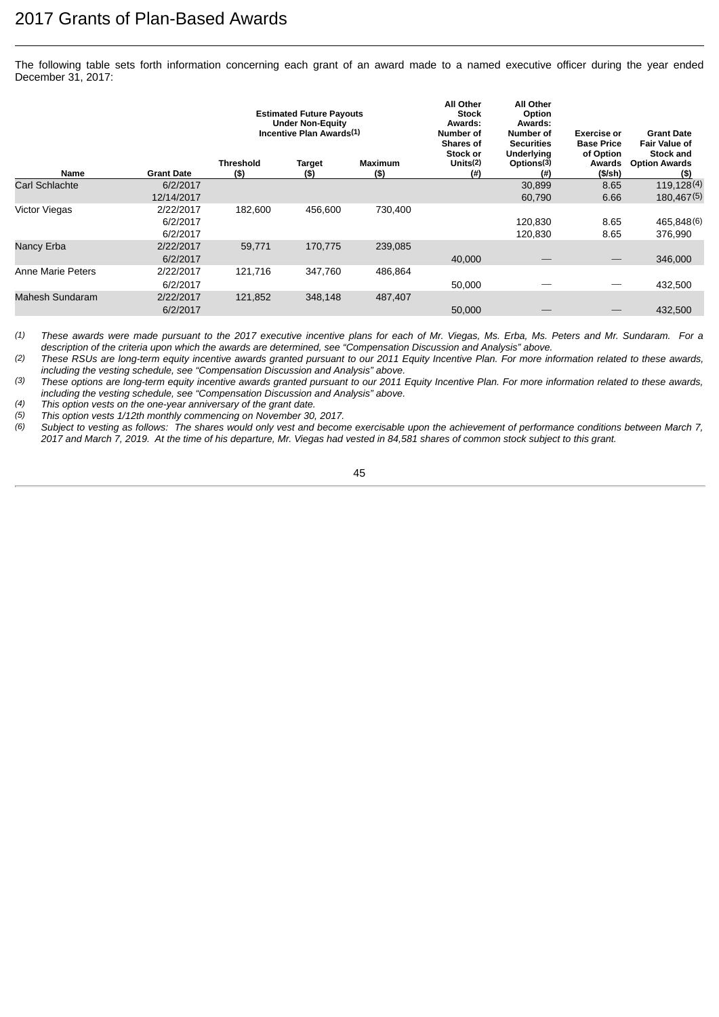The following table sets forth information concerning each grant of an award made to a named executive officer during the year ended December 31, 2017:

|                      |                                   | <b>Estimated Future Payouts</b><br><b>Under Non-Equity</b><br>Incentive Plan Awards <sup>(1)</sup> |                   |                | <b>All Other</b><br><b>Stock</b><br>Awards:<br>Number of<br><b>Shares of</b> |                                                     | <b>Exercise or</b><br><b>Base Price</b> | <b>Grant Date</b><br><b>Fair Value of</b>        |
|----------------------|-----------------------------------|----------------------------------------------------------------------------------------------------|-------------------|----------------|------------------------------------------------------------------------------|-----------------------------------------------------|-----------------------------------------|--------------------------------------------------|
| <b>Name</b>          | <b>Grant Date</b>                 | <b>Threshold</b><br>$($ \$)                                                                        | Target<br>$($ \$) | Maximum<br>(5) | Stock or<br>Units <sup>(2)</sup><br>$^{(#)}$                                 | <b>Underlying</b><br>Options <sup>(3)</sup><br>(# ) | of Option<br>Awards<br>$(S/\sh)$        | <b>Stock and</b><br><b>Option Awards</b><br>(\$) |
| Carl Schlachte       | 6/2/2017<br>12/14/2017            |                                                                                                    |                   |                |                                                                              | 30,899<br>60,790                                    | 8.65<br>6.66                            | 119,128(4)<br>180,467(5)                         |
| <b>Victor Viegas</b> | 2/22/2017<br>6/2/2017<br>6/2/2017 | 182,600                                                                                            | 456,600           | 730,400        |                                                                              | 120.830<br>120.830                                  | 8.65<br>8.65                            | 465,848(6)<br>376,990                            |
| Nancy Erba           | 2/22/2017<br>6/2/2017             | 59,771                                                                                             | 170,775           | 239,085        | 40,000                                                                       |                                                     |                                         | 346,000                                          |
| Anne Marie Peters    | 2/22/2017<br>6/2/2017             | 121.716                                                                                            | 347,760           | 486,864        | 50,000                                                                       |                                                     |                                         | 432,500                                          |
| Mahesh Sundaram      | 2/22/2017<br>6/2/2017             | 121,852                                                                                            | 348.148           | 487,407        | 50,000                                                                       |                                                     |                                         | 432.500                                          |
|                      |                                   |                                                                                                    |                   |                |                                                                              |                                                     |                                         |                                                  |

*(1) These awards were made pursuant to the 2017 executive incentive plans for each of Mr. Viegas, Ms. Erba, Ms. Peters and Mr. Sundaram. For a description of the criteria upon which the awards are determined, see "Compensation Discussion and Analysis" above.*

*(2) These RSUs are long-term equity incentive awards granted pursuant to our 2011 Equity Incentive Plan. For more information related to these awards, including the vesting schedule, see "Compensation Discussion and Analysis" above.*

*(3) These options are long-term equity incentive awards granted pursuant to our 2011 Equity Incentive Plan. For more information related to these awards, including the vesting schedule, see "Compensation Discussion and Analysis" above.*

*(4) This option vests on the one-year anniversary of the grant date.*

*(5) This option vests 1/12th monthly commencing on November 30, 2017.*

*(6) Subject to vesting as follows: The shares would only vest and become exercisable upon the achievement of performance conditions between March 7, 2017 and March 7, 2019. At the time of his departure, Mr. Viegas had vested in 84,581 shares of common stock subject to this grant.*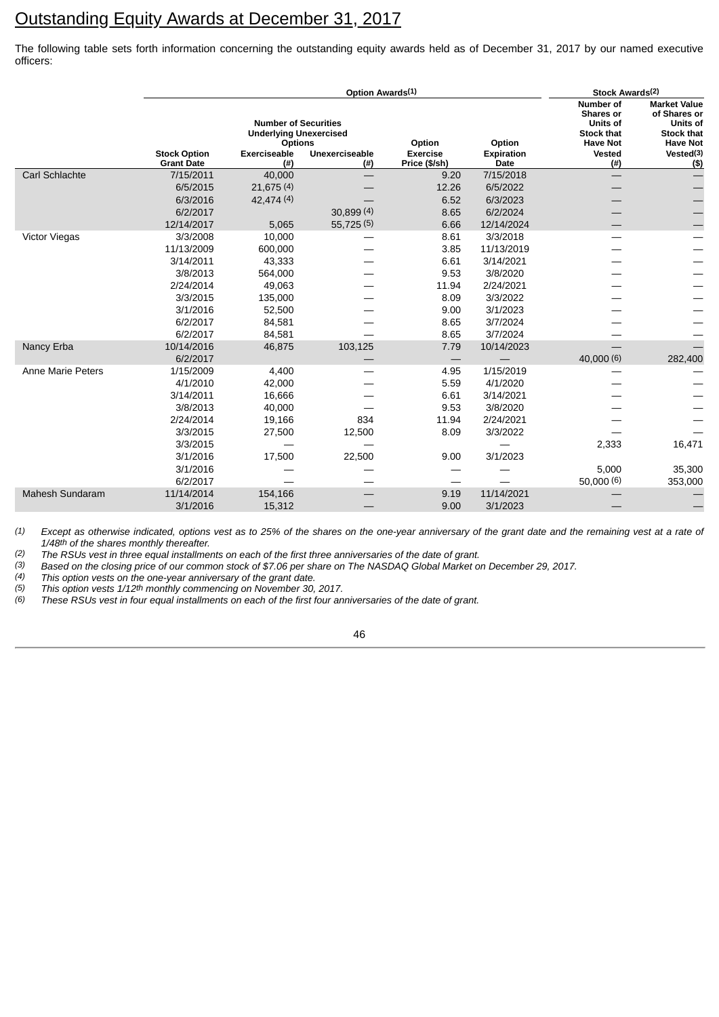## <span id="page-50-0"></span>Outstanding Equity Awards at December 31, 2017

The following table sets forth information concerning the outstanding equity awards held as of December 31, 2017 by our named executive officers:

|                          |                                          | Stock Awards(2)<br>Option Awards(1)                                            |                            |                                  |                    |                                                                                          |                                                                                                |
|--------------------------|------------------------------------------|--------------------------------------------------------------------------------|----------------------------|----------------------------------|--------------------|------------------------------------------------------------------------------------------|------------------------------------------------------------------------------------------------|
|                          |                                          | <b>Number of Securities</b><br><b>Underlying Unexercised</b><br><b>Options</b> |                            | Option                           | Option             | Number of<br><b>Shares or</b><br><b>Units of</b><br><b>Stock that</b><br><b>Have Not</b> | <b>Market Value</b><br>of Shares or<br><b>Units of</b><br><b>Stock that</b><br><b>Have Not</b> |
|                          | <b>Stock Option</b><br><b>Grant Date</b> | <b>Exerciseable</b><br>(# )                                                    | Unexerciseable<br>$^{(#)}$ | <b>Exercise</b><br>Price (\$/sh) | Expiration<br>Date | Vested<br>(#)                                                                            | Vested <sup>(3)</sup><br>$($)$                                                                 |
| Carl Schlachte           | 7/15/2011                                | 40,000                                                                         |                            | 9.20                             | 7/15/2018          |                                                                                          | —                                                                                              |
|                          | 6/5/2015                                 | 21,675(4)                                                                      |                            | 12.26                            | 6/5/2022           |                                                                                          |                                                                                                |
|                          | 6/3/2016                                 | 42,474 (4)                                                                     |                            | 6.52                             | 6/3/2023           |                                                                                          |                                                                                                |
|                          | 6/2/2017                                 |                                                                                | 30,899 (4)                 | 8.65                             | 6/2/2024           |                                                                                          |                                                                                                |
|                          | 12/14/2017                               | 5,065                                                                          | 55,725(5)                  | 6.66                             | 12/14/2024         |                                                                                          |                                                                                                |
| <b>Victor Viegas</b>     | 3/3/2008                                 | 10,000                                                                         |                            | 8.61                             | 3/3/2018           |                                                                                          |                                                                                                |
|                          | 11/13/2009                               | 600,000                                                                        |                            | 3.85                             | 11/13/2019         |                                                                                          |                                                                                                |
|                          | 3/14/2011                                | 43,333                                                                         |                            | 6.61                             | 3/14/2021          |                                                                                          |                                                                                                |
|                          | 3/8/2013                                 | 564,000                                                                        |                            | 9.53                             | 3/8/2020           |                                                                                          |                                                                                                |
|                          | 2/24/2014                                | 49,063                                                                         |                            | 11.94                            | 2/24/2021          |                                                                                          |                                                                                                |
|                          | 3/3/2015                                 | 135,000                                                                        |                            | 8.09                             | 3/3/2022           |                                                                                          |                                                                                                |
|                          | 3/1/2016                                 | 52,500                                                                         |                            | 9.00                             | 3/1/2023           |                                                                                          |                                                                                                |
|                          | 6/2/2017                                 | 84,581                                                                         |                            | 8.65                             | 3/7/2024           |                                                                                          |                                                                                                |
|                          | 6/2/2017                                 | 84,581                                                                         |                            | 8.65                             | 3/7/2024           |                                                                                          |                                                                                                |
| Nancy Erba               | 10/14/2016                               | 46,875                                                                         | 103,125                    | 7.79                             | 10/14/2023         |                                                                                          |                                                                                                |
|                          | 6/2/2017                                 |                                                                                |                            |                                  |                    | 40,000 (6)                                                                               | 282,400                                                                                        |
| <b>Anne Marie Peters</b> | 1/15/2009                                | 4,400                                                                          |                            | 4.95                             | 1/15/2019          |                                                                                          |                                                                                                |
|                          | 4/1/2010                                 | 42,000                                                                         |                            | 5.59                             | 4/1/2020           |                                                                                          |                                                                                                |
|                          | 3/14/2011                                | 16,666                                                                         |                            | 6.61                             | 3/14/2021          |                                                                                          |                                                                                                |
|                          | 3/8/2013                                 | 40,000                                                                         |                            | 9.53                             | 3/8/2020           |                                                                                          |                                                                                                |
|                          | 2/24/2014                                | 19,166                                                                         | 834                        | 11.94                            | 2/24/2021          |                                                                                          |                                                                                                |
|                          | 3/3/2015                                 | 27,500                                                                         | 12,500                     | 8.09                             | 3/3/2022           |                                                                                          |                                                                                                |
|                          | 3/3/2015                                 |                                                                                |                            |                                  |                    | 2,333                                                                                    | 16,471                                                                                         |
|                          | 3/1/2016                                 | 17,500                                                                         | 22,500                     | 9.00                             | 3/1/2023           |                                                                                          |                                                                                                |
|                          | 3/1/2016                                 |                                                                                |                            |                                  |                    | 5,000                                                                                    | 35,300                                                                                         |
|                          | 6/2/2017                                 |                                                                                |                            |                                  |                    | 50,000(6)                                                                                | 353,000                                                                                        |
| Mahesh Sundaram          | 11/14/2014                               | 154,166                                                                        |                            | 9.19                             | 11/14/2021         |                                                                                          |                                                                                                |
|                          | 3/1/2016                                 | 15,312                                                                         |                            | 9.00                             | 3/1/2023           |                                                                                          |                                                                                                |

*(1) Except as otherwise indicated, options vest as to 25% of the shares on the one-year anniversary of the grant date and the remaining vest at a rate of 1/48th of the shares monthly thereafter.* 

*(2) The RSUs vest in three equal installments on each of the first three anniversaries of the date of grant.*

*(3) Based on the closing price of our common stock of \$7.06 per share on The NASDAQ Global Market on December 29, 2017.*

*(4) This option vests on the one-year anniversary of the grant date.*

*(5) This option vests 1/12th monthly commencing on November 30, 2017.*

*(6) These RSUs vest in four equal installments on each of the first four anniversaries of the date of grant.*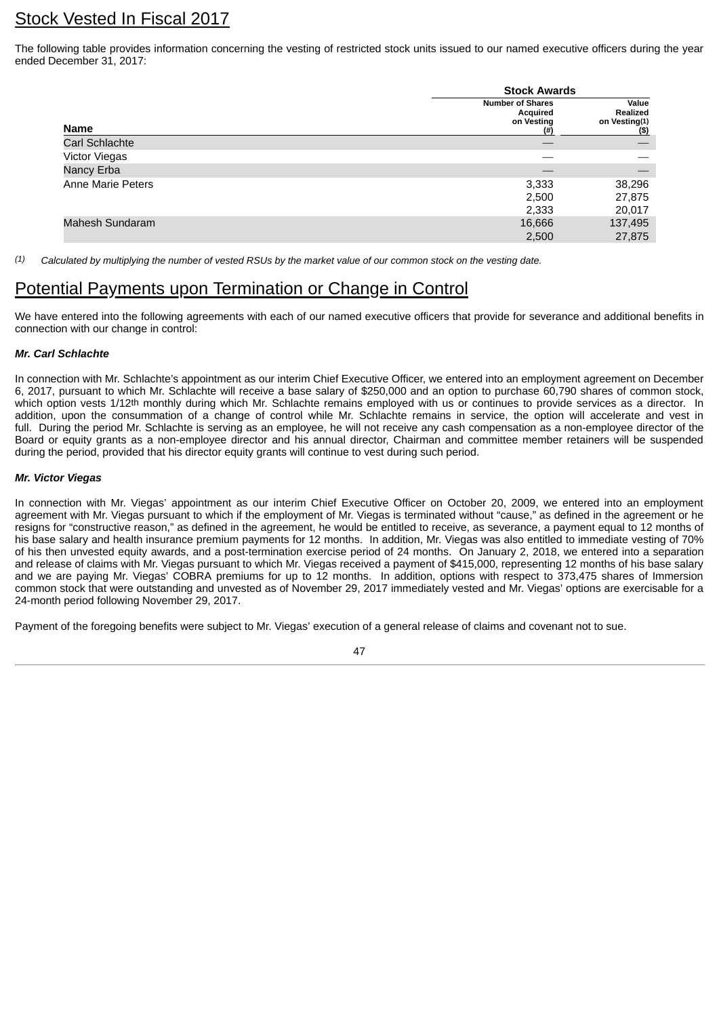## <span id="page-51-0"></span>Stock Vested In Fiscal 2017

The following table provides information concerning the vesting of restricted stock units issued to our named executive officers during the year ended December 31, 2017:

|                      | <b>Stock Awards</b>                                       |                                            |
|----------------------|-----------------------------------------------------------|--------------------------------------------|
| Name                 | <b>Number of Shares</b><br>Acquired<br>on Vesting<br>(# ) | Value<br>Realized<br>on Vesting(1)<br>(\$) |
| Carl Schlachte       |                                                           |                                            |
| <b>Victor Viegas</b> |                                                           |                                            |
| Nancy Erba           |                                                           |                                            |
| Anne Marie Peters    | 3,333                                                     | 38,296                                     |
|                      | 2,500                                                     | 27,875                                     |
|                      | 2,333                                                     | 20,017                                     |
| Mahesh Sundaram      | 16,666                                                    | 137,495                                    |
|                      | 2,500                                                     | 27,875                                     |

*(1) Calculated by multiplying the number of vested RSUs by the market value of our common stock on the vesting date.*

## <span id="page-51-1"></span>Potential Payments upon Termination or Change in Control

We have entered into the following agreements with each of our named executive officers that provide for severance and additional benefits in connection with our change in control:

#### *Mr. Carl Schlachte*

In connection with Mr. Schlachte's appointment as our interim Chief Executive Officer, we entered into an employment agreement on December 6, 2017, pursuant to which Mr. Schlachte will receive a base salary of \$250,000 and an option to purchase 60,790 shares of common stock, which option vests 1/12<sup>th</sup> monthly during which Mr. Schlachte remains employed with us or continues to provide services as a director. In addition, upon the consummation of a change of control while Mr. Schlachte remains in service, the option will accelerate and vest in full. During the period Mr. Schlachte is serving as an employee, he will not receive any cash compensation as a non-employee director of the Board or equity grants as a non-employee director and his annual director, Chairman and committee member retainers will be suspended during the period, provided that his director equity grants will continue to vest during such period.

#### *Mr. Victor Viegas*

In connection with Mr. Viegas' appointment as our interim Chief Executive Officer on October 20, 2009, we entered into an employment agreement with Mr. Viegas pursuant to which if the employment of Mr. Viegas is terminated without "cause," as defined in the agreement or he resigns for "constructive reason," as defined in the agreement, he would be entitled to receive, as severance, a payment equal to 12 months of his base salary and health insurance premium payments for 12 months. In addition, Mr. Viegas was also entitled to immediate vesting of 70% of his then unvested equity awards, and a post-termination exercise period of 24 months. On January 2, 2018, we entered into a separation and release of claims with Mr. Viegas pursuant to which Mr. Viegas received a payment of \$415,000, representing 12 months of his base salary and we are paying Mr. Viegas' COBRA premiums for up to 12 months. In addition, options with respect to 373,475 shares of Immersion common stock that were outstanding and unvested as of November 29, 2017 immediately vested and Mr. Viegas' options are exercisable for a 24-month period following November 29, 2017.

Payment of the foregoing benefits were subject to Mr. Viegas' execution of a general release of claims and covenant not to sue.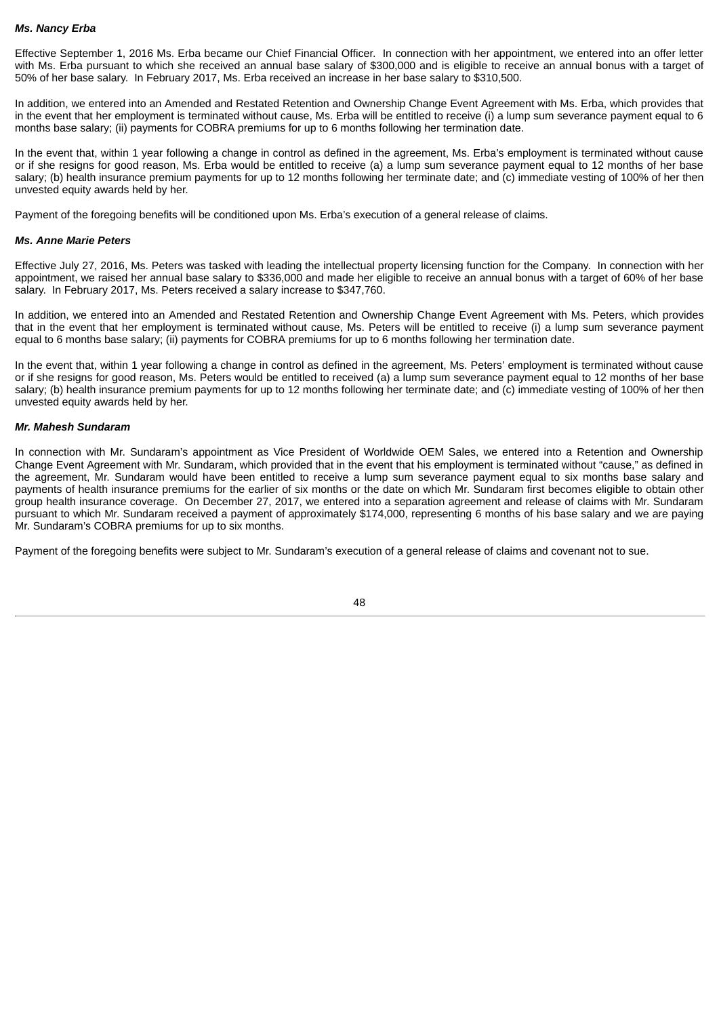#### *Ms. Nancy Erba*

Effective September 1, 2016 Ms. Erba became our Chief Financial Officer. In connection with her appointment, we entered into an offer letter with Ms. Erba pursuant to which she received an annual base salary of \$300,000 and is eligible to receive an annual bonus with a target of 50% of her base salary. In February 2017, Ms. Erba received an increase in her base salary to \$310,500.

In addition, we entered into an Amended and Restated Retention and Ownership Change Event Agreement with Ms. Erba, which provides that in the event that her employment is terminated without cause, Ms. Erba will be entitled to receive (i) a lump sum severance payment equal to 6 months base salary; (ii) payments for COBRA premiums for up to 6 months following her termination date.

In the event that, within 1 year following a change in control as defined in the agreement, Ms. Erba's employment is terminated without cause or if she resigns for good reason, Ms. Erba would be entitled to receive (a) a lump sum severance payment equal to 12 months of her base salary; (b) health insurance premium payments for up to 12 months following her terminate date; and (c) immediate vesting of 100% of her then unvested equity awards held by her.

Payment of the foregoing benefits will be conditioned upon Ms. Erba's execution of a general release of claims.

#### *Ms. Anne Marie Peters*

Effective July 27, 2016, Ms. Peters was tasked with leading the intellectual property licensing function for the Company. In connection with her appointment, we raised her annual base salary to \$336,000 and made her eligible to receive an annual bonus with a target of 60% of her base salary. In February 2017, Ms. Peters received a salary increase to \$347,760.

In addition, we entered into an Amended and Restated Retention and Ownership Change Event Agreement with Ms. Peters, which provides that in the event that her employment is terminated without cause, Ms. Peters will be entitled to receive (i) a lump sum severance payment equal to 6 months base salary; (ii) payments for COBRA premiums for up to 6 months following her termination date.

In the event that, within 1 year following a change in control as defined in the agreement, Ms. Peters' employment is terminated without cause or if she resigns for good reason, Ms. Peters would be entitled to received (a) a lump sum severance payment equal to 12 months of her base salary; (b) health insurance premium payments for up to 12 months following her terminate date; and (c) immediate vesting of 100% of her then unvested equity awards held by her.

#### *Mr. Mahesh Sundaram*

In connection with Mr. Sundaram's appointment as Vice President of Worldwide OEM Sales, we entered into a Retention and Ownership Change Event Agreement with Mr. Sundaram, which provided that in the event that his employment is terminated without "cause," as defined in the agreement, Mr. Sundaram would have been entitled to receive a lump sum severance payment equal to six months base salary and payments of health insurance premiums for the earlier of six months or the date on which Mr. Sundaram first becomes eligible to obtain other group health insurance coverage. On December 27, 2017, we entered into a separation agreement and release of claims with Mr. Sundaram pursuant to which Mr. Sundaram received a payment of approximately \$174,000, representing 6 months of his base salary and we are paying Mr. Sundaram's COBRA premiums for up to six months.

Payment of the foregoing benefits were subject to Mr. Sundaram's execution of a general release of claims and covenant not to sue.

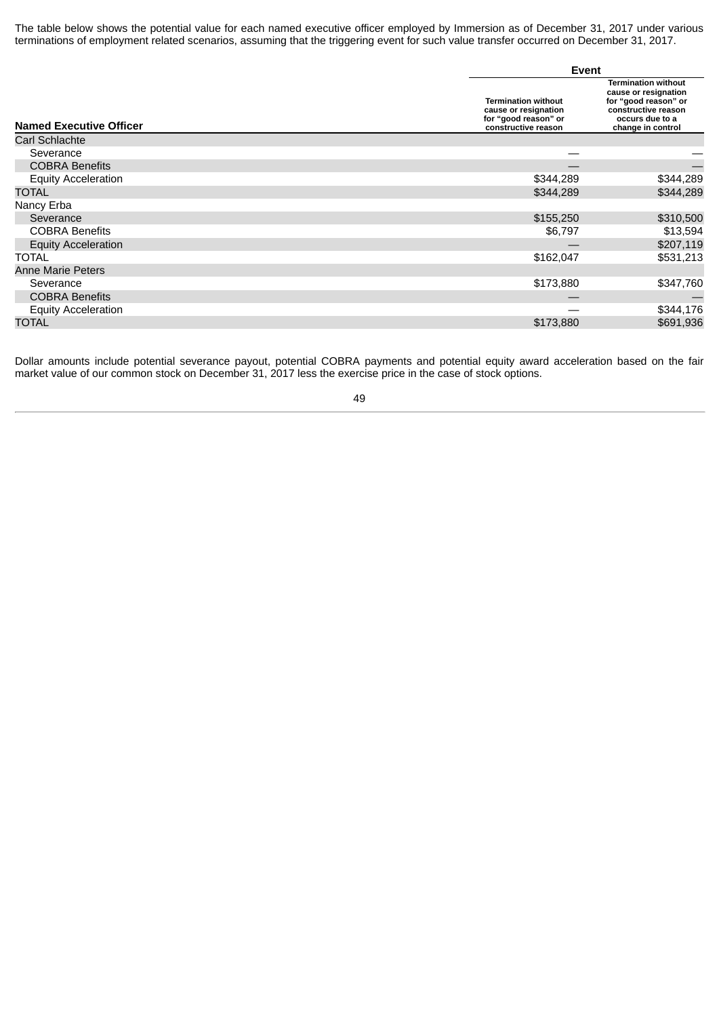The table below shows the potential value for each named executive officer employed by Immersion as of December 31, 2017 under various terminations of employment related scenarios, assuming that the triggering event for such value transfer occurred on December 31, 2017.

|                                | Event                                                                                             |                                                                                                                                           |
|--------------------------------|---------------------------------------------------------------------------------------------------|-------------------------------------------------------------------------------------------------------------------------------------------|
| <b>Named Executive Officer</b> | <b>Termination without</b><br>cause or resignation<br>for "good reason" or<br>constructive reason | <b>Termination without</b><br>cause or resignation<br>for "good reason" or<br>constructive reason<br>occurs due to a<br>change in control |
| Carl Schlachte                 |                                                                                                   |                                                                                                                                           |
| Severance                      |                                                                                                   |                                                                                                                                           |
| <b>COBRA Benefits</b>          |                                                                                                   |                                                                                                                                           |
| <b>Equity Acceleration</b>     | \$344,289                                                                                         | \$344,289                                                                                                                                 |
| TOTAL                          | \$344,289                                                                                         | \$344,289                                                                                                                                 |
| Nancy Erba                     |                                                                                                   |                                                                                                                                           |
| Severance                      | \$155,250                                                                                         | \$310,500                                                                                                                                 |
| <b>COBRA Benefits</b>          | \$6,797                                                                                           | \$13,594                                                                                                                                  |
| <b>Equity Acceleration</b>     |                                                                                                   | \$207,119                                                                                                                                 |
| <b>TOTAL</b>                   | \$162,047                                                                                         | \$531,213                                                                                                                                 |
| <b>Anne Marie Peters</b>       |                                                                                                   |                                                                                                                                           |
| Severance                      | \$173,880                                                                                         | \$347,760                                                                                                                                 |
| <b>COBRA Benefits</b>          |                                                                                                   |                                                                                                                                           |
| <b>Equity Acceleration</b>     |                                                                                                   | \$344,176                                                                                                                                 |
| TOTAL                          | \$173,880                                                                                         | \$691,936                                                                                                                                 |

Dollar amounts include potential severance payout, potential COBRA payments and potential equity award acceleration based on the fair market value of our common stock on December 31, 2017 less the exercise price in the case of stock options.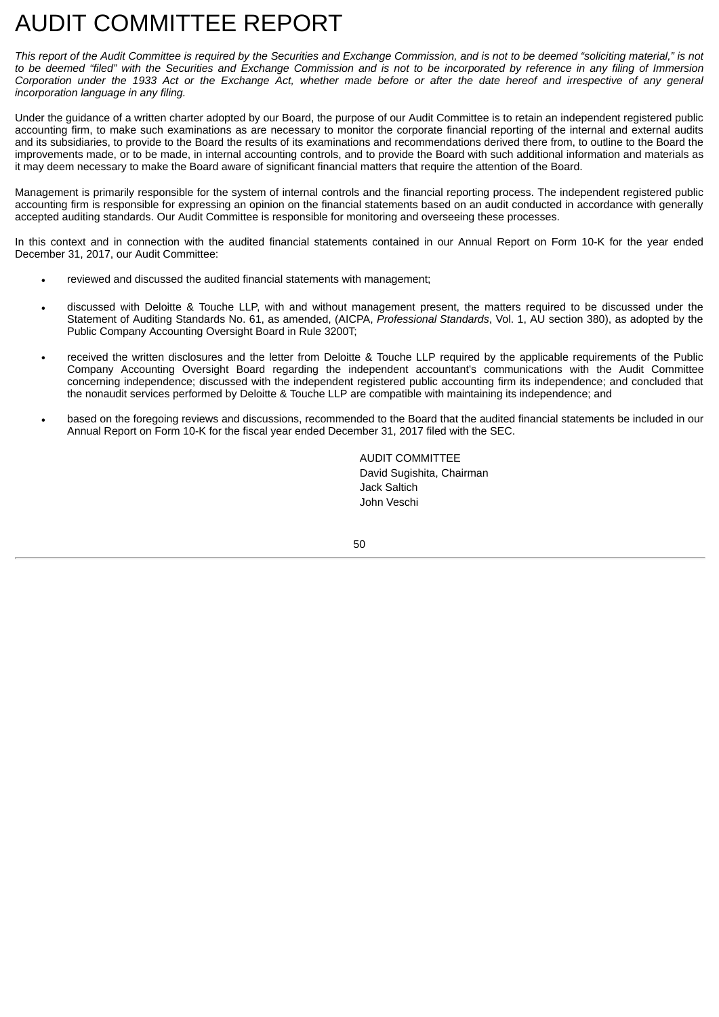## <span id="page-54-0"></span>AUDIT COMMITTEE REPORT

This report of the Audit Committee is required by the Securities and Exchange Commission, and is not to be deemed "soliciting material," is not to be deemed "filed" with the Securities and Exchange Commission and is not to be incorporated by reference in any filing of Immersion Corporation under the 1933 Act or the Exchange Act, whether made before or after the date hereof and irrespective of any general *incorporation language in any filing.*

Under the guidance of a written charter adopted by our Board, the purpose of our Audit Committee is to retain an independent registered public accounting firm, to make such examinations as are necessary to monitor the corporate financial reporting of the internal and external audits and its subsidiaries, to provide to the Board the results of its examinations and recommendations derived there from, to outline to the Board the improvements made, or to be made, in internal accounting controls, and to provide the Board with such additional information and materials as it may deem necessary to make the Board aware of significant financial matters that require the attention of the Board.

Management is primarily responsible for the system of internal controls and the financial reporting process. The independent registered public accounting firm is responsible for expressing an opinion on the financial statements based on an audit conducted in accordance with generally accepted auditing standards. Our Audit Committee is responsible for monitoring and overseeing these processes.

In this context and in connection with the audited financial statements contained in our Annual Report on Form 10-K for the year ended December 31, 2017, our Audit Committee:

- reviewed and discussed the audited financial statements with management;
- discussed with Deloitte & Touche LLP, with and without management present, the matters required to be discussed under the Statement of Auditing Standards No. 61, as amended, (AICPA, *Professional Standards*, Vol. 1, AU section 380), as adopted by the Public Company Accounting Oversight Board in Rule 3200T;
- received the written disclosures and the letter from Deloitte & Touche LLP required by the applicable requirements of the Public Company Accounting Oversight Board regarding the independent accountant's communications with the Audit Committee concerning independence; discussed with the independent registered public accounting firm its independence; and concluded that the nonaudit services performed by Deloitte & Touche LLP are compatible with maintaining its independence; and
- based on the foregoing reviews and discussions, recommended to the Board that the audited financial statements be included in our Annual Report on Form 10-K for the fiscal year ended December 31, 2017 filed with the SEC.

AUDIT COMMITTEE David Sugishita, Chairman Jack Saltich John Veschi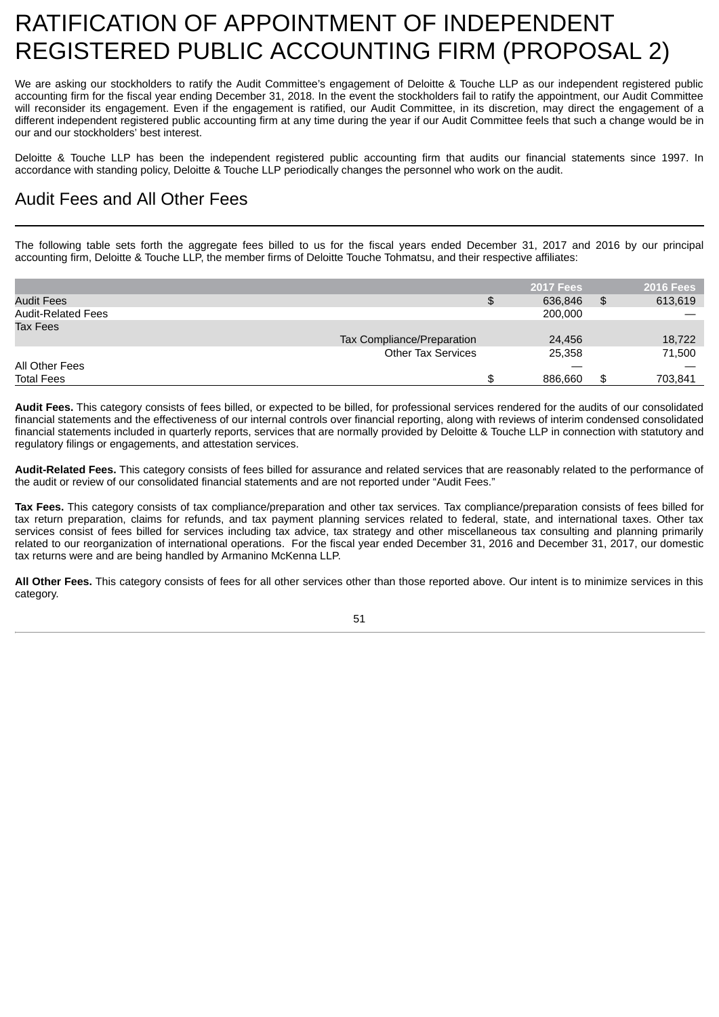## <span id="page-55-0"></span>RATIFICATION OF APPOINTMENT OF INDEPENDENT REGISTERED PUBLIC ACCOUNTING FIRM (PROPOSAL 2)

We are asking our stockholders to ratify the Audit Committee's engagement of Deloitte & Touche LLP as our independent registered public accounting firm for the fiscal year ending December 31, 2018. In the event the stockholders fail to ratify the appointment, our Audit Committee will reconsider its engagement. Even if the engagement is ratified, our Audit Committee, in its discretion, may direct the engagement of a different independent registered public accounting firm at any time during the year if our Audit Committee feels that such a change would be in our and our stockholders' best interest.

Deloitte & Touche LLP has been the independent registered public accounting firm that audits our financial statements since 1997. In accordance with standing policy, Deloitte & Touche LLP periodically changes the personnel who work on the audit.

## <span id="page-55-1"></span>Audit Fees and All Other Fees

The following table sets forth the aggregate fees billed to us for the fiscal years ended December 31, 2017 and 2016 by our principal accounting firm, Deloitte & Touche LLP, the member firms of Deloitte Touche Tohmatsu, and their respective affiliates:

|                           |                            | <b>2017 Fees</b> | 2016 Fees     |
|---------------------------|----------------------------|------------------|---------------|
| Audit Fees                |                            | \$<br>636.846    | \$<br>613,619 |
| <b>Audit-Related Fees</b> |                            | 200,000          |               |
| <b>Tax Fees</b>           |                            |                  |               |
|                           | Tax Compliance/Preparation | 24,456           | 18,722        |
|                           | <b>Other Tax Services</b>  | 25,358           | 71,500        |
| All Other Fees            |                            |                  |               |
| <b>Total Fees</b>         |                            | \$<br>886.660    | \$<br>703,841 |

**Audit Fees.** This category consists of fees billed, or expected to be billed, for professional services rendered for the audits of our consolidated financial statements and the effectiveness of our internal controls over financial reporting, along with reviews of interim condensed consolidated financial statements included in quarterly reports, services that are normally provided by Deloitte & Touche LLP in connection with statutory and regulatory filings or engagements, and attestation services.

**Audit-Related Fees.** This category consists of fees billed for assurance and related services that are reasonably related to the performance of the audit or review of our consolidated financial statements and are not reported under "Audit Fees."

**Tax Fees.** This category consists of tax compliance/preparation and other tax services. Tax compliance/preparation consists of fees billed for tax return preparation, claims for refunds, and tax payment planning services related to federal, state, and international taxes. Other tax services consist of fees billed for services including tax advice, tax strategy and other miscellaneous tax consulting and planning primarily related to our reorganization of international operations. For the fiscal year ended December 31, 2016 and December 31, 2017, our domestic tax returns were and are being handled by Armanino McKenna LLP.

**All Other Fees.** This category consists of fees for all other services other than those reported above. Our intent is to minimize services in this category.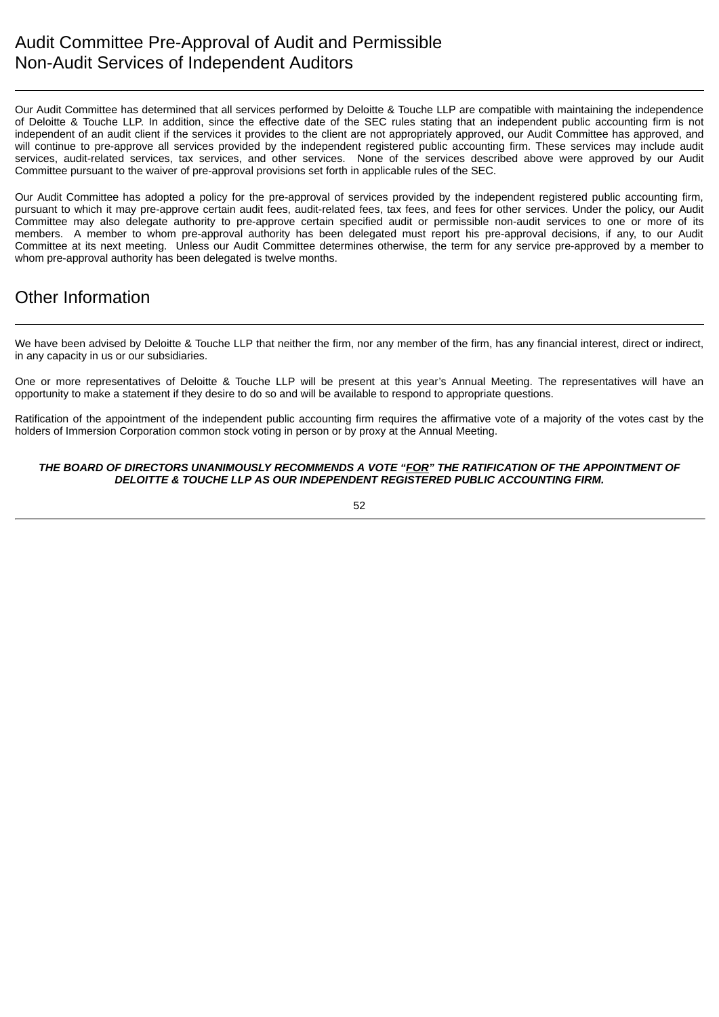<span id="page-56-0"></span>Our Audit Committee has determined that all services performed by Deloitte & Touche LLP are compatible with maintaining the independence of Deloitte & Touche LLP. In addition, since the effective date of the SEC rules stating that an independent public accounting firm is not independent of an audit client if the services it provides to the client are not appropriately approved, our Audit Committee has approved, and will continue to pre-approve all services provided by the independent registered public accounting firm. These services may include audit services, audit-related services, tax services, and other services. None of the services described above were approved by our Audit Committee pursuant to the waiver of pre-approval provisions set forth in applicable rules of the SEC.

Our Audit Committee has adopted a policy for the pre-approval of services provided by the independent registered public accounting firm, pursuant to which it may pre-approve certain audit fees, audit-related fees, tax fees, and fees for other services. Under the policy, our Audit Committee may also delegate authority to pre-approve certain specified audit or permissible non-audit services to one or more of its members. A member to whom pre-approval authority has been delegated must report his pre-approval decisions, if any, to our Audit Committee at its next meeting. Unless our Audit Committee determines otherwise, the term for any service pre-approved by a member to whom pre-approval authority has been delegated is twelve months.

## <span id="page-56-1"></span>Other Information

We have been advised by Deloitte & Touche LLP that neither the firm, nor any member of the firm, has any financial interest, direct or indirect, in any capacity in us or our subsidiaries.

One or more representatives of Deloitte & Touche LLP will be present at this year's Annual Meeting. The representatives will have an opportunity to make a statement if they desire to do so and will be available to respond to appropriate questions.

Ratification of the appointment of the independent public accounting firm requires the affirmative vote of a majority of the votes cast by the holders of Immersion Corporation common stock voting in person or by proxy at the Annual Meeting.

#### *THE BOARD OF DIRECTORS UNANIMOUSLY RECOMMENDS A VOTE "FOR" THE RATIFICATION OF THE APPOINTMENT OF DELOITTE & TOUCHE LLP AS OUR INDEPENDENT REGISTERED PUBLIC ACCOUNTING FIRM.*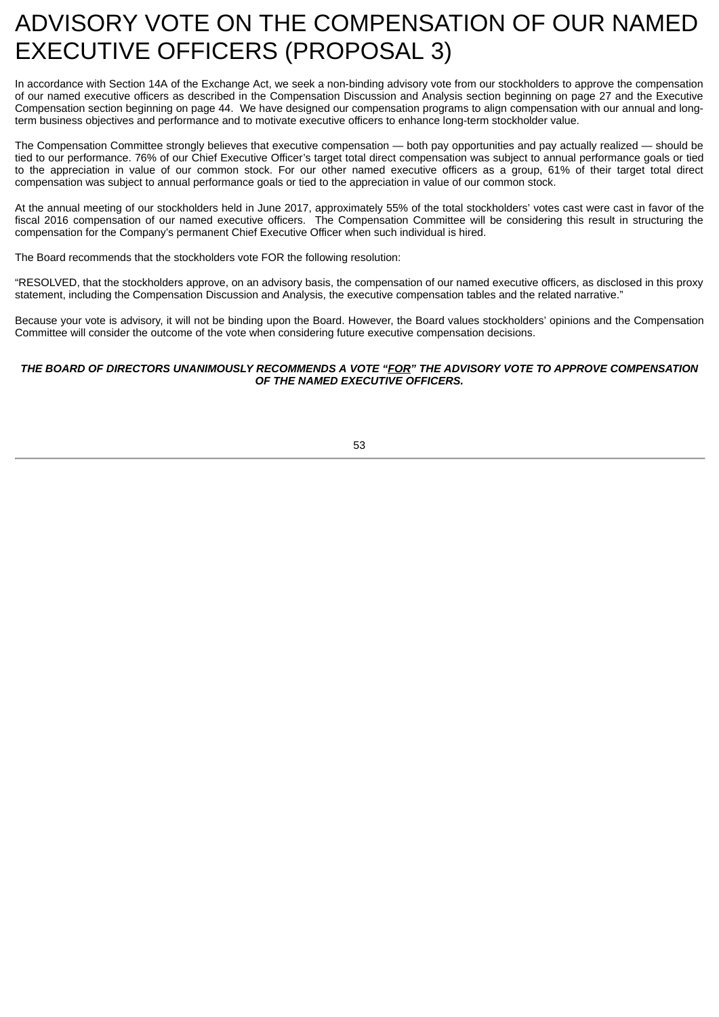## <span id="page-57-0"></span>ADVISORY VOTE ON THE COMPENSATION OF OUR NAMED EXECUTIVE OFFICERS (PROPOSAL 3)

In accordance with Section 14A of the Exchange Act, we seek a non-binding advisory vote from our stockholders to approve the compensation of our named executive officers as described in the Compensation Discussion and Analysis section beginning on page 27 and the Executive Compensation section beginning on page 44. We have designed our compensation programs to align compensation with our annual and longterm business objectives and performance and to motivate executive officers to enhance long-term stockholder value.

The Compensation Committee strongly believes that executive compensation — both pay opportunities and pay actually realized — should be tied to our performance. 76% of our Chief Executive Officer's target total direct compensation was subject to annual performance goals or tied to the appreciation in value of our common stock. For our other named executive officers as a group, 61% of their target total direct compensation was subject to annual performance goals or tied to the appreciation in value of our common stock.

At the annual meeting of our stockholders held in June 2017, approximately 55% of the total stockholders' votes cast were cast in favor of the fiscal 2016 compensation of our named executive officers. The Compensation Committee will be considering this result in structuring the compensation for the Company's permanent Chief Executive Officer when such individual is hired.

The Board recommends that the stockholders vote FOR the following resolution:

"RESOLVED, that the stockholders approve, on an advisory basis, the compensation of our named executive officers, as disclosed in this proxy statement, including the Compensation Discussion and Analysis, the executive compensation tables and the related narrative."

Because your vote is advisory, it will not be binding upon the Board. However, the Board values stockholders' opinions and the Compensation Committee will consider the outcome of the vote when considering future executive compensation decisions.

#### *THE BOARD OF DIRECTORS UNANIMOUSLY RECOMMENDS A VOTE "FOR" THE ADVISORY VOTE TO APPROVE COMPENSATION OF THE NAMED EXECUTIVE OFFICERS.*

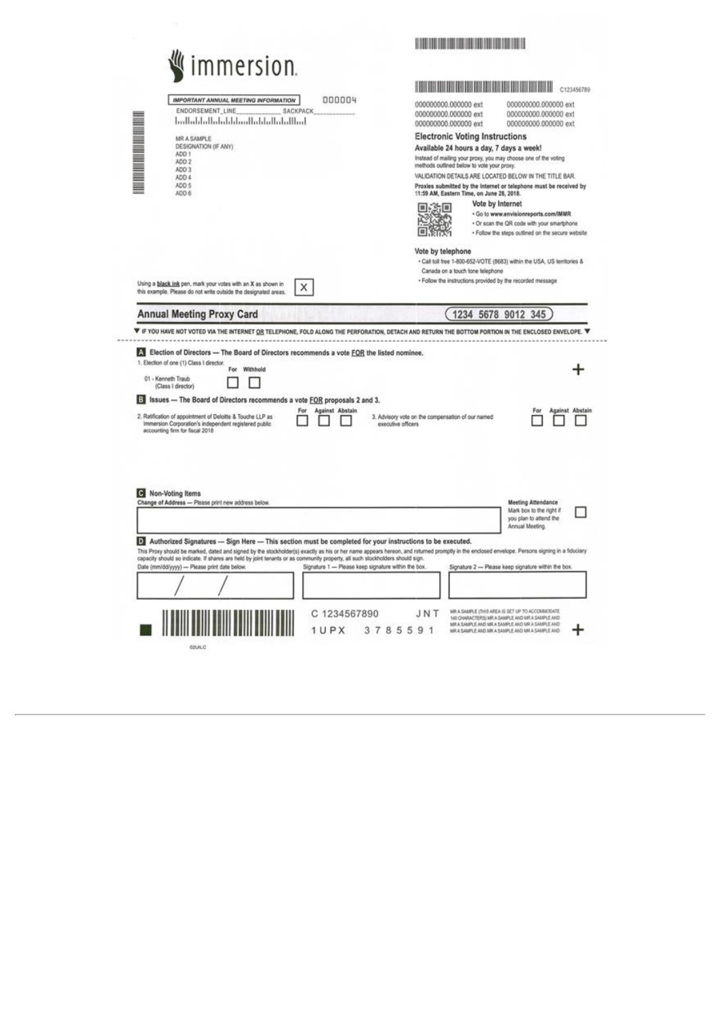| immersion.<br>000004<br>IMPORTANT ANNUAL MEETING INFORMATION<br>ENDORSEMENT LINE<br>SACKPACK<br>2010年起 1000年10月10日<br>اسلللتيانيا ببليانا بتبايليا ببليانا ببليانا باسلاميا<br>MR A SAMPLE<br>DESIGNATION (IF ANY)<br>ADD 1<br>ADD 2<br>ADD 3<br>ADD 4<br>ADD 5<br>ADD 6                                                                                                                                                                                                                                                                                           | HOLD BEET THE REPORT OF A 1990 FOR THE REAL PROPERTY.<br>C123456789<br>000000000.000000 ext<br>000000000.000000 ext<br>000000000.000000 ext<br>000000000.000000 ext<br>000000000.000000 ext<br>000000000.000000 ext<br><b>Electronic Voting Instructions</b><br>Available 24 hours a day, 7 days a week!<br>Instead of mailing your proxy, you may choose one of the voting<br>methods outlined below to vote your proxy.<br>VALIDATION DETAILS ARE LOCATED BELOW IN THE TITLE BAR.<br>Proxies submitted by the Internet or telephone must be received by<br>11:59 AM, Eastern Time, on June 28, 2018.<br>Vote by Internet<br>ŞШ<br>l a l<br>· Go to www.envisionreports.com/IMMR<br>· Or scan the QR code with your smartphone<br>· Follow the steps outlined on the secure website |
|--------------------------------------------------------------------------------------------------------------------------------------------------------------------------------------------------------------------------------------------------------------------------------------------------------------------------------------------------------------------------------------------------------------------------------------------------------------------------------------------------------------------------------------------------------------------|--------------------------------------------------------------------------------------------------------------------------------------------------------------------------------------------------------------------------------------------------------------------------------------------------------------------------------------------------------------------------------------------------------------------------------------------------------------------------------------------------------------------------------------------------------------------------------------------------------------------------------------------------------------------------------------------------------------------------------------------------------------------------------------|
| Using a black ink pen, mark your votes with an X as shown in<br>X<br>this example. Please do not write outside the designated areas.                                                                                                                                                                                                                                                                                                                                                                                                                               | Vote by telephone<br>. Call toll free 1-800-652-VOTE (8683) within the USA, US tembories &<br>Canada on a touch tone telephone<br>· Follow the instructions provided by the recorded message                                                                                                                                                                                                                                                                                                                                                                                                                                                                                                                                                                                         |
| <b>Annual Meeting Proxy Card</b><br>F IF YOU HAVE NOT VOTED VIA THE INTERNET OR TELEPHONE, FOLD ALONG THE PERFORATION. DETACH AND RETURN THE BOTTOM PORTION IN THE ENCLOSED ENVELOPE. T                                                                                                                                                                                                                                                                                                                                                                            | 1234 5678 9012 345                                                                                                                                                                                                                                                                                                                                                                                                                                                                                                                                                                                                                                                                                                                                                                   |
| A Election of Directors - The Board of Directors recommends a vote FOR the listed nominee.<br>1. Election of one (1) Class I director.<br>Withhold<br>For<br>01 - Kenneth Traub<br>(Class I director)<br><b>3</b> Issues - The Board of Directors recommends a vote EOR proposals 2 and 3.<br><b>Against Abstain</b><br>For<br>2. Ratification of appointment of Deloitte & Touche LLP as<br>Immersion Corporation's independent registered public<br>accounting firm for fiscal 2018<br>C Non-Voting Items<br>Change of Address - Please print new address below. | <b>Against Abstain</b><br>For<br>3. Advisory vote on the compensation of our named<br>executive officers.<br><b>Meeting Attendance</b><br>Mark box to the right if                                                                                                                                                                                                                                                                                                                                                                                                                                                                                                                                                                                                                   |
| >>> Authorized Signatures --- Sign Here -- This section must be completed for your instructions to be executed.<br>This Proxy should be marked, dated and signed by the stockholder(s) exactly as his or her name appears hereon, and raturned promptly in the enclosed envelope. Persons signing in a fiduciary<br>capacity should so indicate. If shares are held by joint tenants or as community property, all such stockholders should sign.<br>Date (mm/dd/yyyy) - Please print date below.<br>Signature 1 - Please keep signature within the box.           | you plan to attend the<br>Annual Meeting<br>Signature 2 - Please keep signature within the box.                                                                                                                                                                                                                                                                                                                                                                                                                                                                                                                                                                                                                                                                                      |
|                                                                                                                                                                                                                                                                                                                                                                                                                                                                                                                                                                    |                                                                                                                                                                                                                                                                                                                                                                                                                                                                                                                                                                                                                                                                                                                                                                                      |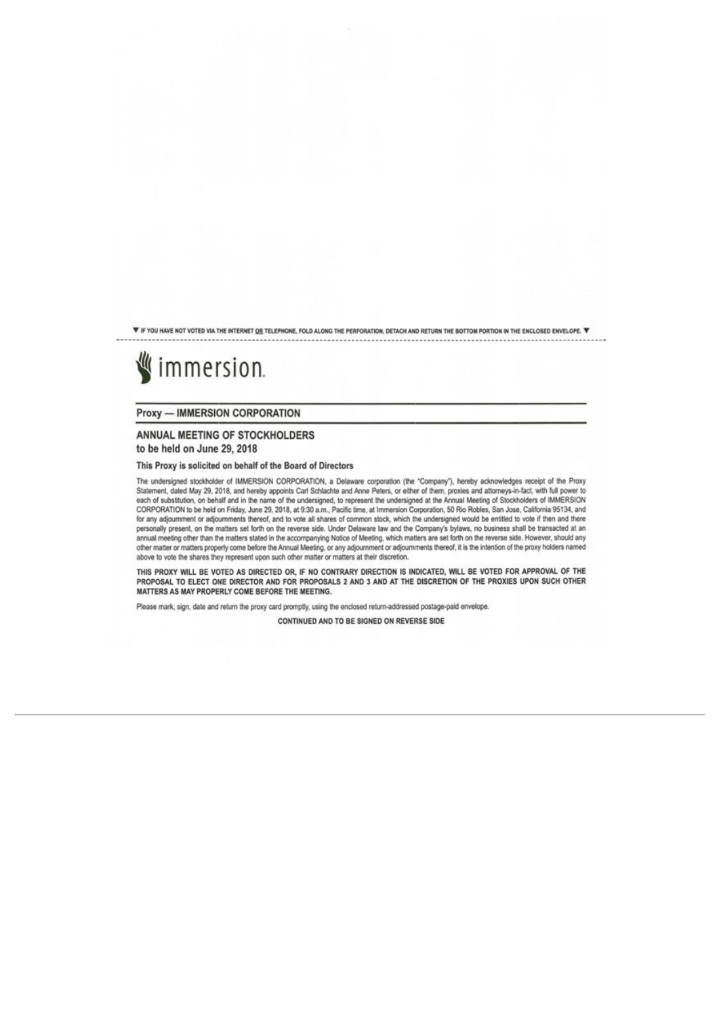V IF YOU HAVE NOT VOTED VIA THE INTERNET OR TELEPHONE, FOLD ALONG THE PERFORATION, DETACH AND RETURN THE BOTTOM PORTION IN THE ENCLOSED ENVELOPE. V

# immersion.

**Proxy - IMMERSION CORPORATION** 

#### ANNUAL MEETING OF STOCKHOLDERS to be held on June 29, 2018

This Proxy is solicited on behalf of the Board of Directors

The undersigned stockholder of IMMERSION CORPORATION, a Delaware corporation (the "Company"), hereby acknowledges receipt of the Proxy Statement, dated May 29, 2018, and hereby appoints Carl Schlachte and Anne Peters, or either of them, proxies and attorneys-in-fact, with full power to each of substitution, on behalf and in the name of the undersigned, to represent the undersigned at the Annual Meeting of Stockholders of IMMERSION<br>CORPORATION to be held on Friday, June 29, 2018, at 9:30 a.m., Pacific tim for any adjournment or adjournments thereof, and to vote all shares of common stock, which the undersigned would be entitled to vote if then and there personally present, on the matters set forth on the reverse side. Under Delaware law and the Company's bylaws, no business shall be transacted at an annual meeting other than the matters stated in the accompanying Notice of Meeting, which matters are set forth on the reverse side. However, should any other matter or matters properly come before the Annual Meeting, or any adjournment or adjournments thereof, it is the intention of the proxy holders named above to vote the shares they represent upon such other matter or matters at their discretion.

THIS PROXY WILL BE VOTED AS DIRECTED OR, IF NO CONTRARY DIRECTION IS INDICATED, WILL BE VOTED FOR APPROVAL OF THE PROPOSAL TO ELECT ONE DIRECTOR AND FOR PROPOSALS 2 AND 3 AND AT THE DISCRETION OF THE PROXIES UPON SUCH OTHER MATTERS AS MAY PROPERLY COME BEFORE THE MEETING.

Please mark, sign, date and return the proxy card promptly, using the enclosed return-addressed postage-paid envelope.

CONTINUED AND TO BE SIGNED ON REVERSE SIDE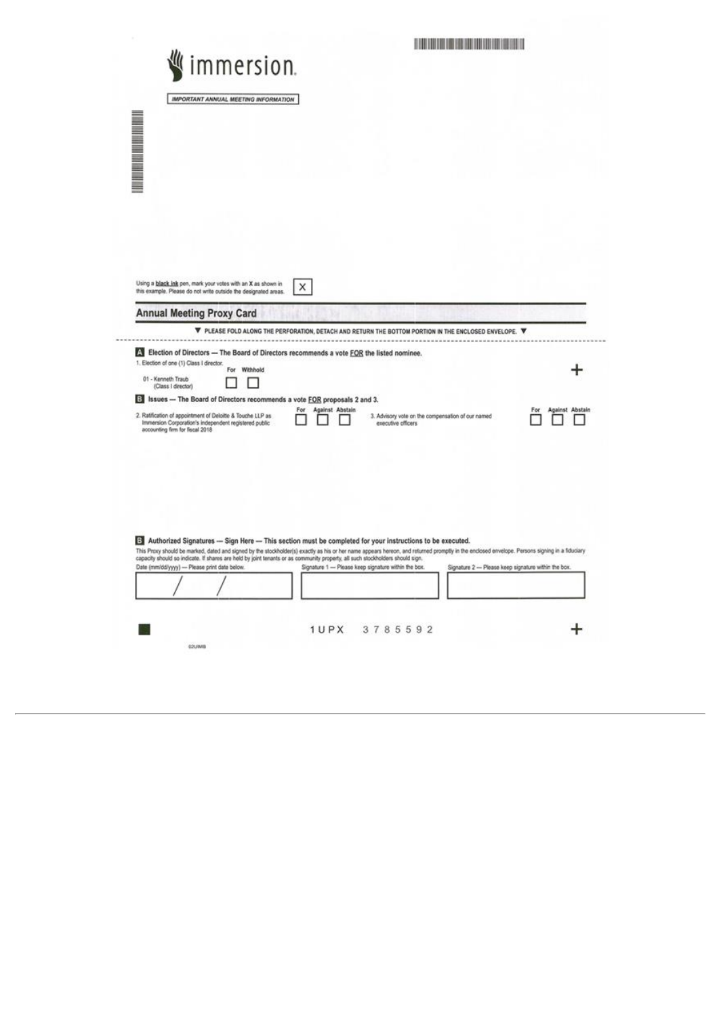| immersion.                                                                                                                                             | <b>THE REAL PROPERTY OF STATISTICS</b>                                                                                                                                                                                                                                                                      |                        |
|--------------------------------------------------------------------------------------------------------------------------------------------------------|-------------------------------------------------------------------------------------------------------------------------------------------------------------------------------------------------------------------------------------------------------------------------------------------------------------|------------------------|
|                                                                                                                                                        |                                                                                                                                                                                                                                                                                                             |                        |
| IMPORTANT ANNUAL MEETING INFORMATION                                                                                                                   |                                                                                                                                                                                                                                                                                                             |                        |
|                                                                                                                                                        |                                                                                                                                                                                                                                                                                                             |                        |
|                                                                                                                                                        |                                                                                                                                                                                                                                                                                                             |                        |
| <b>THE REAL PROPERTY AND RE</b>                                                                                                                        |                                                                                                                                                                                                                                                                                                             |                        |
|                                                                                                                                                        |                                                                                                                                                                                                                                                                                                             |                        |
|                                                                                                                                                        |                                                                                                                                                                                                                                                                                                             |                        |
|                                                                                                                                                        |                                                                                                                                                                                                                                                                                                             |                        |
|                                                                                                                                                        |                                                                                                                                                                                                                                                                                                             |                        |
| Using a black ink pen, mark your votes with an X as shown in<br>this example. Please do not write outside the designated areas.                        | X                                                                                                                                                                                                                                                                                                           |                        |
| <b>Annual Meeting Proxy Card</b>                                                                                                                       |                                                                                                                                                                                                                                                                                                             |                        |
|                                                                                                                                                        | ▼ PLEASE FOLD ALONG THE PERFORATION, DETACH AND RETURN THE BOTTOM PORTION IN THE ENCLOSED ENVELOPE. ▼                                                                                                                                                                                                       |                        |
| Election of Directors - The Board of Directors recommends a vote FOR the listed nominee.<br>1. Election of one (1) Class I director.                   |                                                                                                                                                                                                                                                                                                             |                        |
| For Withhold<br>01 - Kenneth Traub<br>(Class I director)                                                                                               |                                                                                                                                                                                                                                                                                                             |                        |
| El Issues - The Board of Directors recommends a vote FOR proposals 2 and 3.                                                                            | Against Abstain<br>For                                                                                                                                                                                                                                                                                      | Against Abstain<br>For |
| 2. Ratification of appointment of Deloitte & Touche LLP as<br>Immersion Corporation's independent registered public<br>accounting firm for fiscal 2018 | 3. Advisory vote on the compensation of our named<br>executive officers                                                                                                                                                                                                                                     |                        |
|                                                                                                                                                        |                                                                                                                                                                                                                                                                                                             |                        |
|                                                                                                                                                        |                                                                                                                                                                                                                                                                                                             |                        |
|                                                                                                                                                        |                                                                                                                                                                                                                                                                                                             |                        |
|                                                                                                                                                        |                                                                                                                                                                                                                                                                                                             |                        |
|                                                                                                                                                        |                                                                                                                                                                                                                                                                                                             |                        |
|                                                                                                                                                        |                                                                                                                                                                                                                                                                                                             |                        |
|                                                                                                                                                        | 3 Authorized Signatures - Sign Here - This section must be completed for your instructions to be executed.<br>This Proxy should be marked, dated and signed by the stockholder(s) exactly as his or her name appears hereon, and returned promptly in the enclosed envelope. Persons signing in a fiduciary |                        |
| Date (mm/dd/yyyy) --- Please print date below.                                                                                                         | capacity should so indicate. If shares are held by joint tenants or as community property, all such stockholders should sign.<br>Signature 1 - Please keep signature within the box.<br>Signature 2 - Please keep signature within the box.                                                                 |                        |
|                                                                                                                                                        |                                                                                                                                                                                                                                                                                                             |                        |
|                                                                                                                                                        |                                                                                                                                                                                                                                                                                                             |                        |